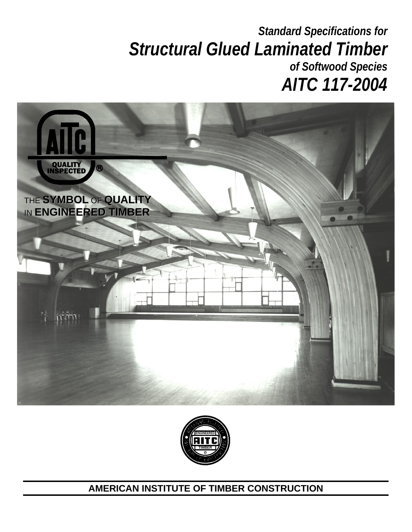# *Standard Specifications for Structural Glued Laminated Timber of Softwood Species AITC 117-2004*





# **AMERICAN INSTITUTE OF TIMBER CONSTRUCTION**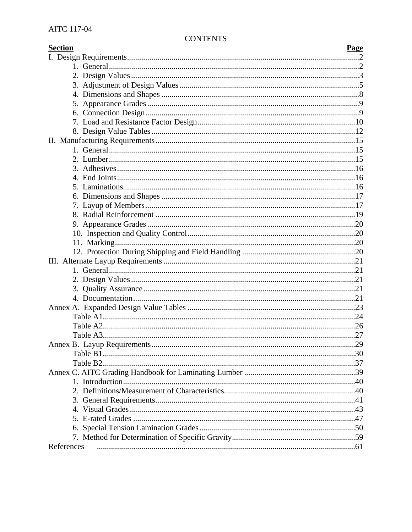# **CONTENTS**

| <b>Section</b> | Page |
|----------------|------|
|                |      |
|                |      |
|                |      |
|                |      |
|                |      |
|                |      |
|                |      |
|                |      |
|                |      |
|                |      |
|                |      |
|                |      |
|                |      |
|                |      |
|                |      |
|                |      |
|                |      |
|                |      |
|                |      |
|                |      |
|                |      |
|                |      |
|                |      |
|                |      |
|                |      |
|                |      |
|                |      |
|                |      |
|                |      |
|                |      |
|                |      |
|                |      |
|                |      |
|                |      |
|                |      |
|                |      |
|                |      |
|                |      |
|                |      |
|                |      |
|                |      |
|                |      |
|                |      |
| References     |      |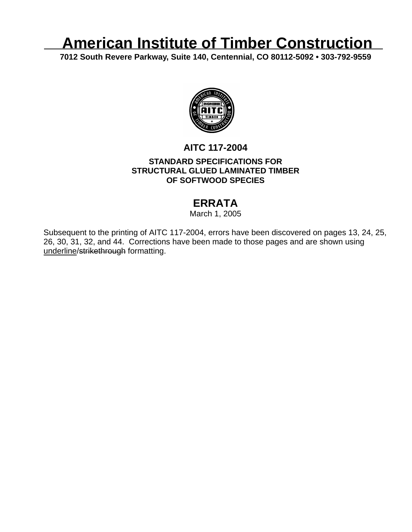# **American Institute of Timber Construction**

**7012 South Revere Parkway, Suite 140, Centennial, CO 80112-5092 • 303-792-9559** 



# **AITC 117-2004 STANDARD SPECIFICATIONS FOR STRUCTURAL GLUED LAMINATED TIMBER OF SOFTWOOD SPECIES**

# **ERRATA**

March 1, 2005

Subsequent to the printing of AITC 117-2004, errors have been discovered on pages 13, 24, 25, 26, 30, 31, 32, and 44. Corrections have been made to those pages and are shown using underline/strikethrough formatting.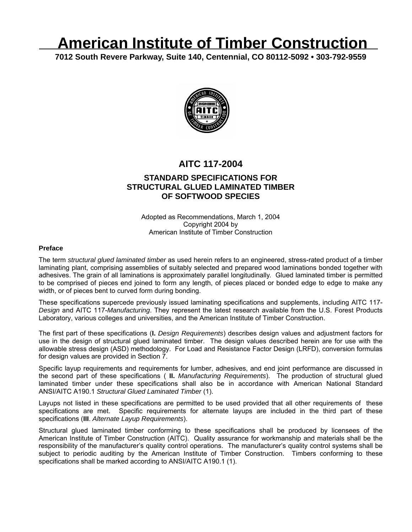# **American Institute of Timber Construction**

**7012 South Revere Parkway, Suite 140, Centennial, CO 80112-5092 • 303-792-9559** 



# **AITC 117-2004 STANDARD SPECIFICATIONS FOR STRUCTURAL GLUED LAMINATED TIMBER OF SOFTWOOD SPECIES**

Adopted as Recommendations, March 1, 2004 Copyright 2004 by American Institute of Timber Construction

#### **Preface**

The term *structural glued laminated timber* as used herein refers to an engineered, stress-rated product of a timber laminating plant, comprising assemblies of suitably selected and prepared wood laminations bonded together with adhesives. The grain of all laminations is approximately parallel longitudinally. Glued laminated timber is permitted to be comprised of pieces end joined to form any length, of pieces placed or bonded edge to edge to make any width, or of pieces bent to curved form during bonding.

These specifications supercede previously issued laminating specifications and supplements, including AITC 117- *Design* and AITC 117-*Manufacturing*. They represent the latest research available from the U.S. Forest Products Laboratory, various colleges and universities, and the American Institute of Timber Construction.

The first part of these specifications (**I.** *Design Requirements*) describes design values and adjustment factors for use in the design of structural glued laminated timber. The design values described herein are for use with the allowable stress design (ASD) methodology. For Load and Resistance Factor Design (LRFD), conversion formulas for design values are provided in Section 7.

Specific layup requirements and requirements for lumber, adhesives, and end joint performance are discussed in the second part of these specifications ( **II.** *Manufacturing Requirements*). The production of structural glued laminated timber under these specifications shall also be in accordance with American National Standard ANSI/AITC A190.1 *Structural Glued Laminated Timber* (1).

Layups not listed in these specifications are permitted to be used provided that all other requirements of these specifications are met. Specific requirements for alternate layups are included in the third part of these specifications (**III**. *Alternate Layup Requirements*).

Structural glued laminated timber conforming to these specifications shall be produced by licensees of the American Institute of Timber Construction (AITC). Quality assurance for workmanship and materials shall be the responsibility of the manufacturer's quality control operations. The manufacturer's quality control systems shall be subject to periodic auditing by the American Institute of Timber Construction. Timbers conforming to these specifications shall be marked according to ANSI/AITC A190.1 (1).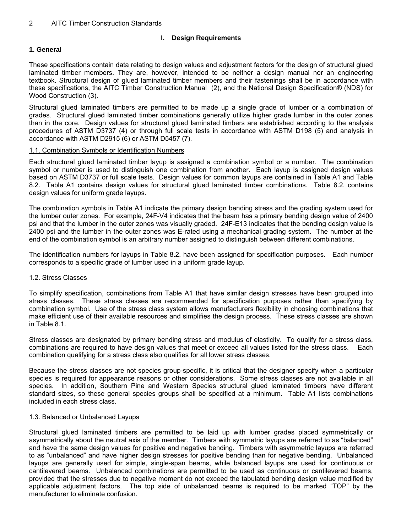#### **I. Design Requirements**

#### **1. General**

These specifications contain data relating to design values and adjustment factors for the design of structural glued laminated timber members. They are, however, intended to be neither a design manual nor an engineering textbook. Structural design of glued laminated timber members and their fastenings shall be in accordance with these specifications, the AITC Timber Construction Manual (2), and the National Design Specification® (NDS) for Wood Construction (3).

Structural glued laminated timbers are permitted to be made up a single grade of lumber or a combination of grades. Structural glued laminated timber combinations generally utilize higher grade lumber in the outer zones than in the core. Design values for structural glued laminated timbers are established according to the analysis procedures of ASTM D3737 (4) or through full scale tests in accordance with ASTM D198 (5) and analysis in accordance with ASTM D2915 (6) or ASTM D5457 (7).

#### 1.1. Combination Symbols or Identification Numbers

Each structural glued laminated timber layup is assigned a combination symbol or a number. The combination symbol or number is used to distinguish one combination from another. Each layup is assigned design values based on ASTM D3737 or full scale tests. Design values for common layups are contained in Table A1 and Table 8.2. Table A1 contains design values for structural glued laminated timber combinations. Table 8.2. contains design values for uniform grade layups.

The combination symbols in Table A1 indicate the primary design bending stress and the grading system used for the lumber outer zones. For example, 24F-V4 indicates that the beam has a primary bending design value of 2400 psi and that the lumber in the outer zones was visually graded. 24F-E13 indicates that the bending design value is 2400 psi and the lumber in the outer zones was E-rated using a mechanical grading system. The number at the end of the combination symbol is an arbitrary number assigned to distinguish between different combinations.

The identification numbers for layups in Table 8.2. have been assigned for specification purposes. Each number corresponds to a specific grade of lumber used in a uniform grade layup.

#### 1.2. Stress Classes

To simplify specification, combinations from Table A1 that have similar design stresses have been grouped into stress classes. These stress classes are recommended for specification purposes rather than specifying by combination symbol. Use of the stress class system allows manufacturers flexibility in choosing combinations that make efficient use of their available resources and simplifies the design process. These stress classes are shown in Table 8.1.

Stress classes are designated by primary bending stress and modulus of elasticity. To qualify for a stress class, combinations are required to have design values that meet or exceed all values listed for the stress class. Each combination qualifying for a stress class also qualifies for all lower stress classes.

Because the stress classes are not species group-specific, it is critical that the designer specify when a particular species is required for appearance reasons or other considerations. Some stress classes are not available in all species. In addition, Southern Pine and Western Species structural glued laminated timbers have different standard sizes, so these general species groups shall be specified at a minimum. Table A1 lists combinations included in each stress class.

#### 1.3. Balanced or Unbalanced Layups

Structural glued laminated timbers are permitted to be laid up with lumber grades placed symmetrically or asymmetrically about the neutral axis of the member. Timbers with symmetric layups are referred to as "balanced" and have the same design values for positive and negative bending. Timbers with asymmetric layups are referred to as "unbalanced" and have higher design stresses for positive bending than for negative bending. Unbalanced layups are generally used for simple, single-span beams, while balanced layups are used for continuous or cantilevered beams. Unbalanced combinations are permitted to be used as continuous or cantilevered beams, provided that the stresses due to negative moment do not exceed the tabulated bending design value modified by applicable adjustment factors. The top side of unbalanced beams is required to be marked "TOP" by the manufacturer to eliminate confusion.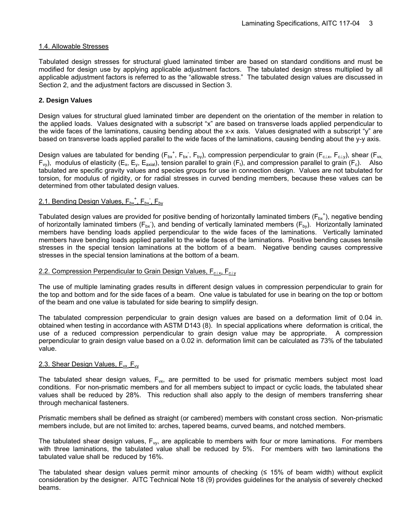#### 1.4. Allowable Stresses

Tabulated design stresses for structural glued laminated timber are based on standard conditions and must be modified for design use by applying applicable adjustment factors. The tabulated design stress multiplied by all applicable adjustment factors is referred to as the "allowable stress." The tabulated design values are discussed in Section 2, and the adjustment factors are discussed in Section 3.

#### **2. Design Values**

Design values for structural glued laminated timber are dependent on the orientation of the member in relation to the applied loads. Values designated with a subscript "x" are based on transverse loads applied perpendicular to the wide faces of the laminations, causing bending about the x-x axis. Values designated with a subscript "y" are based on transverse loads applied parallel to the wide faces of the laminations, causing bending about the y-y axis.

Design values are tabulated for bending ( $F_{bx}$ <sup>+</sup>,  $F_{bx}$ ,  $F_{by}$ ), compression perpendicular to grain ( $F_{c\perp x}$ ,  $F_{c\perp y}$ ), shear ( $F_{vx}$  $F_{vy}$ ), modulus of elasticity (E<sub>x</sub>, E<sub>y</sub>, E<sub>axial</sub>), tension parallel to grain (F<sub>t</sub>), and compression parallel to grain (F<sub>c</sub>). Also tabulated are specific gravity values and species groups for use in connection design. Values are not tabulated for torsion, for modulus of rigidity, or for radial stresses in curved bending members, because these values can be determined from other tabulated design values.

#### 2.1. Bending Design Values, F<sub>bx</sub><sup>+</sup>, F<sub>bx</sub>, F<sub>by</sub>

Tabulated design values are provided for positive bending of horizontally laminated timbers ( $F_{bx}$ <sup>+</sup>), negative bending of horizontally laminated timbers ( $F_{bx}$ ), and bending of vertically laminated members ( $F_{by}$ ). Horizontally laminated members have bending loads applied perpendicular to the wide faces of the laminations. Vertically laminated members have bending loads applied parallel to the wide faces of the laminations. Positive bending causes tensile stresses in the special tension laminations at the bottom of a beam. Negative bending causes compressive stresses in the special tension laminations at the bottom of a beam.

#### 2.2. Compression Perpendicular to Grain Design Values,  $F_{c|x}$ ,  $F_{c|x}$

The use of multiple laminating grades results in different design values in compression perpendicular to grain for the top and bottom and for the side faces of a beam. One value is tabulated for use in bearing on the top or bottom of the beam and one value is tabulated for side bearing to simplify design.

The tabulated compression perpendicular to grain design values are based on a deformation limit of 0.04 in. obtained when testing in accordance with ASTM D143 (8). In special applications where deformation is critical, the use of a reduced compression perpendicular to grain design value may be appropriate. A compression perpendicular to grain design value based on a 0.02 in. deformation limit can be calculated as 73% of the tabulated value.

#### 2.3. Shear Design Values,  $F_{vx}$ ,  $F_{vv}$

The tabulated shear design values,  $F_{vx}$ , are permitted to be used for prismatic members subject most load conditions. For non-prismatic members and for all members subject to impact or cyclic loads, the tabulated shear values shall be reduced by 28%. This reduction shall also apply to the design of members transferring shear through mechanical fasteners.

Prismatic members shall be defined as straight (or cambered) members with constant cross section. Non-prismatic members include, but are not limited to: arches, tapered beams, curved beams, and notched members.

The tabulated shear design values,  $F_{vy}$ , are applicable to members with four or more laminations. For members with three laminations, the tabulated value shall be reduced by 5%. For members with two laminations the tabulated value shall be reduced by 16%.

The tabulated shear design values permit minor amounts of checking (≤ 15% of beam width) without explicit consideration by the designer. AITC Technical Note 18 (9) provides guidelines for the analysis of severely checked beams.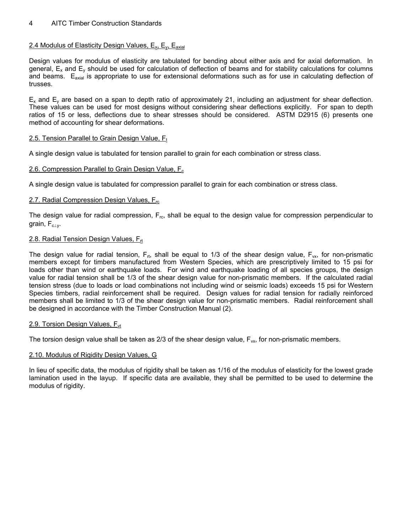#### 2.4 Modulus of Elasticity Design Values,  $E_{x}$ ,  $E_{y}$ ,  $E_{\text{axial}}$

Design values for modulus of elasticity are tabulated for bending about either axis and for axial deformation. In general,  $E_x$  and  $E_y$  should be used for calculation of deflection of beams and for stability calculations for columns and beams. E<sub>axial</sub> is appropriate to use for extensional deformations such as for use in calculating deflection of trusses.

 $E_x$  and  $E_y$  are based on a span to depth ratio of approximately 21, including an adjustment for shear deflection. These values can be used for most designs without considering shear deflections explicitly. For span to depth ratios of 15 or less, deflections due to shear stresses should be considered. ASTM D2915 (6) presents one method of accounting for shear deformations.

#### 2.5. Tension Parallel to Grain Design Value,  $F_t$

A single design value is tabulated for tension parallel to grain for each combination or stress class.

#### 2.6. Compression Parallel to Grain Design Value,  $F_c$

A single design value is tabulated for compression parallel to grain for each combination or stress class.

#### 2.7. Radial Compression Design Values,  $F_{rc}$

The design value for radial compression,  $F_{rc}$ , shall be equal to the design value for compression perpendicular to grain,  $F_{c\perp y}$ .

#### 2.8. Radial Tension Design Values, F<sub>rt</sub>

The design value for radial tension,  $F_{rt}$ , shall be equal to 1/3 of the shear design value,  $F_{vx}$ , for non-prismatic members except for timbers manufactured from Western Species, which are prescriptively limited to 15 psi for loads other than wind or earthquake loads. For wind and earthquake loading of all species groups, the design value for radial tension shall be 1/3 of the shear design value for non-prismatic members. If the calculated radial tension stress (due to loads or load combinations not including wind or seismic loads) exceeds 15 psi for Western Species timbers, radial reinforcement shall be required. Design values for radial tension for radially reinforced members shall be limited to 1/3 of the shear design value for non-prismatic members. Radial reinforcement shall be designed in accordance with the Timber Construction Manual (2).

#### 2.9. Torsion Design Values,  $F_{vt}$

The torsion design value shall be taken as  $2/3$  of the shear design value,  $F_{vx}$ , for non-prismatic members.

#### 2.10. Modulus of Rigidity Design Values, G

In lieu of specific data, the modulus of rigidity shall be taken as 1/16 of the modulus of elasticity for the lowest grade lamination used in the layup. If specific data are available, they shall be permitted to be used to determine the modulus of rigidity.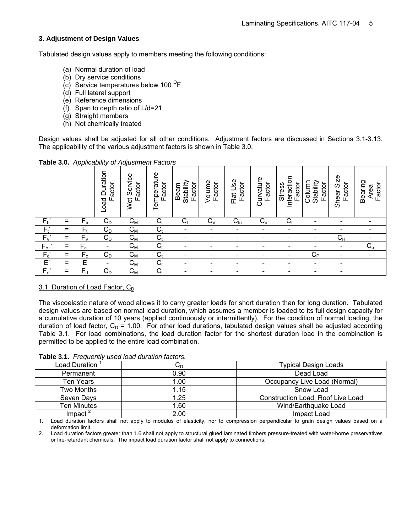#### **3. Adjustment of Design Values**

Tabulated design values apply to members meeting the following conditions:

- (a) Normal duration of load
- (b) Dry service conditions
- (c) Service temperatures below 100 $^{\circ}$ F
- (d) Full lateral support
- (e) Reference dimensions
- (f) Span to depth ratio of L/d=21
- (g) Straight members
- (h) Not chemically treated

Design values shall be adjusted for all other conditions. Adjustment factors are discussed in Sections 3.1-3.13. The applicability of the various adjustment factors is shown in Table 3.0.

|                  |     |                           | Load Duration<br>Factor  | Wet Service<br>actor<br>Ш | Temperature<br>Factor | Stability<br>Factor<br>Beam | Volume<br>Factor         | Flat Use<br>Factor           | urvature<br>Factor<br>ပ  | Interaction<br>actor<br><b>Stress</b><br>ட | Stability<br>Column<br>Factor | Shear Size<br>Factor         | Bearing<br>Factor<br>Area |
|------------------|-----|---------------------------|--------------------------|---------------------------|-----------------------|-----------------------------|--------------------------|------------------------------|--------------------------|--------------------------------------------|-------------------------------|------------------------------|---------------------------|
| $F_b'$           | $=$ | $F_b$                     | $C_D$                    | $\mathsf{C}_{\mathsf{M}}$ | C <sub>t</sub>        | $\rm C_L$                   | $C_{\vee}$               | $C_{\text{fu}}$              | $C_{c}$                  | Cı                                         |                               |                              | -                         |
| $F_t'$           | $=$ | $F_{t}$                   | $C_D$                    | $\mathsf{C}_{\mathsf{M}}$ | $C_t$                 | $\overline{\phantom{a}}$    |                          |                              |                          |                                            |                               |                              | -                         |
| $\overline{F}_V$ | $=$ | $F_V$                     | $C_D$                    | $\mathsf{C}_{\mathsf{M}}$ | $C_{t}$               | $\overline{\phantom{0}}$    |                          |                              |                          |                                            |                               | $\mathsf{C}_\mathsf{H}$      | $\overline{\phantom{a}}$  |
| $F_{c\perp}$     | $=$ | $F_{c\perp}$              | $\blacksquare$           | $C_{M}$                   | $C_t$                 | $\overline{\phantom{0}}$    | -                        | $\qquad \qquad \blacksquare$ | $\overline{\phantom{a}}$ | $\overline{\phantom{0}}$                   | $\overline{\phantom{0}}$      | $\overline{\phantom{a}}$     | $C_{b}$                   |
| $F_c$            | $=$ | $\mathsf{F}_{\mathrm{c}}$ | $C_D$                    | $C_{M}$                   | $C_t$                 | -                           | $\overline{\phantom{0}}$ | ٠                            | $\overline{\phantom{0}}$ | -                                          | $C_{P}$                       | $\overline{\phantom{0}}$     | $\overline{\phantom{a}}$  |
| $E^{\prime}$     | $=$ | E                         | $\overline{\phantom{a}}$ | $\mathsf{C}_{\mathsf{M}}$ | $C_{t}$               |                             |                          |                              | $\overline{\phantom{0}}$ | $\qquad \qquad \blacksquare$               | $\overline{\phantom{0}}$      | $\qquad \qquad \blacksquare$ |                           |
| $F_{rt}$         | $=$ | $F_{rt}$                  | $C_D$                    | $C_{M}$                   | C <sub>t</sub>        | $\overline{\phantom{0}}$    |                          |                              | $\overline{\phantom{a}}$ | -                                          | ۰                             | $\overline{\phantom{a}}$     |                           |

**Table 3.0.** *Applicability of Adjustment Factors* 

#### 3.1. Duration of Load Factor, C<sub>D</sub>

The viscoelastic nature of wood allows it to carry greater loads for short duration than for long duration. Tabulated design values are based on normal load duration, which assumes a member is loaded to its full design capacity for a cumulative duration of 10 years (applied continuously or intermittently). For the condition of normal loading, the duration of load factor,  $C_D = 1.00$ . For other load durations, tabulated design values shall be adjusted according Table 3.1. For load combinations, the load duration factor for the shortest duration load in the combination is permitted to be applied to the entire load combination.

**Table 3.1.** *Frequently used load duration factors.*

| Load Duration | $\mathrm{C_{D}}$ | Typical Design Loads              |
|---------------|------------------|-----------------------------------|
| Permanent     | 0.90             | Dead Load                         |
| Ten Years     | 1.00             | Occupancy Live Load (Normal)      |
| Two Months    | 1.15             | Snow Load                         |
| Seven Days    | 1.25             | Construction Load, Roof Live Load |
| Ten Minutes   | 1.60             | Wind/Earthquake Load              |
| Impact $\leq$ | 2.00             | Impact Load                       |

1. Load duration factors shall not apply to modulus of elasticity, nor to compression perpendicular to grain design values based on a deformation limit.

2. Load duration factors greater than 1.6 shall not apply to structural glued laminated timbers pressure-treated with water-borne preservatives or fire-retardant chemicals. The impact load duration factor shall not apply to connections.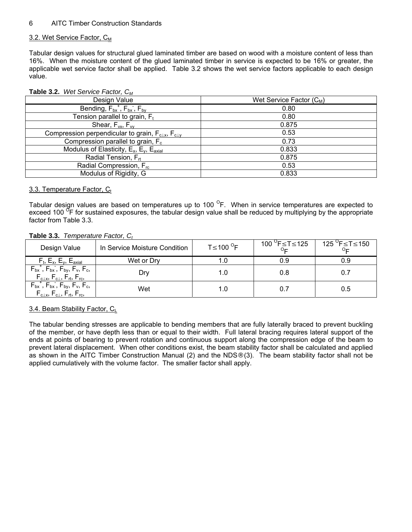#### 3.2. Wet Service Factor,  $C_M$

Tabular design values for structural glued laminated timber are based on wood with a moisture content of less than 16%. When the moisture content of the glued laminated timber in service is expected to be 16% or greater, the applicable wet service factor shall be applied. Table 3.2 shows the wet service factors applicable to each design value.

| Design Value                                                        | Wet Service Factor $(C_M)$ |
|---------------------------------------------------------------------|----------------------------|
| Bending, $F_{bx}^+$ , $F_{bx}^-$ , $F_{by}^-$                       | 0.80                       |
| Tension parallel to grain, $F_t$                                    | 0.80                       |
| Shear, $F_{vx}$ , $F_{vv}$                                          | 0.875                      |
| Compression perpendicular to grain, $F_{c\perp x}$ , $F_{c\perp y}$ | 0.53                       |
| Compression parallel to grain, $F_c$                                | 0.73                       |
| Modulus of Elasticity, $E_x$ , $E_y$ , $E_{axial}$                  | 0.833                      |
| Radial Tension, F <sub>rt</sub>                                     | 0.875                      |
| Radial Compression, F <sub>rc</sub>                                 | 0.53                       |
| Modulus of Rigidity, G                                              | 0.833                      |

#### **Table 3.2.** *Wet Service Factor, CM*

#### 3.3. Temperature Factor,  $C_t$

Tabular design values are based on temperatures up to 100  $\textdegree$ F. When in service temperatures are expected to exceed 100<sup> O</sup>F for sustained exposures, the tabular design value shall be reduced by multiplying by the appropriate factor from Table 3.3.

#### **Table 3.3.** *Temperature Factor, C<sub>t</sub>*

| Design Value                                                                                                                                             | In Service Moisture Condition | $T \leq 100$ <sup>O</sup> F | $100$ <sup>O</sup> F≤T≤125 | $125^\circ$ F≤T≤150 |
|----------------------------------------------------------------------------------------------------------------------------------------------------------|-------------------------------|-----------------------------|----------------------------|---------------------|
| $F_t$ , E <sub>x</sub> , E <sub>y</sub> , E <sub>axial</sub>                                                                                             | Wet or Dry                    | ı.U                         | 0.9                        | 0.9                 |
| $F_{\text{bx}}^+$ , $F_{\text{bx}}$ , $F_{\text{by}}$ , $F_{\text{v}}$ , $F_{\text{c}}$ ,<br>$F_{c\perp x}$ , $F_{c\perp}$ , $F_{rt}$ , $F_{rc}$ ,       | Dry                           | 1.0                         | 0.8                        | 0.7                 |
| $F_{\text{bx}}^{\text{+}}, F_{\text{bx}}$ , $F_{\text{by}}$ , $F_{\text{v}}$ , $F_{\text{c}}$ ,<br>$F_{c\perp x}$ , $F_{c\perp}$ , $F_{rt}$ , $F_{rc}$ , | Wet                           | 1.0                         |                            | 0.5                 |

#### 3.4. Beam Stability Factor, CL

The tabular bending stresses are applicable to bending members that are fully laterally braced to prevent buckling of the member, or have depth less than or equal to their width. Full lateral bracing requires lateral support of the ends at points of bearing to prevent rotation and continuous support along the compression edge of the beam to prevent lateral displacement. When other conditions exist, the beam stability factor shall be calculated and applied as shown in the AITC Timber Construction Manual (2) and the NDS® (3). The beam stability factor shall not be applied cumulatively with the volume factor. The smaller factor shall apply.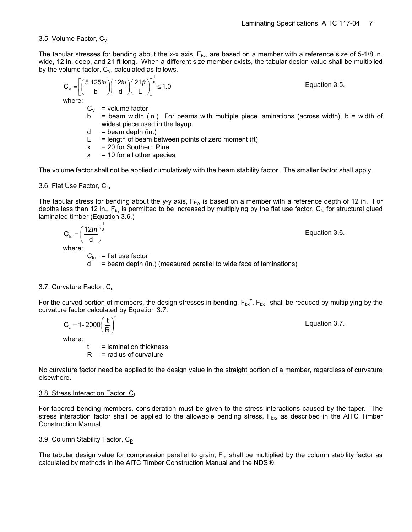#### 3.5. Volume Factor,  $C_V$

The tabular stresses for bending about the x-x axis,  $F_{bx}$ , are based on a member with a reference size of 5-1/8 in. wide, 12 in. deep, and 21 ft long. When a different size member exists, the tabular design value shall be multiplied by the volume factor,  $C_V$ , calculated as follows.

$$
C_V = \left[ \left( \frac{5.125in}{b} \right) \left( \frac{12in}{d} \right) \left( \frac{21ft}{L} \right) \right]^{\frac{1}{x}} \le 1.0
$$
 *Equation 3.5.*

where:

- $C_V$  = volume factor
- $b =$  beam width (in.) For beams with multiple piece laminations (across width),  $b =$  width of widest piece used in the layup.
- $d =$  beam depth (in.)
- $L = length of beam between points of zero moment (ft)$
- $x = 20$  for Southern Pine
- $x = 10$  for all other species

The volume factor shall not be applied cumulatively with the beam stability factor. The smaller factor shall apply.

#### 3.6. Flat Use Factor,  $C_{f<sub>U</sub>}$

The tabular stress for bending about the y-y axis,  $F_{by}$ , is based on a member with a reference depth of 12 in. For depths less than 12 in.,  $F_{\text{bv}}$  is permitted to be increased by multiplying by the flat use factor,  $C_{\text{fu}}$  for structural glued laminated timber (Equation 3.6.)

$$
C_{f_u} = \left(\frac{12in}{d}\right)^{\frac{1}{9}}
$$
 Equation 3.6.

where:

 $C_{\text{fu}}$  = flat use factor

 $d =$  beam depth (in.) (measured parallel to wide face of laminations)

#### $3.7.$  Curvature Factor,  $C_c$

For the curved portion of members, the design stresses in bending,  $F_{bx}$ <sup>+</sup>,  $F_{bx}$ , shall be reduced by multiplying by the curvature factor calculated by Equation 3.7.

$$
C_c = 1 - 2000 \left(\frac{t}{R}\right)^2
$$
 Equation 3.7.  
where:  

$$
t = \text{lamination thickness}
$$

 $R =$  radius of curvature

No curvature factor need be applied to the design value in the straight portion of a member, regardless of curvature elsewhere.

#### 3.8. Stress Interaction Factor, C<sub>I</sub>

For tapered bending members, consideration must be given to the stress interactions caused by the taper. The stress interaction factor shall be applied to the allowable bending stress,  $F_{\text{bx}}$ , as described in the AITC Timber Construction Manual.

#### 3.9. Column Stability Factor, C<sub>P</sub>

The tabular design value for compression parallel to grain,  $F_c$ , shall be multiplied by the column stability factor as calculated by methods in the AITC Timber Construction Manual and the NDS®.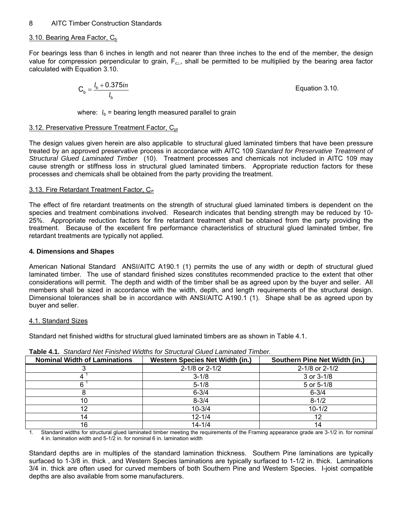#### $3.10.$  Bearing Area Factor,  $C_b$

For bearings less than 6 inches in length and not nearer than three inches to the end of the member, the design value for compression perpendicular to grain, F<sub>c⊥</sub>, shall be permitted to be multiplied by the bearing area factor calculated with Equation 3.10.

$$
C_b = \frac{l_b + 0.375in}{l_b}
$$
 Equation 3.10.

where:  $l<sub>b</sub>$  = bearing length measured parallel to grain

#### 3.12. Preservative Pressure Treatment Factor, C<sub>pt</sub>

The design values given herein are also applicable to structural glued laminated timbers that have been pressure treated by an approved preservative process in accordance with AITC 109 *Standard for Preservative Treatment of Structural Glued Laminated Timber* (10). Treatment processes and chemicals not included in AITC 109 may cause strength or stiffness loss in structural glued laminated timbers. Appropriate reduction factors for these processes and chemicals shall be obtained from the party providing the treatment.

#### 3.13. Fire Retardant Treatment Factor, C<sub>rt</sub>

The effect of fire retardant treatments on the strength of structural glued laminated timbers is dependent on the species and treatment combinations involved. Research indicates that bending strength may be reduced by 10- 25%. Appropriate reduction factors for fire retardant treatment shall be obtained from the party providing the treatment. Because of the excellent fire performance characteristics of structural glued laminated timber, fire retardant treatments are typically not applied.

#### **4. Dimensions and Shapes**

American National Standard ANSI/AITC A190.1 (1) permits the use of any width or depth of structural glued laminated timber. The use of standard finished sizes constitutes recommended practice to the extent that other considerations will permit. The depth and width of the timber shall be as agreed upon by the buyer and seller. All members shall be sized in accordance with the width, depth, and length requirements of the structural design. Dimensional tolerances shall be in accordance with ANSI/AITC A190.1 (1). Shape shall be as agreed upon by buyer and seller.

#### 4.1. Standard Sizes

Standard net finished widths for structural glued laminated timbers are as shown in Table 4.1.

| <b>Nominal Width of Laminations</b> | <b>Western Species Net Width (in.)</b> | Southern Pine Net Width (in.) |
|-------------------------------------|----------------------------------------|-------------------------------|
|                                     | 2-1/8 or 2-1/2                         | 2-1/8 or 2-1/2                |
|                                     | $3 - 1/8$                              | $3$ or $3-1/8$                |
|                                     | $5 - 1/8$                              | 5 or 5-1/8                    |
|                                     | $6 - 3/4$                              | $6 - 3/4$                     |
| 10                                  | $8 - 3/4$                              | $8 - 1/2$                     |
| 12                                  | $10 - 3/4$                             | $10 - 1/2$                    |
| 14                                  | $12 - 1/4$                             | 12                            |
| 16                                  | $14 - 1/4$                             | 14                            |

**Table 4.1.** *Standard Net Finished Widths for Structural Glued Laminated Timber.*

1. Standard widths for structural glued laminated timber meeting the requirements of the Framing appearance grade are 3-1/2 in. for nominal 4 in. lamination width and 5-1/2 in. for nominal 6 in. lamination width

Standard depths are in multiples of the standard lamination thickness. Southern Pine laminations are typically surfaced to 1-3/8 in. thick , and Western Species laminations are typically surfaced to 1-1/2 in. thick. Laminations 3/4 in. thick are often used for curved members of both Southern Pine and Western Species. I-joist compatible depths are also available from some manufacturers.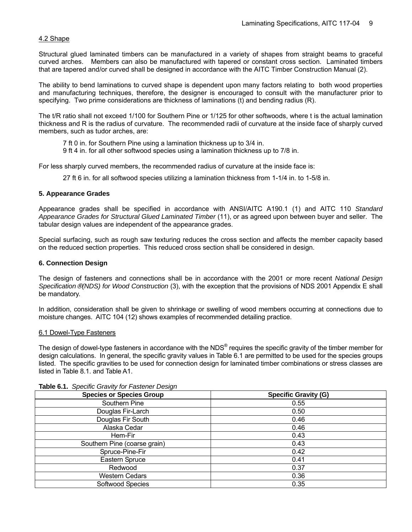#### 4.2 Shape

Structural glued laminated timbers can be manufactured in a variety of shapes from straight beams to graceful curved arches. Members can also be manufactured with tapered or constant cross section. Laminated timbers that are tapered and/or curved shall be designed in accordance with the AITC Timber Construction Manual (2).

The ability to bend laminations to curved shape is dependent upon many factors relating to both wood properties and manufacturing techniques, therefore, the designer is encouraged to consult with the manufacturer prior to specifying. Two prime considerations are thickness of laminations (t) and bending radius (R).

The t/R ratio shall not exceed 1/100 for Southern Pine or 1/125 for other softwoods, where t is the actual lamination thickness and R is the radius of curvature. The recommended radii of curvature at the inside face of sharply curved members, such as tudor arches, are:

7 ft 0 in. for Southern Pine using a lamination thickness up to 3/4 in.

9 ft 4 in. for all other softwood species using a lamination thickness up to 7/8 in.

For less sharply curved members, the recommended radius of curvature at the inside face is:

27 ft 6 in. for all softwood species utilizing a lamination thickness from 1-1/4 in. to 1-5/8 in.

#### **5. Appearance Grades**

Appearance grades shall be specified in accordance with ANSI/AITC A190.1 (1) and AITC 110 *Standard Appearance Grades for Structural Glued Laminated Timber* (11), or as agreed upon between buyer and seller. The tabular design values are independent of the appearance grades.

Special surfacing, such as rough saw texturing reduces the cross section and affects the member capacity based on the reduced section properties. This reduced cross section shall be considered in design.

#### **6. Connection Design**

The design of fasteners and connections shall be in accordance with the 2001 or more recent *National Design Specification*® *(NDS) for Wood Construction* (3), with the exception that the provisions of NDS 2001 Appendix E shall be mandatory.

In addition, consideration shall be given to shrinkage or swelling of wood members occurring at connections due to moisture changes. AITC 104 (12) shows examples of recommended detailing practice.

#### 6.1 Dowel-Type Fasteners

The design of dowel-type fasteners in accordance with the NDS<sup>®</sup> requires the specific gravity of the timber member for design calculations. In general, the specific gravity values in Table 6.1 are permitted to be used for the species groups listed. The specific gravities to be used for connection design for laminated timber combinations or stress classes are listed in Table 8.1. and Table A1.

| <b>Species or Species Group</b> | <b>Specific Gravity (G)</b> |
|---------------------------------|-----------------------------|
| Southern Pine                   | 0.55                        |
| Douglas Fir-Larch               | 0.50                        |
| Douglas Fir South               | 0.46                        |
| Alaska Cedar                    | 0.46                        |
| Hem-Fir                         | 0.43                        |
| Southern Pine (coarse grain)    | 0.43                        |
| Spruce-Pine-Fir                 | 0.42                        |
| Eastern Spruce                  | 0.41                        |
| Redwood                         | 0.37                        |
| <b>Western Cedars</b>           | 0.36                        |
| Softwood Species                | 0.35                        |

**Table 6.1.** *Specific Gravity for Fastener Design*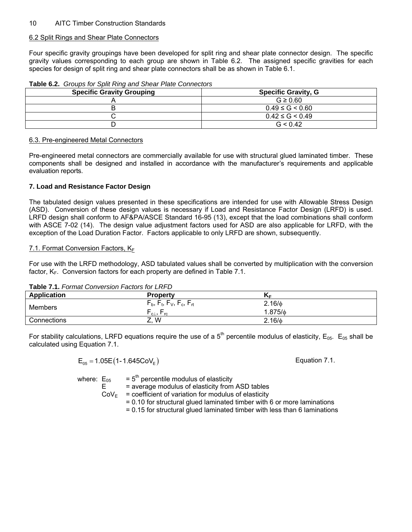#### 6.2 Split Rings and Shear Plate Connectors

Four specific gravity groupings have been developed for split ring and shear plate connector design. The specific gravity values corresponding to each group are shown in Table 6.2. The assigned specific gravities for each species for design of split ring and shear plate connectors shall be as shown in Table 6.1.

| <b>TWATER STERN COMPOSITION</b> OPINS AND CHOCKS TRACE COMMUNICATION |                            |  |  |  |
|----------------------------------------------------------------------|----------------------------|--|--|--|
| <b>Specific Gravity Grouping</b>                                     | <b>Specific Gravity, G</b> |  |  |  |
|                                                                      | $G \geq 0.60$              |  |  |  |
|                                                                      | $0.49 \le G \le 0.60$      |  |  |  |
|                                                                      | $0.42 \le G \le 0.49$      |  |  |  |
|                                                                      | G < 0.42                   |  |  |  |

#### **Table 6.2.** *Groups for Split Ring and Shear Plate Connectors*

#### 6.3. Pre-engineered Metal Connectors

Pre-engineered metal connectors are commercially available for use with structural glued laminated timber. These components shall be designed and installed in accordance with the manufacturer's requirements and applicable evaluation reports.

#### **7. Load and Resistance Factor Design**

The tabulated design values presented in these specifications are intended for use with Allowable Stress Design (ASD). Conversion of these design values is necessary if Load and Resistance Factor Design (LRFD) is used. LRFD design shall conform to AF&PA/ASCE Standard 16-95 (13), except that the load combinations shall conform with ASCE 7-02 (14). The design value adjustment factors used for ASD are also applicable for LRFD, with the exception of the Load Duration Factor. Factors applicable to only LRFD are shown, subsequently.

#### 7.1. Format Conversion Factors, KF

For use with the LRFD methodology, ASD tabulated values shall be converted by multiplication with the conversion factor,  $K_F$ . Conversion factors for each property are defined in Table 7.1.

|  |  | <b>Table 7.1. Format Conversion Factors for LRFD</b> |  |  |
|--|--|------------------------------------------------------|--|--|
|--|--|------------------------------------------------------|--|--|

| <b>Application</b> | <b>Property</b>                          | NΕ          |  |  |  |
|--------------------|------------------------------------------|-------------|--|--|--|
| <b>Members</b>     | $F_b$ , $F_t$ , $F_V$ , $F_c$ , $F_{rt}$ | $2.16/\phi$ |  |  |  |
|                    | $F_{c\perp}$ , $F_{rc}$                  | 1.875/ዕ     |  |  |  |
| Connections        | W<br><u>.</u>                            | $2.16/\phi$ |  |  |  |

For stability calculations, LRFD equations require the use of a  $5<sup>th</sup>$  percentile modulus of elasticity,  $E_{05}$ .  $E_{05}$  shall be calculated using Equation 7.1.

$$
E_{05} = 1.05E(1 - 1.645CoV_E)
$$
 *Equation 7.1.*

where:  $E_{05}$  = 5<sup>th</sup> percentile modulus of elasticity  $E$  = average modulus of elasticity from ASD tables  $COV<sub>E</sub>$  = coefficient of variation for modulus of elasticity = 0.10 for structural glued laminated timber with 6 or more laminations

= 0.15 for structural glued laminated timber with less than 6 laminations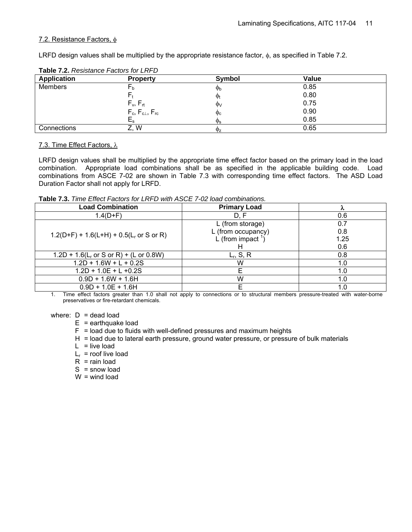#### 7.2. Resistance Factors, φ

LRFD design values shall be multiplied by the appropriate resistance factor, φ, as specified in Table 7.2.

| <b>Table 1.2.</b> Resistance Factors for LIVI D |                           |                     |       |  |  |
|-------------------------------------------------|---------------------------|---------------------|-------|--|--|
| <b>Application</b>                              | <b>Property</b>           | Symbol              | Value |  |  |
| Members                                         | гb                        | $\Phi_{\rm b}$      | 0.85  |  |  |
|                                                 |                           | $\Phi_t$            | 0.80  |  |  |
|                                                 | $F_v, F_{rt}$             | $\Phi$              | 0.75  |  |  |
|                                                 | $F_c, F_{c\perp}, F_{rc}$ | $\Phi$ <sub>c</sub> | 0.90  |  |  |
|                                                 | ∟s                        | $\mathbb{Q}_S$      | 0.85  |  |  |
| Connections                                     | W<br>Ź.,                  | $\Phi$ z            | 0.65  |  |  |

#### **Table 7.2.** *Resistance Factors for LRFD*

#### 7.3. Time Effect Factors, λ

LRFD design values shall be multiplied by the appropriate time effect factor based on the primary load in the load combination. Appropriate load combinations shall be as specified in the applicable building code. Load combinations from ASCE 7-02 are shown in Table 7.3 with corresponding time effect factors. The ASD Load Duration Factor shall not apply for LRFD.

**Table 7.3.** *Time Effect Factors for LRFD with ASCE 7-02 load combinations.* 

| <b>Load Combination</b>                   | <b>Primary Load</b>            |      |
|-------------------------------------------|--------------------------------|------|
| $1.4(D + F)$                              | D. F                           | 0.6  |
|                                           | L (from storage)               | 0.7  |
| $1.2(D+F) + 1.6(L+H) + 0.5(Lr or S or R)$ | L (from occupancy)             | 0.8  |
|                                           | L (from impact $\frac{1}{1}$ ) | 1.25 |
|                                           |                                | 0.6  |
| $1.2D + 1.6(L_r or S or R) + (L or 0.8W)$ | $L_r$ , S, R                   | 0.8  |
| $1.2D + 1.6W + L + 0.2S$                  | W                              | 1.0  |
| $1.2D + 1.0E + L + 0.2S$                  | F                              | 1.0  |
| $0.9D + 1.6W + 1.6H$                      | w                              | 1.0  |
| $0.9D + 1.0E + 1.6H$                      |                                | 1.0  |

1. Time effect factors greater than 1.0 shall not apply to connections or to structural members pressure-treated with water-borne preservatives or fire-retardant chemicals.

where:  $D =$  dead load

 $E$  = earthquake load

- $F =$  load due to fluids with well-defined pressures and maximum heights
- H = load due to lateral earth pressure, ground water pressure, or pressure of bulk materials
- $L =$  live load
- $L_r$  = roof live load
- $R =$  rain load
- $S =$ snow load
- $W =$  wind load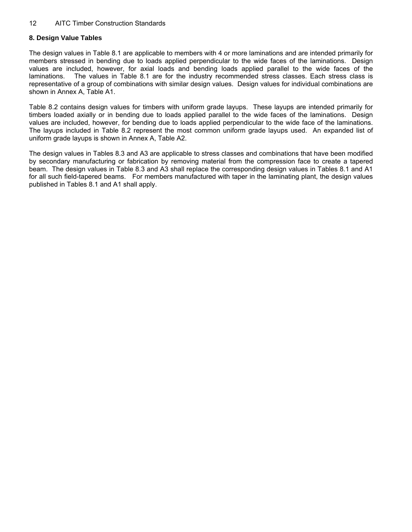#### **8. Design Value Tables**

The design values in Table 8.1 are applicable to members with 4 or more laminations and are intended primarily for members stressed in bending due to loads applied perpendicular to the wide faces of the laminations. Design values are included, however, for axial loads and bending loads applied parallel to the wide faces of the laminations. The values in Table 8.1 are for the industry recommended stress classes. Each stress class is representative of a group of combinations with similar design values. Design values for individual combinations are shown in Annex A, Table A1.

Table 8.2 contains design values for timbers with uniform grade layups. These layups are intended primarily for timbers loaded axially or in bending due to loads applied parallel to the wide faces of the laminations. Design values are included, however, for bending due to loads applied perpendicular to the wide face of the laminations. The layups included in Table 8.2 represent the most common uniform grade layups used. An expanded list of uniform grade layups is shown in Annex A, Table A2.

The design values in Tables 8.3 and A3 are applicable to stress classes and combinations that have been modified by secondary manufacturing or fabrication by removing material from the compression face to create a tapered beam. The design values in Table 8.3 and A3 shall replace the corresponding design values in Tables 8.1 and A1 for all such field-tapered beams. For members manufactured with taper in the laminating plant, the design values published in Tables 8.1 and A1 shall apply.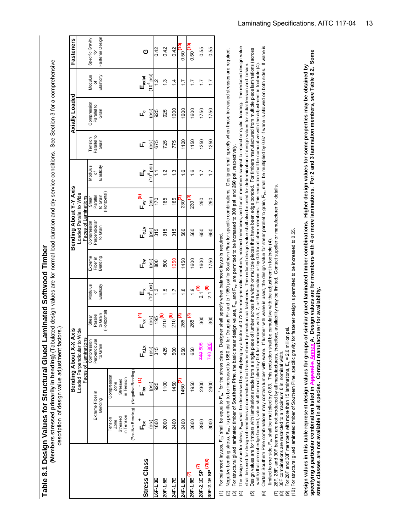**Table 8.1 Design Values for Structural Glued Laminated Softwood Timber**  Table 8.1 Design Values for Structural Glued Laminated Softwood Timber

Members stressed primarily in bending) (Tabulated design values are for normal load duration and dry service conditions. See Section 3 for a comprehensive  **(Members stressed primarily in bending)** (Tabulated design values are for normal load duration and dry service conditions. See Section 3 for a comprehensive description of design value adjustment factors.) description of design value adjustment factors.)

|                               |                        |                        | Bending About X-X                               | Axis                   |                  |                     | Bending About Y-Y Axis                          |                         |                  |                        | Axially Loaded       |                | Fasteners               |
|-------------------------------|------------------------|------------------------|-------------------------------------------------|------------------------|------------------|---------------------|-------------------------------------------------|-------------------------|------------------|------------------------|----------------------|----------------|-------------------------|
|                               |                        |                        | Faces of Laminations<br>Loaded Perpendicular to | Wide                   |                  |                     | Loaded Parallel to Wide<br>Faces of Laminations |                         |                  |                        |                      |                |                         |
|                               |                        | Extreme Fiber in       | Compression<br>Perpendicular                    | Parallel<br>Shear      | Modulus<br>đ     | Extreme<br>Fiber in | Compression<br>Perpendicular                    | Parallel<br>Shear       | Modulus<br>đ     | Parallel to<br>Tension | Compression          | Modulus<br>৳   | Specific Gravity<br>for |
|                               |                        | Bending                | to Grain                                        | Horizontal<br>to Grain | Elasticity       | Bending             | to Grain                                        | (Horizontal<br>to Grain | Elasticity       | Grain                  | Parallel to<br>Grain | Elasticity     | Fastener Design         |
|                               | Tension<br>Zone        | Compression<br>Zone    |                                                 |                        |                  |                     |                                                 |                         |                  |                        |                      |                |                         |
|                               | in Tension<br>Stressed | in Tension<br>Stressed |                                                 |                        |                  |                     |                                                 |                         |                  |                        |                      |                |                         |
|                               | (Positive Bending)     | (Negative Bending)     |                                                 |                        |                  |                     |                                                 |                         |                  |                        |                      |                |                         |
| <b>Stress Class</b>           | *<br>آ⊾                | ت<br>آ                 | $F_{c\perp x}$                                  | ะ<br>แ                 | шř               | ᇈ                   | <b>ات</b>                                       | ے<br>⊾                  | ٌш               | ட்                     | ۳ò                   | $E_{axial}$    | ග                       |
|                               | $_{(psi)}$             | (psi)                  | (psi)                                           | (psi)                  | $10^6$ psi)      | (isd)               | (psi)                                           | (psi)                   | $(10^6$ psi)     | [psi                   | (psi)                | $10^6$ psi     |                         |
| 16F-1.3E                      | 1600                   | 925                    | 315                                             | 195                    | ن<br>1           | 800                 | 315                                             | 170                     | ب<br>-           | 675                    | 925                  | $\frac{2}{1}$  | 0.42                    |
| 20F-1.5E                      | 2000                   | 1100                   | 425                                             | $210^{(6)}$            | $\frac{5}{1}$    | 800                 | 315                                             | 185                     | $\frac{2}{1}$    | 725                    | 925                  | $\frac{3}{2}$  | 0.42                    |
| 24F-1.7E                      | 2400                   | 1450                   | 500                                             | $210^{(6)}$            | $\overline{1}$ . | 1050                | 315                                             | 185                     | 13               | 775                    | 1000                 | $\dot{4}$      | 0.42                    |
| 24F-1.8E                      | 2400                   | (71, 1450)             | 650                                             | $265^{(3)}$            | $\frac{8}{1}$    | 1450                | 560                                             | رما<br>230              | $\frac{6}{1}$    | 1100                   | 1600                 | $\ddot{ }$ :   | (61, 0950)              |
| $26F-1.9EV$                   | 2600                   | 1950                   | 650                                             | 265<br>205             | $\frac{1}{2}$    | 1600                | 560                                             | رها<br>230              | $\frac{6}{1}$    | 1150                   | 1600                 | $\ddot{ }$ :   | (61, 095, 0)            |
| 28F-2.1E SP <sup>(7)</sup>    | 2800                   | 2300                   | <b>740805</b>                                   | 300                    | $2.1^{(9)}$      | 1600                | 650                                             | 260                     | $\ddot{ }$ :     | 1250                   | 1750                 | $\ddot{ }$     | 0.55                    |
| 30F-2.1E SP <sup>(7)(8)</sup> | 3000                   | 2400                   | <b>740805</b>                                   | 300                    | $2.1^{(9)}$      | 1750                | 650                                             | 260                     | $\overline{1.7}$ | 1250                   | 1750                 | $\overline{1}$ | 0.55                    |
|                               |                        |                        |                                                 |                        |                  |                     |                                                 |                         |                  |                        |                      |                |                         |

For balanced layups, **F<sub>bx</sub>** shall be equal to  $\mathsf{F_{\mathsf{bx}}}^\star$  for the stress class. Designer shall specify when balanced layup is required. **+** for the stress class. Designer shall specify when balanced layup is required. shall be equal to  $F_{\rm{bx}}$ (1) For balanced layups, F<sub>bx</sub>  $\widehat{\epsilon}$ 

**-**, is permitted to be increased to 1850 psi for Douglas Fir and to 1950 psi for Southern Pine for specific combinations. Designer shall specify when these increased stresses are required. Negative bending stress,  $\mathsf{F}_{\rm nx}$ , is permitted to be increased to 1850 psi for Douglas Fir and to 1950 psi for Southern Pine for specific combinations. Designer shall specify when these increased stresses are required (2) Negative bending stress, F<sub>bx</sub>

For structural glued laminated timber of Southern Pine, the basic shear design values,  $\mathsf{F}_{\rm vx}$  and  $\mathsf{F}_{\rm vy}$ , are permitted to be increased to 300 psi, and 260 psi, respectively. (3) For structural glued laminated timber of **Southern Pine**, the basic shear design values, **Fvx** and **Fvy**, are permitted to be increased to **300 psi**, and **260 psi**, respectively.

(4) The design value for shear, **F<sub>xx</sub>**, shall be decreased by multiplying by a factor of 0.72 for non-prismatic members, notched members, and for all members subject to impact or cyclic loading. The reduced design value The design value for shear, F<sub>w</sub>, shall be decreased by multiplying by a factor of 0.72 for non-prismatic members, notched members, and for all members subject to impact or cyclic loading. The reduced design value shall be used for design of members at connections that transfer shear by mechanical fasteners. The reduced design value shall also be used for determination of design values for radial tension and torsion. shall be used for design of members at connections that transfer shear by mechanical fasteners. The reduced design value for determination of design values for radial tension and forsion and forsion.  $\widehat{a}$   $\widehat{c}$   $\widehat{d}$ 

Certain Southern Pine combinations may contain lumber with wane. If lumber with wane is used, the design value for shear parallel to grain, F<sub>wa</sub>, shall be multiplied by 0.67 if wane is allowed on both sides. If wane is (6) Certain Southern Pine contions may contain lumber with wane. If lumber with wane is used, the design value for shear parallel to grain, F<sub>xs,</sub> shall be multiplied by 0.67 if wane is allowed on both sides. If wane is Design values are for timbers with laminations made from a single piece of lumber across the width or multiple pieces that have been edge bonded. For timbers manufactured from multiple piece laminations (across<br>width) that (5) Design values are for timbers with laminations made from a single piece of lumber across the width or multiple piece across the width or multiple piece definitions derivations (across width) that are not edge bonded, value shall be multiplied by 0.4 for members with 5, 7, or 9 laminations or by 0.5 for all other members. This reduction shall be cumulative with the adjustment in footnote (4).  $\widehat{5}$  $\widehat{\mathbf{e}}$ 

limited to one side, F<sub>w</sub> shall be multiplied by 0.83. This reduction shall be cumulative with the adjustment in footnote (4). limited to one side, **Fvx** shall be multiplied by 0.83. This reduction shall be cumulative with the adjustment in footnote (4).

(7) 26F, 28F, and 30F beams are not produced by all manufacturers, therefore, availability may be limited. Contact supplier or manufacturer for details. 26F, 28F, and 30F beams are not produced by all manufacturers, therefore, availability may be limited. Contact supplier or manufacturer for details (7) 26F, 28F, and 30F beams are not produced by all manufacturers, therefore, availability may be limited. Contact supplier or ma<br>(8) 30F combinations are restricted to a maximum 6 in. nominal width.<br>(9) For 28F and 30F me

(8) 30F combinations are restricted to a maximum 6 in. nominal width.

 (9) For 28F and 30F members with more than 15 laminations, **Ex** = 2.0 million psi. (10) For structural glued laminated timber of Southern Pine, specific gravity for fastener design is permitted to be increased to 0.55. Design values in this table represent design values for groups of similar glued laminated timber combinations. Higher design values for some properties may be obtained by

 **specifying a particular combination listed in Appendix Annex A. Design values are for members with 4 or more laminations. For 2 and 3 lamination members, see Table 8.2. Some**  nnex A. Design values are for members with 4 or more laminations. For 2 and 3 lamination members, see Table 8.2. Some  **Design values in this table represent design values for groups of similar glued laminated timber combinations. Higher design values for some properties may be obtained by**  stress classes are not available in all species. Contact manufacturer for availability.  **stress classes are not available in all species. Contact manufacturer for availability.** specifying a particular combination listed in App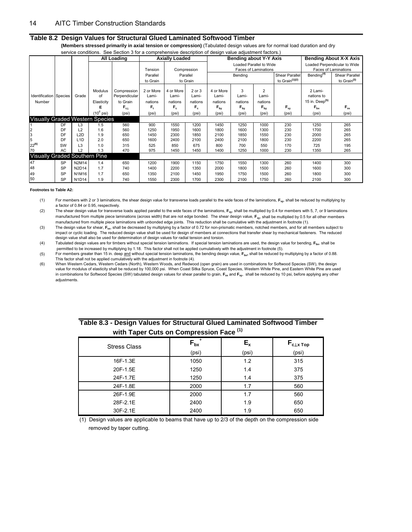#### **Table 8.2 Design Values for Structural Glued Laminated Softwood Timber**

 **(Members stressed primarily in axial tension or compression)** (Tabulated design values are for normal load duration and dry service conditions. See Section 3 for a comprehensive description of design value adjustment factors.)

|                                            |                        | 0011000001101101101                     |                                              | <u>coo couldit a for a compromente accomption or accigir value adjudition, ractore,</u><br><b>All Loading</b> |                                              | <b>Axially Loaded</b>                           |                                                |                                                           | Bending about Y-Y Axis                            |                                                                |                                     |                                                                              | <b>Bending About X-X Axis</b>                        |
|--------------------------------------------|------------------------|-----------------------------------------|----------------------------------------------|---------------------------------------------------------------------------------------------------------------|----------------------------------------------|-------------------------------------------------|------------------------------------------------|-----------------------------------------------------------|---------------------------------------------------|----------------------------------------------------------------|-------------------------------------|------------------------------------------------------------------------------|------------------------------------------------------|
|                                            |                        |                                         |                                              |                                                                                                               | Tension                                      |                                                 | Compression                                    |                                                           | Loaded Parallel to Wide                           | <b>Faces of Laminations</b>                                    |                                     |                                                                              | Loaded Perpendicular to Wide<br>Faces of Laminations |
|                                            |                        |                                         |                                              |                                                                                                               | Parallel<br>to Grain                         |                                                 | Parallel<br>to Grain                           |                                                           | Bending                                           |                                                                | Shear Parallel<br>to Grain $(1)(2)$ | Bending <sup>(4)</sup>                                                       | Shear Parallel<br>to Grain <sup>(3)</sup>            |
| <b>Identification Species</b><br>Number    |                        | Grade                                   | Modulus<br>of<br>Elasticity<br>(10 $^6$ psi) | Compression<br>Perpendicular<br>to Grain<br>$F_{c1}$<br>(psi)                                                 | 2 or More<br>Lami-<br>nations<br>F,<br>(psi) | 4 or More<br>Lami-<br>nations<br>$F_c$<br>(psi) | 2 or 3<br>Lami-<br>nations<br>$F_{c}$<br>(psi) | 4 or More<br>Lami-<br>nations<br>$F_{\text{bv}}$<br>(psi) | 3<br>Lami-<br>nations<br>$F_{\text{bv}}$<br>(psi) | $\overline{2}$<br>Lami-<br>nations<br>$F_{\text{bv}}$<br>(psi) | $F_{vy}$<br>(psi)                   | 2 Lami-<br>nations to<br>15 in. Deep <sup>(5)</sup><br>$F_{\rm bx}$<br>(psi) | $F_{vx}$<br>(psi)                                    |
| <b>Visually Graded Western Species</b>     |                        |                                         |                                              |                                                                                                               |                                              |                                                 |                                                |                                                           |                                                   |                                                                |                                     |                                                                              |                                                      |
| $\begin{array}{c} 2 \\ 3 \\ 5 \end{array}$ | DF<br>DF<br>DF         | L <sub>3</sub><br>L2<br>L <sub>2D</sub> | 1.5<br>1.6<br>1.9                            | 560<br>560<br>650                                                                                             | 900<br>1250<br>1450                          | 1550<br>1950<br>2300                            | 1200<br>1600<br>1850                           | 1450<br>1800<br>2100                                      | 1250<br>1600<br>1850                              | 1000<br>1300<br>1550                                           | 230<br>230<br>230                   | 1250<br>1700<br>2000                                                         | 265<br>265<br>265                                    |
| 22 <sup>(6)</sup><br>70                    | DF<br>SW<br>AC         | L <sub>1</sub> D<br>L3<br>L2            | 2.0<br>1.0<br>1.3                            | 650<br>315<br>470                                                                                             | 1600<br>525<br>975                           | 2400<br>850<br>1450                             | 2100<br>675<br>1450                            | 2400<br>800<br>1400                                       | 2100<br>700<br>1250                               | 1800<br>550<br>1000                                            | 230<br>170<br>230                   | 2200<br>725<br>1350                                                          | 265<br>195<br>265                                    |
| <b>Visually Graded Southern Pine</b>       |                        |                                         |                                              |                                                                                                               |                                              |                                                 |                                                |                                                           |                                                   |                                                                |                                     |                                                                              |                                                      |
| 47<br>48                                   | <b>SP</b><br><b>SP</b> | N2M14<br>N2D14                          | 1.4<br>1.7                                   | 650<br>740                                                                                                    | 1200<br>1400                                 | 1900<br>2200                                    | 1150<br>1350                                   | 1750<br>2000                                              | 1550<br>1800                                      | 1300<br>1500                                                   | 260<br>260                          | 1400<br>1600                                                                 | 300<br>300                                           |
| 49<br>50                                   | <b>SP</b><br><b>SP</b> | N1M16<br>N1D14                          | 1.7<br>1.9                                   | 650<br>740                                                                                                    | 1350<br>1550                                 | 2100<br>2300                                    | 1450<br>1700                                   | 1950<br>2300                                              | 1750<br>2100                                      | 1500<br>1750                                                   | 260<br>260                          | 1800<br>2100                                                                 | 300<br>300                                           |

#### **Footnotes to Table A2:**

(1) For members with 2 or 3 laminations, the shear design value for transverse loads parallel to the wide faces of the laminations, **Fvy**, shall be reduced by multiplying by a factor of 0.84 or 0.95, respectively.

(2) The shear design value for transverse loads applied parallel to the wide faces of the laminations, **Fvy**, shall be multiplied by 0.4 for members with 5, 7, or 9 laminations manufactured from multiple piece laminations (across width) that are not edge bonded. The shear design value,  $F_w$ , shall be multiplied by 0.5 for all other members manufactured from multiple piece laminations with unbonded edge joints. This reduction shall be cumulative with the adjustment in footnote (1).

(3) The design value for shear, **Fvx**, shall be decreased by multiplying by a factor of 0.72 for non-prismatic members, notched members, and for all members subject to impact or cyclic loading. The reduced design value shall be used for design of members at connections that transfer shear by mechanical fasteners. The reduced design value shall also be used for determination of design values for radial tension and torsion.

(4) Tabulated design values are for timbers without special tension laminations. If special tension laminations are used, the design value for bending, **Fbx**, shall be permitted to be increased by multiplying by 1.18. This factor shall not be applied cumulatively with the adjustment in footnote (5).

(5) For members greater than 15 in. deep and without special tension laminations, the bending design value, **Fbx,** shall be reduced by multiplying by a factor of 0.88. This factor shall not be applied cumulatively with the adjustment in footnote (4).

(6) When Western Cedars, Western Cedars (North), Western Woods, and Redwood (open grain) are used in combinations for Softwood Species (SW), the design value for modulus of elasticity shall be reduced by 100,000 psi. When Coast Sitka Spruce, Coast Species, Western White Pine, and Eastern White Pine are used in combinations for Softwood Species (SW) tabulated design values for shear parallel to grain, **Fvx** and **Fvy**, shall be reduced by 10 psi, before applying any other adjustments.

|                     | With Taper Guts on Compression Face |       |                                                        |
|---------------------|-------------------------------------|-------|--------------------------------------------------------|
| <b>Stress Class</b> | $F_{bx}$                            | $E_x$ | $\mathsf{F}_{\texttt{c}\perp\texttt{x}\,\texttt{Top}}$ |
|                     | (psi)                               | (psi) | (psi)                                                  |
| 16F-1.3E            | 1050                                | 1.2   | 315                                                    |
| 20F-1.5E            | 1250                                | 1.4   | 375                                                    |
| 24F-1.7E            | 1250                                | 1.4   | 375                                                    |
| 24F-1.8E            | 2000                                | 1.7   | 560                                                    |
| 26F-1.9E            | 2000                                | 1.7   | 560                                                    |
| 28F-2.1E            | 2400                                | 1.9   | 650                                                    |
| 30F-2.1E            | 2400                                | 1.9   | 650                                                    |

**Table 8.3 - Design Values for Structural Glued Laminated Softwood Timber with Taper Cuts on Compression Face (1)**

(1) Design values are applicable to beams that have up to 2/3 of the depth on the compression side removed by taper cutting.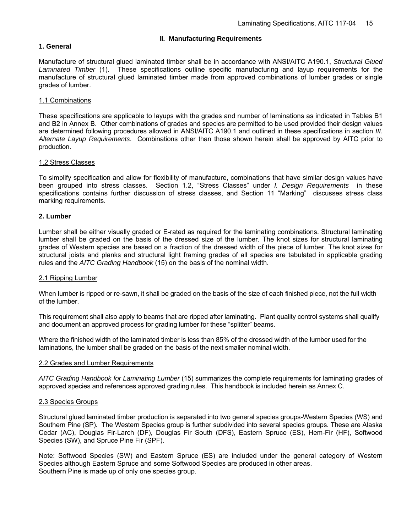#### **II. Manufacturing Requirements**

#### **1. General**

Manufacture of structural glued laminated timber shall be in accordance with ANSI/AITC A190.1, *Structural Glued Laminated Timber* (1). These specifications outline specific manufacturing and layup requirements for the manufacture of structural glued laminated timber made from approved combinations of lumber grades or single grades of lumber.

#### 1.1 Combinations

These specifications are applicable to layups with the grades and number of laminations as indicated in Tables B1 and B2 in Annex B. Other combinations of grades and species are permitted to be used provided their design values are determined following procedures allowed in ANSI/AITC A190.1 and outlined in these specifications in section *III. Alternate Layup Requirements*. Combinations other than those shown herein shall be approved by AITC prior to production.

#### 1.2 Stress Classes

To simplify specification and allow for flexibility of manufacture, combinations that have similar design values have been grouped into stress classes. Section 1.2, "Stress Classes" under *I. Design Requirements* in these specifications contains further discussion of stress classes, and Section 11 "Marking" discusses stress class marking requirements.

#### **2. Lumber**

Lumber shall be either visually graded or E-rated as required for the laminating combinations. Structural laminating lumber shall be graded on the basis of the dressed size of the lumber. The knot sizes for structural laminating grades of Western species are based on a fraction of the dressed width of the piece of lumber. The knot sizes for structural joists and planks and structural light framing grades of all species are tabulated in applicable grading rules and the *AITC Grading Handbook* (15) on the basis of the nominal width.

#### 2.1 Ripping Lumber

When lumber is ripped or re-sawn, it shall be graded on the basis of the size of each finished piece, not the full width of the lumber.

This requirement shall also apply to beams that are ripped after laminating. Plant quality control systems shall qualify and document an approved process for grading lumber for these "splitter" beams.

Where the finished width of the laminated timber is less than 85% of the dressed width of the lumber used for the laminations, the lumber shall be graded on the basis of the next smaller nominal width.

#### 2.2 Grades and Lumber Requirements

*AITC Grading Handbook for Laminating Lumber* (15) summarizes the complete requirements for laminating grades of approved species and references approved grading rules. This handbook is included herein as Annex C.

#### 2.3 Species Groups

Structural glued laminated timber production is separated into two general species groups-Western Species (WS) and Southern Pine (SP). The Western Species group is further subdivided into several species groups. These are Alaska Cedar (AC), Douglas Fir-Larch (DF), Douglas Fir South (DFS), Eastern Spruce (ES), Hem-Fir (HF), Softwood Species (SW), and Spruce Pine Fir (SPF).

Note: Softwood Species (SW) and Eastern Spruce (ES) are included under the general category of Western Species although Eastern Spruce and some Softwood Species are produced in other areas. Southern Pine is made up of only one species group.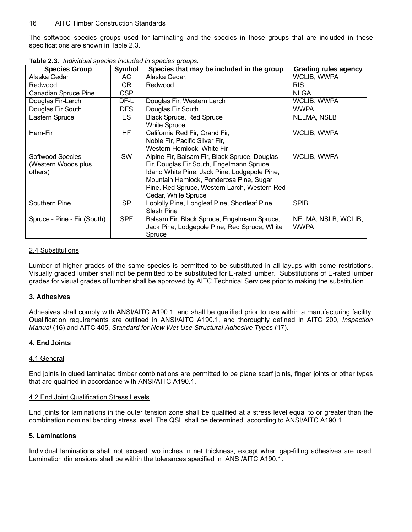The softwood species groups used for laminating and the species in those groups that are included in these specifications are shown in Table 2.3.

| <b>Species Group</b>                               | Symbol     | Species that may be included in the group                                                                                                                                                                                                                    | <b>Grading rules agency</b>        |
|----------------------------------------------------|------------|--------------------------------------------------------------------------------------------------------------------------------------------------------------------------------------------------------------------------------------------------------------|------------------------------------|
| Alaska Cedar                                       | AC.        | Alaska Cedar,                                                                                                                                                                                                                                                | WCLIB, WWPA                        |
| Redwood                                            | CR         | Redwood                                                                                                                                                                                                                                                      | <b>RIS</b>                         |
| Canadian Spruce Pine                               | CSP        |                                                                                                                                                                                                                                                              | <b>NLGA</b>                        |
| Douglas Fir-Larch                                  | DF-L       | Douglas Fir, Western Larch                                                                                                                                                                                                                                   | WCLIB, WWPA                        |
| Douglas Fir South                                  | DFS.       | Douglas Fir South                                                                                                                                                                                                                                            | <b>WWPA</b>                        |
| Eastern Spruce                                     | ES         | <b>Black Spruce, Red Spruce</b><br><b>White Spruce</b>                                                                                                                                                                                                       | <b>NELMA, NSLB</b>                 |
| Hem-Fir                                            | HF.        | California Red Fir, Grand Fir,<br>Noble Fir, Pacific Silver Fir,<br>Western Hemlock, White Fir                                                                                                                                                               | WCLIB, WWPA                        |
| Softwood Species<br>(Western Woods plus<br>others) | <b>SW</b>  | Alpine Fir, Balsam Fir, Black Spruce, Douglas<br>Fir, Douglas Fir South, Engelmann Spruce,<br>Idaho White Pine, Jack Pine, Lodgepole Pine,<br>Mountain Hemlock, Ponderosa Pine, Sugar<br>Pine, Red Spruce, Western Larch, Western Red<br>Cedar, White Spruce | WCLIB, WWPA                        |
| Southern Pine                                      | SP         | Loblolly Pine, Longleaf Pine, Shortleaf Pine,<br>Slash Pine                                                                                                                                                                                                  | <b>SPIB</b>                        |
| Spruce - Pine - Fir (South)                        | <b>SPF</b> | Balsam Fir, Black Spruce, Engelmann Spruce,<br>Jack Pine, Lodgepole Pine, Red Spruce, White<br>Spruce                                                                                                                                                        | NELMA, NSLB, WCLIB,<br><b>WWPA</b> |

**Table 2.3***. Individual species included in species groups.*

#### 2.4 Substitutions

Lumber of higher grades of the same species is permitted to be substituted in all layups with some restrictions. Visually graded lumber shall not be permitted to be substituted for E-rated lumber. Substitutions of E-rated lumber grades for visual grades of lumber shall be approved by AITC Technical Services prior to making the substitution.

#### **3. Adhesives**

Adhesives shall comply with ANSI/AITC A190.1*,* and shall be qualified prior to use within a manufacturing facility. Qualification requirements are outlined in ANSI/AITC A190.1, and thoroughly defined in AITC 200, *Inspection Manual* (16) and AITC 405, *Standard for New Wet-Use Structural Adhesive Types* (17).

#### **4. End Joints**

#### 4.1 General

End joints in glued laminated timber combinations are permitted to be plane scarf joints, finger joints or other types that are qualified in accordance with ANSI/AITC A190.1.

#### 4.2 End Joint Qualification Stress Levels

End joints for laminations in the outer tension zone shall be qualified at a stress level equal to or greater than the combination nominal bending stress level. The QSL shall be determined according to ANSI/AITC A190.1.

#### **5. Laminations**

Individual laminations shall not exceed two inches in net thickness, except when gap-filling adhesives are used. Lamination dimensions shall be within the tolerances specified in ANSI/AITC A190.1.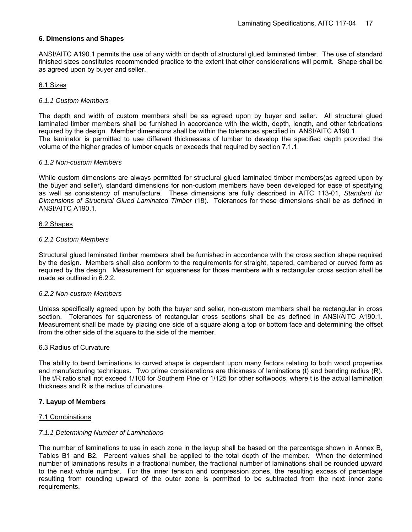#### **6. Dimensions and Shapes**

ANSI/AITC A190.1 permits the use of any width or depth of structural glued laminated timber. The use of standard finished sizes constitutes recommended practice to the extent that other considerations will permit. Shape shall be as agreed upon by buyer and seller.

#### 6.1 Sizes

#### *6.1.1 Custom Members*

The depth and width of custom members shall be as agreed upon by buyer and seller. All structural glued laminated timber members shall be furnished in accordance with the width, depth, length, and other fabrications required by the design. Member dimensions shall be within the tolerances specified in ANSI/AITC A190.1. The laminator is permitted to use different thicknesses of lumber to develop the specified depth provided the volume of the higher grades of lumber equals or exceeds that required by section 7.1.1.

#### *6.1.2 Non-custom Members*

While custom dimensions are always permitted for structural glued laminated timber members(as agreed upon by the buyer and seller), standard dimensions for non-custom members have been developed for ease of specifying as well as consistency of manufacture. These dimensions are fully described in AITC 113-01, *Standard for Dimensions of Structural Glued Laminated Timber* (18). Tolerances for these dimensions shall be as defined in ANSI/AITC A190.1.

#### 6.2 Shapes

#### *6.2.1 Custom Members*

Structural glued laminated timber members shall be furnished in accordance with the cross section shape required by the design. Members shall also conform to the requirements for straight, tapered, cambered or curved form as required by the design. Measurement for squareness for those members with a rectangular cross section shall be made as outlined in 6.2.2.

#### *6.2.2 Non-custom Members*

Unless specifically agreed upon by both the buyer and seller, non-custom members shall be rectangular in cross section. Tolerances for squareness of rectangular cross sections shall be as defined in ANSI/AITC A190.1. Measurement shall be made by placing one side of a square along a top or bottom face and determining the offset from the other side of the square to the side of the member.

#### 6.3 Radius of Curvature

The ability to bend laminations to curved shape is dependent upon many factors relating to both wood properties and manufacturing techniques. Two prime considerations are thickness of laminations (t) and bending radius (R). The t/R ratio shall not exceed 1/100 for Southern Pine or 1/125 for other softwoods, where t is the actual lamination thickness and R is the radius of curvature.

#### **7. Layup of Members**

#### 7.1 Combinations

#### *7.1.1 Determining Number of Laminations*

The number of laminations to use in each zone in the layup shall be based on the percentage shown in Annex B, Tables B1 and B2. Percent values shall be applied to the total depth of the member. When the determined number of laminations results in a fractional number, the fractional number of laminations shall be rounded upward to the next whole number. For the inner tension and compression zones, the resulting excess of percentage resulting from rounding upward of the outer zone is permitted to be subtracted from the next inner zone requirements.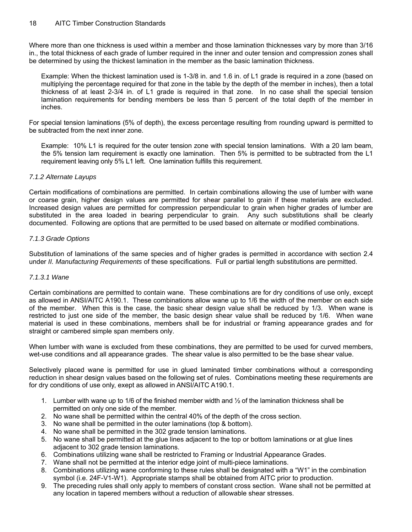Where more than one thickness is used within a member and those lamination thicknesses vary by more than 3/16 in., the total thickness of each grade of lumber required in the inner and outer tension and compression zones shall be determined by using the thickest lamination in the member as the basic lamination thickness.

Example: When the thickest lamination used is 1-3/8 in. and 1.6 in. of L1 grade is required in a zone (based on multiplying the percentage required for that zone in the table by the depth of the member in inches), then a total thickness of at least 2-3/4 in. of L1 grade is required in that zone. In no case shall the special tension lamination requirements for bending members be less than 5 percent of the total depth of the member in inches.

For special tension laminations (5% of depth), the excess percentage resulting from rounding upward is permitted to be subtracted from the next inner zone.

Example: 10% L1 is required for the outer tension zone with special tension laminations. With a 20 lam beam, the 5% tension lam requirement is exactly one lamination. Then 5% is permitted to be subtracted from the L1 requirement leaving only 5% L1 left. One lamination fulfills this requirement.

#### *7.1.2 Alternate Layups*

Certain modifications of combinations are permitted. In certain combinations allowing the use of lumber with wane or coarse grain, higher design values are permitted for shear parallel to grain if these materials are excluded. Increased design values are permitted for compression perpendicular to grain when higher grades of lumber are substituted in the area loaded in bearing perpendicular to grain. Any such substitutions shall be clearly documented. Following are options that are permitted to be used based on alternate or modified combinations.

#### *7.1.3 Grade Options*

Substitution of laminations of the same species and of higher grades is permitted in accordance with section 2.4 under *II. Manufacturing Requirements* of these specifications. Full or partial length substitutions are permitted.

#### *7.1.3.1 Wane*

Certain combinations are permitted to contain wane. These combinations are for dry conditions of use only, except as allowed in ANSI/AITC A190.1. These combinations allow wane up to 1/6 the width of the member on each side of the member. When this is the case, the basic shear design value shall be reduced by 1/3. When wane is restricted to just one side of the member, the basic design shear value shall be reduced by 1/6. When wane material is used in these combinations, members shall be for industrial or framing appearance grades and for straight or cambered simple span members only.

When lumber with wane is excluded from these combinations, they are permitted to be used for curved members, wet-use conditions and all appearance grades. The shear value is also permitted to be the base shear value.

Selectively placed wane is permitted for use in glued laminated timber combinations without a corresponding reduction in shear design values based on the following set of rules. Combinations meeting these requirements are for dry conditions of use only, exept as allowed in ANSI/AITC A190.1.

- 1. Lumber with wane up to 1/6 of the finished member width and  $\frac{1}{2}$  of the lamination thickness shall be permitted on only one side of the member.
- 2. No wane shall be permitted within the central 40% of the depth of the cross section.
- 3. No wane shall be permitted in the outer laminations (top & bottom).
- 4. No wane shall be permitted in the 302 grade tension laminations.
- 5. No wane shall be permitted at the glue lines adjacent to the top or bottom laminations or at glue lines adjacent to 302 grade tension laminations.
- 6. Combinations utilizing wane shall be restricted to Framing or Industrial Appearance Grades.
- 7. Wane shall not be permitted at the interior edge joint of multi-piece laminations.
- 8. Combinations utilizing wane conforming to these rules shall be designated with a "W1" in the combination symbol (i.e. 24F-V1-W1). Appropriate stamps shall be obtained from AITC prior to production.
- 9. The preceding rules shall only apply to members of constant cross section. Wane shall not be permitted at any location in tapered members without a reduction of allowable shear stresses.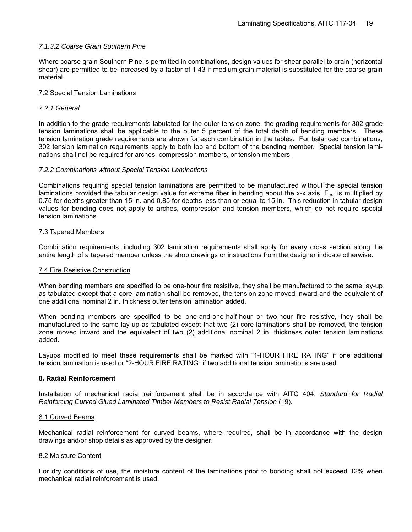#### *7.1.3.2 Coarse Grain Southern Pine*

Where coarse grain Southern Pine is permitted in combinations, design values for shear parallel to grain (horizontal shear) are permitted to be increased by a factor of 1.43 if medium grain material is substituted for the coarse grain material.

#### 7.2 Special Tension Laminations

#### *7.2.1 General*

In addition to the grade requirements tabulated for the outer tension zone, the grading requirements for 302 grade tension laminations shall be applicable to the outer 5 percent of the total depth of bending members. These tension lamination grade requirements are shown for each combination in the tables. For balanced combinations, 302 tension lamination requirements apply to both top and bottom of the bending member. Special tension laminations shall not be required for arches, compression members, or tension members.

#### *7.2.2 Combinations without Special Tension Laminations*

Combinations requiring special tension laminations are permitted to be manufactured without the special tension laminations provided the tabular design value for extreme fiber in bending about the x-x axis.  $F_{\text{bv}}$  is multiplied by 0.75 for depths greater than 15 in. and 0.85 for depths less than or equal to 15 in. This reduction in tabular design values for bending does not apply to arches, compression and tension members, which do not require special tension laminations.

#### 7.3 Tapered Members

Combination requirements, including 302 lamination requirements shall apply for every cross section along the entire length of a tapered member unless the shop drawings or instructions from the designer indicate otherwise.

#### 7.4 Fire Resistive Construction

When bending members are specified to be one-hour fire resistive, they shall be manufactured to the same lay-up as tabulated except that a core lamination shall be removed, the tension zone moved inward and the equivalent of one additional nominal 2 in. thickness outer tension lamination added.

When bending members are specified to be one-and-one-half-hour or two-hour fire resistive, they shall be manufactured to the same lay-up as tabulated except that two (2) core laminations shall be removed, the tension zone moved inward and the equivalent of two (2) additional nominal 2 in. thickness outer tension laminations added.

Layups modified to meet these requirements shall be marked with "1-HOUR FIRE RATING" if one additional tension lamination is used or "2-HOUR FIRE RATING" if two additional tension laminations are used.

#### **8. Radial Reinforcement**

Installation of mechanical radial reinforcement shall be in accordance with AITC 404, *Standard for Radial Reinforcing Curved Glued Laminated Timber Members to Resist Radial Tension* (19).

#### 8.1 Curved Beams

Mechanical radial reinforcement for curved beams, where required, shall be in accordance with the design drawings and/or shop details as approved by the designer.

#### 8.2 Moisture Content

For dry conditions of use, the moisture content of the laminations prior to bonding shall not exceed 12% when mechanical radial reinforcement is used.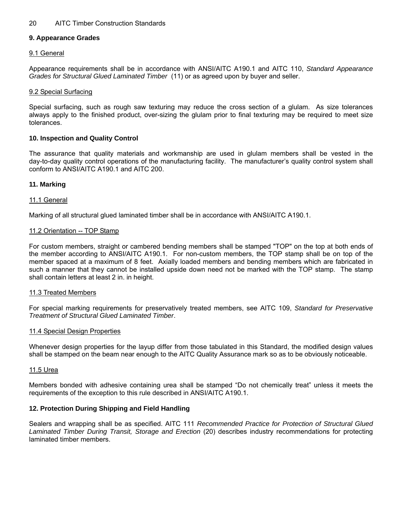#### **9. Appearance Grades**

#### 9.1 General

Appearance requirements shall be in accordance with ANSI/AITC A190.1 and AITC 110, *Standard Appearance Grades for Structural Glued Laminated Timber* (11) or as agreed upon by buyer and seller.

#### 9.2 Special Surfacing

Special surfacing, such as rough saw texturing may reduce the cross section of a glulam. As size tolerances always apply to the finished product, over-sizing the glulam prior to final texturing may be required to meet size tolerances.

#### **10. Inspection and Quality Control**

The assurance that quality materials and workmanship are used in glulam members shall be vested in the day-to-day quality control operations of the manufacturing facility. The manufacturer's quality control system shall conform to ANSI/AITC A190.1 and AITC 200.

#### **11. Marking**

#### 11.1 General

Marking of all structural glued laminated timber shall be in accordance with ANSI/AITC A190.1.

#### 11.2 Orientation -- TOP Stamp

For custom members, straight or cambered bending members shall be stamped "TOP" on the top at both ends of the member according to ANSI/AITC A190.1. For non-custom members, the TOP stamp shall be on top of the member spaced at a maximum of 8 feet. Axially loaded members and bending members which are fabricated in such a manner that they cannot be installed upside down need not be marked with the TOP stamp. The stamp shall contain letters at least 2 in. in height.

#### 11.3 Treated Members

For special marking requirements for preservatively treated members, see AITC 109, *Standard for Preservative Treatment of Structural Glued Laminated Timber*.

#### 11.4 Special Design Properties

Whenever design properties for the layup differ from those tabulated in this Standard, the modified design values shall be stamped on the beam near enough to the AITC Quality Assurance mark so as to be obviously noticeable.

#### 11.5 Urea

Members bonded with adhesive containing urea shall be stamped "Do not chemically treat" unless it meets the requirements of the exception to this rule described in ANSI/AITC A190.1.

#### **12. Protection During Shipping and Field Handling**

Sealers and wrapping shall be as specified. AITC 111 *Recommended Practice for Protection of Structural Glued*  Laminated Timber During Transit, Storage and Erection (20) describes industry recommendations for protecting laminated timber members.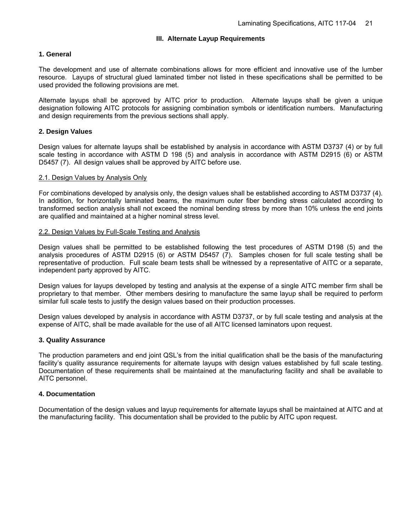#### **III. Alternate Layup Requirements**

#### **1. General**

The development and use of alternate combinations allows for more efficient and innovative use of the lumber resource. Layups of structural glued laminated timber not listed in these specifications shall be permitted to be used provided the following provisions are met.

Alternate layups shall be approved by AITC prior to production. Alternate layups shall be given a unique designation following AITC protocols for assigning combination symbols or identification numbers. Manufacturing and design requirements from the previous sections shall apply.

#### **2. Design Values**

Design values for alternate layups shall be established by analysis in accordance with ASTM D3737 (4) or by full scale testing in accordance with ASTM D 198 (5) and analysis in accordance with ASTM D2915 (6) or ASTM D5457 (7). All design values shall be approved by AITC before use.

#### 2.1. Design Values by Analysis Only

For combinations developed by analysis only, the design values shall be established according to ASTM D3737 (4). In addition, for horizontally laminated beams, the maximum outer fiber bending stress calculated according to transformed section analysis shall not exceed the nominal bending stress by more than 10% unless the end joints are qualified and maintained at a higher nominal stress level.

#### 2.2. Design Values by Full-Scale Testing and Analysis

Design values shall be permitted to be established following the test procedures of ASTM D198 (5) and the analysis procedures of ASTM D2915 (6) or ASTM D5457 (7). Samples chosen for full scale testing shall be representative of production. Full scale beam tests shall be witnessed by a representative of AITC or a separate, independent party approved by AITC.

Design values for layups developed by testing and analysis at the expense of a single AITC member firm shall be proprietary to that member. Other members desiring to manufacture the same layup shall be required to perform similar full scale tests to justify the design values based on their production processes.

Design values developed by analysis in accordance with ASTM D3737, or by full scale testing and analysis at the expense of AITC, shall be made available for the use of all AITC licensed laminators upon request.

#### **3. Quality Assurance**

The production parameters and end joint QSL's from the initial qualification shall be the basis of the manufacturing facility's quality assurance requirements for alternate layups with design values established by full scale testing. Documentation of these requirements shall be maintained at the manufacturing facility and shall be available to AITC personnel.

#### **4. Documentation**

Documentation of the design values and layup requirements for alternate layups shall be maintained at AITC and at the manufacturing facility. This documentation shall be provided to the public by AITC upon request.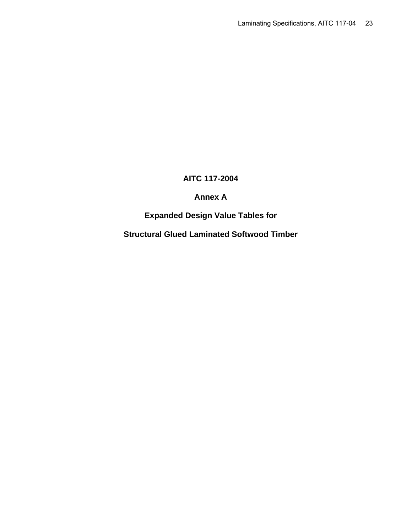# **AITC 117-2004**

# **Annex A**

# **Expanded Design Value Tables for**

**Structural Glued Laminated Softwood Timber**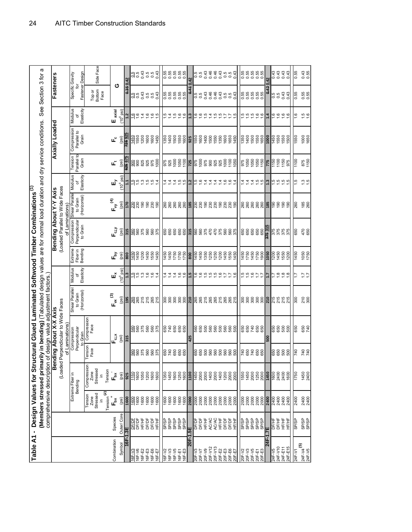| Table A1                              | $\blacksquare$          |                                                               | Design Values for Stru<br>Members stressed prima<br>comprehensive description |                             | rily in bending) (Tabulated design values are for normal load duration and dry service conditions.<br>uctural Glued Laminated Softwood Timber Combinations <sup>(1)</sup><br>of design value | adjustment factors.                        |                                           |                                |                                                                             |                                           |                            |                                 |                                     |                            | See Section 3 for                        | σ                   |
|---------------------------------------|-------------------------|---------------------------------------------------------------|-------------------------------------------------------------------------------|-----------------------------|----------------------------------------------------------------------------------------------------------------------------------------------------------------------------------------------|--------------------------------------------|-------------------------------------------|--------------------------------|-----------------------------------------------------------------------------|-------------------------------------------|----------------------------|---------------------------------|-------------------------------------|----------------------------|------------------------------------------|---------------------|
|                                       |                         |                                                               | Ben<br>(Loaded                                                                |                             | Perpendicular to Wide Faces<br>aixy X-X hoad puib<br>of Laminations)                                                                                                                         |                                            |                                           |                                | (Loaded Parallel to Wide Faces<br>Bending About Y-Y Axis<br>of Laminations) |                                           |                            |                                 | Axially Loaded                      |                            | <b>Fasteners</b>                         |                     |
|                                       |                         |                                                               | Extreme Fiber in<br>Bending                                                   |                             | Perpendicular<br>Compression<br>Grain                                                                                                                                                        | Shear Parallel<br>to Grain<br>(Horizontal) | Modulus<br>Elasticity<br>৳                | Extreme<br>Fiber in<br>Bending | Compression<br>Perpendicular<br>to Grain                                    | Shear Paralle<br>(Horizontal)<br>to Grain | Elasticity<br>Modulus<br>৳ | Parallel to<br>Tension<br>Grain | Compression<br>Parallel to<br>Grain | Modulus<br>Elasticity<br>৳ | Fastener Design<br>Specific Gravity<br>ᄒ |                     |
|                                       |                         | $\mathsf{Tension}^{(2)}$<br>Stressed<br>Tension<br>Zone<br>크. | Compression<br>Stressed<br>Tension<br>Zone                                    | Tension<br>Face             | Compression<br>Face                                                                                                                                                                          |                                            |                                           |                                |                                                                             |                                           |                            |                                 |                                     |                            | Top or<br>Bottom<br>Face                 | Side Face           |
| Combination<br>Symbol                 | Outer/ Core<br>Species  | ້,<br>⊫້<br>(psi)                                             | $\mathbf{L}^{\mathbf{g}}$<br>(psi)                                            |                             | $F_{dX}$<br>(psi)                                                                                                                                                                            | $F_{vx}^{(3)}$<br>(psi)                    | $(10^6$ psi<br>щř                         | ھے<br>E<br>(psi)               | $F_{\omega}$<br>(psi)                                                       | $F_{\nu y}^{(4)}$<br>(psi)                | $(10^6$ psi<br>щ           | цť<br>isd                       | ட்<br>(psi)                         | axial<br>$(106$ psi)<br>ш  | ပ                                        |                     |
| 1-491                                 | 3E                      | 1600                                                          | 925                                                                           |                             | 315                                                                                                                                                                                          | 195                                        |                                           | 800                            | 315                                                                         | 170                                       |                            | 625 67                          |                                     | <u>بہ</u>                  | 0.35 0.42                                |                     |
| 16F-V6<br>16F-V3                      | DE/DE<br>DF/DF          | 009                                                           | 1600<br>1150                                                                  | <b>985885</b>               | 9856855<br>985688                                                                                                                                                                            | 265<br>265                                 | rú                                        | 1450<br>1450                   | <b>98258</b>                                                                | ន្ត្រីខ្លួនខ្លួ                           | 2                          | 900<br>$\frac{8}{2}$            | 1550<br>1450                        | $\frac{6}{1}$              | al a 3 a a 3<br>al a 3 a a 3             | 0.5<br>0.5          |
|                                       | <b>DF/DF</b><br>HF/HF   | $\frac{600}{600}$                                             | 1050<br>1200                                                                  |                             |                                                                                                                                                                                              | 215<br>215                                 | ن<br>س                                    | 1450<br>1200                   |                                                                             |                                           | 52557                      | 825                             | 1200<br>1600                        | $\bar{4}$                  |                                          | 0.43                |
| 16F-E2<br>16F-E6<br>16F-E7<br>16F-E7  | DF/DF<br>HF/HF          | 1600<br>1600                                                  | 1600<br>1600                                                                  |                             |                                                                                                                                                                                              | 265<br>215                                 | ب به                                      | <b>1550</b><br>1450            | 560<br>375                                                                  |                                           |                            | 925<br>976<br>1000              | 1600<br>1450                        | 69.69                      |                                          | 0.5<br>0.43<br>0.43 |
|                                       |                         |                                                               |                                                                               |                             |                                                                                                                                                                                              |                                            |                                           |                                |                                                                             |                                           |                            |                                 |                                     |                            |                                          |                     |
| 16F-V3<br>16F-V2                      | dSridS<br>dS/dS         | 1600<br>1600                                                  | 1350<br>1450                                                                  | 650<br>740                  |                                                                                                                                                                                              |                                            |                                           | 1450<br>450                    | 650<br>650                                                                  |                                           | 4                          | 975<br>925                      | 1400<br>1350                        | ņ                          |                                          |                     |
| 16F-V5<br>16F-E3<br>16F-E3            | SP/SP<br>SP/SP<br>SP/SP | $\frac{1600}{1600}$                                           | $\frac{1600}{1250}$                                                           | <b>888</b>                  | 650<br>068<br>067<br>069                                                                                                                                                                     | ន្តន្តន្តន្ត                               | ب به<br>4                                 | 1750<br>1750                   | 650<br>650                                                                  | នី<br>ខេត្តឌីនី                           | 4<br><u>io io</u>          | 1000<br>1050<br>1100            | 1500<br>1500<br>1600                | 4 10 10 10                 | 55<br>55555<br>00000                     | 555555<br>000000    |
|                                       |                         |                                                               |                                                                               |                             |                                                                                                                                                                                              |                                            |                                           |                                |                                                                             |                                           |                            |                                 |                                     |                            |                                          |                     |
| <b>20F-1</b>                          | 5E                      | 2000                                                          | $rac{100}{1}$                                                                 |                             | 425                                                                                                                                                                                          | $\frac{6}{21}$                             |                                           | 800                            | 315                                                                         | 185                                       | ≌                          | 725                             | 925                                 | ო                          | š                                        | 0.42                |
| 20F-V3<br>20F-V7                      | <b>DF/DF</b><br>DF/DF   | 2000<br>2000                                                  | 1450<br>2000                                                                  |                             | 88<br>88<br>88<br>88                                                                                                                                                                         | 265<br>265                                 | Θ.<br>Ο.                                  | 1450<br>450                    | 560<br>560                                                                  |                                           | rù.<br>ق                   | 975<br>1000                     | $\frac{150}{1600}$                  | ٥<br>ب                     | 0.5<br>O.O                               | 5<br>0.5            |
| 20F-V12<br>20F-V9                     | HF/HF<br><b>AC/AC</b>   | 2000<br>2000                                                  | 1400<br>2000                                                                  |                             |                                                                                                                                                                                              | 215<br>265                                 | က္ ဟု                                     | 350<br>250                     | 375<br>470                                                                  |                                           | 4<br>4                     | 975<br>900                      | 1400<br>1500                        | rù.<br>4                   | 0.43                                     | 0.46<br>0.43        |
|                                       | <b>AC/AC</b>            |                                                               | 2000                                                                          |                             |                                                                                                                                                                                              |                                            |                                           | <b>1250</b><br>200             | 470<br>375                                                                  |                                           |                            | 925<br>925                      | 1550<br>1350                        | က် ကဲ                      | $0.46$<br>0.43                           | 0.46<br>0.43        |
|                                       | HF/HF<br><b>DF/DF</b>   |                                                               | 1400<br>1200                                                                  |                             |                                                                                                                                                                                              | 265<br>215<br>265                          |                                           | 450                            | 560                                                                         |                                           |                            |                                 |                                     |                            |                                          |                     |
| 20F-V13<br>20F-E3<br>20F-E6<br>20F-E7 | <b>DF/DF</b><br>HF/HF   | ខ្លួខ្លួខ្លួខ្លួ                                              | 2000<br>2000                                                                  | ន្តិន្តិន្តិន្តិន្តិន្តិន្ទ | <b>88888</b>                                                                                                                                                                                 | 265<br>215                                 |                                           | 550<br>450                     | 560<br>375                                                                  | ន្តន្តទន្តន្តន្តទ                         | $1.6$<br>$0.6$<br>$4$      | 00010001                        | $600$<br>$650$<br>$450$             |                            | 5<br>0.5<br>0.43                         | 0.5<br>0.43<br>0.43 |
|                                       |                         |                                                               |                                                                               |                             |                                                                                                                                                                                              |                                            |                                           |                                |                                                                             |                                           |                            |                                 |                                     |                            |                                          |                     |
| SA-102<br>Z0E-102                     | dSridS<br>dSridS        | ន្តន្ត្រី<br>ន្តន្ត្តីន្តន្ត្                                 | 1550<br>0351                                                                  | 740<br>650                  | 650<br>650                                                                                                                                                                                   | ន្តន្តន្តន្ត                               | ن ن                                       | 1450<br>1750                   | 650<br>650                                                                  | នី<br>ខេត្តឌីនី                           | 4                          | <b>មិន</b><br>ខេត្ត<br>ទីក្នុង  | 1350<br>0351                        | rù rù roi roi              | 0.55<br>0.55                             | 555555<br>000000    |
| $20F - V5$                            | SP/SP                   |                                                               | 2000                                                                          | 740                         | 740                                                                                                                                                                                          |                                            | Θ.                                        | 450                            | 650                                                                         |                                           | 4                          |                                 | 1500                                |                            | 0.55                                     |                     |
| 20F-E3<br>20F-E3                      | SP/SP<br>SP/SP          |                                                               | 1250<br>2000                                                                  | 650<br>650                  | 650<br>650                                                                                                                                                                                   |                                            |                                           | 1750<br>1900                   | 650<br>650                                                                  |                                           | $\bar{a}$ is               |                                 | 1550<br>1650                        |                            | 0.55<br>0.55                             |                     |
| ì.<br>$\overline{4}$                  | ΞZ.                     | 2400                                                          | 1450                                                                          |                             | 500                                                                                                                                                                                          | 210                                        | ≅                                         | 050                            | <b>175 31!</b>                                                              |                                           | ≅                          | 775                             | 000                                 | $\ddot{a}$                 | 0.430.42                                 |                     |
| 24F-V10<br>$24F - 1/5$                | DF/HF<br>DF/HF          | 2400<br>2400                                                  | 1600<br>2400                                                                  | 8<br>8<br>8<br>8<br>8<br>8  | 650<br>650                                                                                                                                                                                   |                                            |                                           | 1200<br>1450<br>1550           |                                                                             |                                           |                            | 1150<br>1100<br>1150            | 1550<br>1550<br>1550                |                            | 9.5<br>0.5                               | $0.43$<br>0.43      |
| 24F-E11<br>24F-E15                    | HF/HF<br>主              | 2400<br>2400                                                  | 2400<br>1600                                                                  | 500                         | 500<br>500                                                                                                                                                                                   | 215<br>215<br>215                          | $\frac{6}{1}$ $\frac{6}{1}$ $\frac{6}{1}$ | $\frac{8}{2}$                  | 975<br>976<br>976                                                           | 88898                                     |                            | 975                             | 1500                                | $\frac{6666}{100}$         | 0.43                                     | 0.43<br>0.43        |
|                                       |                         |                                                               |                                                                               |                             |                                                                                                                                                                                              |                                            |                                           |                                |                                                                             |                                           |                            |                                 |                                     |                            |                                          |                     |
| ම<br>L/-372                           | dS/dS                   | 2400                                                          | 0921                                                                          | 740                         | 650                                                                                                                                                                                          | 300                                        |                                           | 1450                           | 650                                                                         | 260                                       | <u>ي</u>                   | 1100                            | 1550                                | $\frac{6}{1}$              | 0.55                                     | 0.55                |
| 24F-V4<br>24F-V5                      | SP/SP<br>SP/SP          | 2400<br>2400                                                  | 1450<br>2400                                                                  | 740<br>740                  | 650<br>740                                                                                                                                                                                   | $\frac{210}{300}$                          |                                           | 1050<br>1750                   | 470<br>650                                                                  | $185$<br>$260$                            | <u>ന ന</u>                 | 875<br>1150                     | 1000<br>1650                        | $\frac{15}{16}$            | 0.55                                     | 0.43<br>0.55        |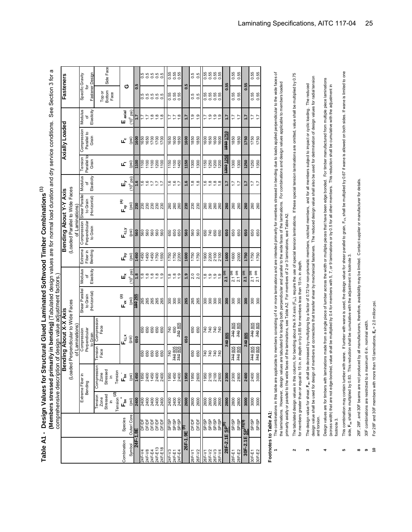Table A1 - Design Values for Structural Glued Laminated Softwood Timber Combinations<sup>(1)</sup> **Table A1 - Design Values for Structural Glued Laminated Softwood Timber Combinations (1)**

 **(Members stressed primarily in bending)** (Tabulated design values are for normal load duration and dry service conditions. See Section 3 for a (Members stressed primarily in bending) (Tabulated design values are for normal load duration and dry service conditions. See Section 3 for a comprehensive description of design value adjustment factors.) diuctmont foot nt docian valu

|                               |                             |                                  | <b>COLLIDER DE DE DE LE TRESPONDITO</b> |                    |                             | Ji desiyii valut ayinas ilikii 1             |                                                                                   |              |                                |                |                        |                      |                |                     |                             |                           |
|-------------------------------|-----------------------------|----------------------------------|-----------------------------------------|--------------------|-----------------------------|----------------------------------------------|-----------------------------------------------------------------------------------|--------------|--------------------------------|----------------|------------------------|----------------------|----------------|---------------------|-----------------------------|---------------------------|
|                               |                             |                                  |                                         |                    | Bending About X-X Axis      |                                              |                                                                                   |              | Bending About Y-Y Axis         |                |                        |                      | Axially Loaded |                     | Fasteners                   |                           |
|                               |                             |                                  | (Loaded                                 |                    | Perpendicular to Wide Faces |                                              |                                                                                   |              | (Loaded Parallel to Wide Faces |                |                        |                      |                |                     |                             |                           |
|                               |                             |                                  |                                         |                    | of Laminations              |                                              |                                                                                   |              | 등                              | Laminations    |                        |                      |                |                     |                             |                           |
|                               |                             |                                  | Extreme Fiber in                        |                    | Compression                 | Shear Parallel                               | Modulus                                                                           | Extreme      | Compression                    | Shear Parallel | Modulus                | Tension              | Compression    | Modulus             | Specific Gravity            |                           |
|                               |                             |                                  | Bending                                 |                    | Perpendicular               | to Grain                                     | ৳                                                                                 | Fiber in     | Perpendicular                  | to Grain       | ৳                      | Parallel to          | Parallel to    | ৳                   | 흐                           |                           |
|                               |                             |                                  |                                         |                    | to Grain                    | (Horizontal)                                 | Elasticity                                                                        | Bending      | to Grain                       | (Horizontal)   | Elasticity             | Grain                | Grain          | Elasticity          | Fastener Design             |                           |
|                               |                             | Tension<br>Zone                  | Compression                             | ension             | Compression                 |                                              |                                                                                   |              |                                |                |                        |                      |                |                     |                             |                           |
|                               |                             |                                  | Zone                                    | Face               | Face                        |                                              |                                                                                   |              |                                |                |                        |                      |                |                     | Top or                      |                           |
|                               |                             | Stressed<br>$\equiv$             | Stressed<br>$\equiv$                    |                    |                             |                                              |                                                                                   |              |                                |                |                        |                      |                |                     | Bottom<br>Face              | Side Face                 |
|                               |                             | ତ<br>Tension                     | Tension                                 |                    |                             |                                              |                                                                                   |              |                                |                |                        |                      |                |                     |                             |                           |
| Combination                   | Species                     | ້ອ້                              | ້,≊ັ<br>⊫                               |                    | ∯⊾                          | ್ರ<br>⊾                                      | шň                                                                                | ᇈ            | Fay<br>F                       | $F_y$          | щĻ                     | шĭ                   | ۳ò             | $E_{axial}$         | ပ                           |                           |
| Symbol                        | Outer/Core                  | (psi)                            | (psi)                                   |                    | (psi)                       | (psi)                                        | $(10^6$ psi)                                                                      | (psi)        | (psi)                          | (psi)          | $10^6$ psi)            | (psi)                | (psi)          | $(10^6 \text{psi})$ |                             |                           |
| 38.1-472                      |                             | 2400                             | 1450                                    |                    | 650                         | 39Z OB1                                      | 1.8                                                                               | 1450         | 560                            | 230            | 1.6                    | 1100                 | 1600           | 1.7                 | 0.5                         |                           |
| 24F-V4                        |                             |                                  |                                         |                    |                             | 265                                          | ≌                                                                                 | 1450         |                                | 230            | $\frac{6}{1}$          | 1100                 | 1650           |                     |                             |                           |
| 24F-V8<br>24F-E4<br>24F-E13   | 한 호텔<br>이 이 이 이 있<br>이 어 있다 |                                  |                                         | 650<br>650         | 88<br>88<br>88              | 265<br>265                                   |                                                                                   | 1450         | 999<br>099                     | នីនីនី         | $\frac{6}{10}$         |                      | 1650           |                     | s s s s s<br>o o o o o      | 5<br>6 6 6 6 6<br>6 6 6 6 |
|                               |                             |                                  |                                         | 650                |                             |                                              |                                                                                   | 1450         | 560                            |                |                        | 1100<br>1100<br>1200 | 1700           | ≌                   |                             |                           |
|                               |                             |                                  |                                         | 650                |                             | 265<br>265                                   | $\begin{array}{c}\n\circ & \circ & \circ \\ \circ & \circ & \circ \\ \end{array}$ | 1750         | 560                            |                | 1.                     |                      | 1700           | $\frac{8}{10}$      |                             |                           |
| 24F-E18                       | DF/DF                       |                                  |                                         | 650                |                             |                                              |                                                                                   | 1550         | 560                            | 230            | $\overline{1}$         | 1100                 | 1700           |                     |                             |                           |
| 24F-V3                        |                             |                                  |                                         | 740                | 740                         |                                              | $\frac{8}{1}$                                                                     | 1750         |                                | 260            | $\overline{6}$         |                      | 1650           | ₽                   |                             |                           |
| 24F-E1<br>24F-E4              | dSHS<br>2013<br>2013        | 2400<br>2400<br>2400             | 1950<br>1450<br>2400                    | 740 805<br>740 805 | 650                         | <u>ន</u> ្តខ្លួន                             | $\frac{8}{10}$                                                                    | 1750<br>2200 | 6<br>6<br>6<br>6<br>6          | 260<br>260     | $\frac{6}{17}$         | $1500$<br>$1500$     | 1600           |                     | 55<br>0.55<br>0.0           | 55<br>0.55<br>0.0         |
|                               |                             |                                  |                                         |                    | 740805                      |                                              |                                                                                   |              |                                |                |                        |                      | 1850           | 1.8                 |                             |                           |
| 26F-1.9E <sup>(8)</sup>       |                             | 2600                             | 1950                                    |                    | 650                         | 265                                          | $\ddot{ }$ .                                                                      | 1600         | 560                            | 230            | $\frac{6}{1}$          | 1150                 | 1600           | 7:7                 | 0.5                         |                           |
| 26F-V1                        | DF/DF                       | 2600                             | 1950                                    | 650                | 650                         | 265                                          | $\frac{0}{2}$                                                                     | 1750         | 560                            | 230            | $\frac{8}{1}$          | 1300                 | 1850           | $\frac{0}{1}$       | 0.5                         | 5<br>0.5                  |
| 26F-V2                        | DF/DF                       | 2600                             | 2600                                    | 650                | 650                         | 265                                          | 2.0                                                                               | 1750         | 560                            | 230            | 1.8                    | 1300                 | 1850           | 1.9                 | 0.5                         |                           |
| 26F-V                         |                             |                                  | 1950                                    | 740                | 740                         | 300                                          | $\frac{8}{1}$                                                                     | 1900         | 650                            | 260            | $\frac{6}{1}$          | 1150                 | 1600           |                     | 0.55                        |                           |
| 26F-V2                        |                             |                                  |                                         |                    | 740                         | $\begin{matrix} 3 & 0 \\ 0 & 0 \end{matrix}$ |                                                                                   | 2200         | 740                            | 260            | $\frac{\infty}{\cdot}$ | 1250                 | 1650           |                     |                             |                           |
| 26F-V3<br>26F-V4              | asia<br>1974<br>1974        | 00<br>000<br>000<br>0002<br>0002 | 2100<br>2100<br>2600                    | 888<br>88          | 740<br>740                  |                                              | $\frac{1}{2}$ $\frac{1}{2}$ $\frac{1}{2}$ $\frac{1}{2}$                           | 2100         | 650<br>650                     | 260<br>260     | $\frac{8}{10}$         | 1200                 | 1600           | 999                 | 55<br>5<br>5<br>5<br>5<br>5 | ង្គូង ងូ<br>១ ១ ១ ១       |
|                               |                             |                                  |                                         |                    |                             | 300                                          |                                                                                   |              |                                |                |                        | 1200                 | 1600           |                     |                             |                           |
| 28F-2.1E SP <sup>(8)</sup>    |                             | 2800                             | 2300                                    |                    | 740805                      | 300                                          | $2.1^{(10)}$                                                                      | 1600         | 650                            | 260            | 17                     | 1300 1250            | 1850 1750      | 7:1                 | 0.55                        |                           |
| 28F-E1                        | <b>SP/SP</b>                | 2800                             | 2300                                    | 740805             | 740 805                     | 300                                          | 2.1 <sup>(10)</sup><br>2.1 (10)                                                   | 1600         | 650                            | 260            | $\overline{1}$ .       | 1300                 | 1850           | 17                  | 0.55                        | 0.55                      |
| 28F-E2                        | SP/SP                       | 2800                             | 2800                                    | 740805             | 740 805                     | 300                                          |                                                                                   | 2000         | 650                            | 260            | 1.7                    | 1300                 | 1850           | $\overline{1}$ .    | 0.55                        | 0.55                      |
| 30F-2.1E SP <sup>(8)(9)</sup> |                             | 3000                             | 2400                                    |                    | 740 805                     | 300                                          | 2.1(10)                                                                           | 1750         | 650                            | 260            | 7.7                    | 1250                 | 1750           | 1.7                 | 0.55                        |                           |
| 30F-E2<br>30F-E2              | SP/SP                       | 3000<br>3000                     | 2400<br>3000                            | 740 805<br>740 805 | 240 805<br>240 805          | 300                                          | $2.1(10)$<br>$2.1(10)$                                                            | 1750         | 650                            | 260            | $\ddot{ }$ :           | 1250                 | 1750           | Z 7                 | 0.55<br>0.55                |                           |
|                               | SP/SP                       |                                  |                                         |                    |                             | 300                                          |                                                                                   | 1750         | 650                            | 260            | $\overline{1}$         | 1350                 | 1750           |                     |                             | 0.55<br>0.55              |

# Footnotes to Table A1: **Footnotes to Table A1:**

- The combinations in this table are applicable to members consisting of 4 or more laminations and are intended primarily for members stressed in bending due to loads applied perpendicular to the wide faces of The combinations in this table are applicable to members consisting consisting of 4 or more and are intending for members stressed in bending due to loads applied perpendicular to the wide faces of the laminations. However, design values are tabulated for loading both perpendicular and parallel to the wide faces of the laminations. For combinations and design values applicable to members loaded the laminations. However, design values are tabulated for loading both perpendicular and parallel to the wide faces of the laminations. For combinations and design values applicable to members loaded primarily axially or parallel to the wide faces of the laminations, see Table A2. For members of 2 or 3 laminations, see Table A2. primarily axially or parallel to the wide faces of the laminations, see Table A2. For members of 2 or 3 laminations, see Table A2. **1**
- The tabulated design values in this column, for bending about the X-X axis (F<sub>b/</sub>), require the use of special tension laminations. If these special tension laminations are omitted, value shall be multiplied by 0.75 The tabulated design values in this column, for bending about the X-X axis (F<sub>bx)</sub>, require the use of special tensions. If these special tension laminations are omitted, value shall be multiplied by 0.75 for members greater than or equal to 15 in. in depth or by 0.85 for members less than 15 in. in depth. for members greater than or equal to 15 in. in depth or by 0.85 for members less than 15 in. in depth.  $\sim$
- design value shall be used for design of members at connections that transfer shear by mechanical fasteners. The reduced design value shall also be used for detrmination of design values for radial tension<br>and torsion. design value shall be used for design of members at connections that transfer shear by mechanical fasteners. The reduced design value shall also be used for detrmination of design values for radial tension The design value for shear, F<sub>w</sub>, shall be decreased by multiplying by a factor of 0.72 for non-prismatic members, notched members, and for all members subject to impact or cyclic loading. The reduced **3** The design value for shear, **F<sub>xx</sub>**, shall be decreased by multiplying by a factor of 0.72 for non-prismatic members, notched members, and for all members subject to impact or cyclic loading. The reduced and torsion. **3**
- Design values are for timbers with laminations made from a single piece of lumber across the width or multiple pieces that have been edge bonded. For timber manufactured from multiple piece laminations Design values are for timbers with laminations made from a single piece of lumber across the width or multiple por the core from the piece laminations are from multiple piece laminations all other members. This reduction shall be cumulative with the adjustment in (across width) that are not edge-bonded, value shall be multiplied by 0.4 for members with 5, 7, or 9 laminations or by 0.5 for all other members. This reduction shall be cumulative with the adjustment in (across width) that are not edge-bonded, value shall be multiplied by 0.4 for members with 5, 7, or 9 laminations or by 0.5 for footnote 3. footnote 3. **4**
- This combination may contain lumber with wane. If lumber with wane is used, the design value for shear parallel to grain, F<sub>ix,</sub> shall be multiplied by 0.67 if wane is allowed on both sides. If wane is limited to one This combination may contain lumber with wane. If lumber with wane is used, the design value for shearled to grain, F<sub>VX</sub> shall be multiplied by 0.67 if wane is allowed on both sides. If wane is limited to one side, F<sub>yx</sub> shall be multiplied by 0.83. This reduction shall be cumulative with the adjustment in footnote 3. side, **Fvx** shall be multiplied by 0.83. This reduction shall be cumulative with the adjustment in footnote 3. **5**
- 26F, 28F, and 30F beams are not produced by all manufacturers, therefore, availability may be limited. Contact supplier or manufacturer for details. 26F, 28F, and 30F beams are not produced by all manufacturers, therefore, availability may be limited. Contact supplier or manufacturer for details. **8**
- 30F combinations are restricted to a maximum 6 in. nominal width. 30F combinations are restricted to a maximum 6 in. nominal width. **9**
- For 28F and 30F members with more than 15 laminations,  $E_x = 2.0$  million psi. For 28F and 30F members with more than 15 laminations, **Ex** = 2.0 million psi. **10**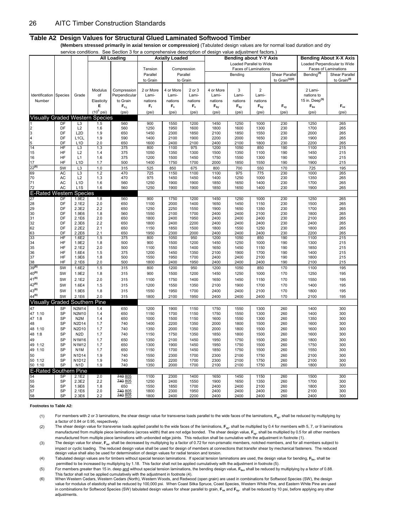#### **Table A2 Design Values for Structural Glued Laminated Softwood Timber**

 **(Members stressed primarily in axial tension or compression)** (Tabulated design values are for normal load duration and dry

|                                        |           |                                      |              | service conditions. See Section 3 for a comprehensive description of design value adjustment factors.) |              |                       |                           |                 |                               |                            |                            |                            |                               |
|----------------------------------------|-----------|--------------------------------------|--------------|--------------------------------------------------------------------------------------------------------|--------------|-----------------------|---------------------------|-----------------|-------------------------------|----------------------------|----------------------------|----------------------------|-------------------------------|
|                                        |           |                                      |              | <b>All Loading</b>                                                                                     |              | <b>Axially Loaded</b> |                           |                 | <b>Bending about Y-Y Axis</b> |                            |                            |                            | <b>Bending About X-X Axis</b> |
|                                        |           |                                      |              |                                                                                                        |              |                       |                           |                 | Loaded Parallel to Wide       |                            |                            |                            | Loaded Perpendicular to Wide  |
|                                        |           |                                      |              |                                                                                                        | Tension      |                       | Compression               |                 |                               | Faces of Laminations       |                            |                            | Faces of Laminations          |
|                                        |           |                                      |              |                                                                                                        | Parallel     |                       | Parallel                  |                 | Bending                       |                            | Shear Parallel             | Bending <sup>(4)</sup>     | Shear Parallel                |
|                                        |           |                                      |              |                                                                                                        | to Grain     |                       | to Grain                  |                 |                               |                            | to Grain <sup>(1)(2)</sup> |                            | to Grain <sup>(3)</sup>       |
|                                        |           |                                      |              |                                                                                                        |              |                       |                           |                 |                               |                            |                            |                            |                               |
|                                        |           |                                      | Modulus      | Compression                                                                                            | 2 or More    | 4 or More             | 2 or 3                    | 4 or More       | 3                             | $\overline{2}$             |                            | 2 Lami-                    |                               |
| Identification                         | Species   | Grade                                | of           | Perpendicular                                                                                          | Lami-        | Lami-                 | Lami-                     | Lami-           | Lami-                         | Lami-                      |                            | nations to                 |                               |
| Number                                 |           |                                      | Elasticity   | to Grain                                                                                               | nations      | nations               | nations                   | nations         | nations                       | nations                    |                            | 15 in. Deep <sup>(5)</sup> |                               |
|                                        |           |                                      | Е            | $F_{c1}$                                                                                               | $F_t$        | $F_c$                 | $\mathsf{F}_{\mathsf{c}}$ | $F_{\text{by}}$ | $F_{by}$                      | $\mathsf{F}_{\mathsf{by}}$ | $F_{vy}$                   | $F_{\rm bx}$               | $F_{vx}$                      |
|                                        |           |                                      | $(10^6$ psi) | (psi)                                                                                                  | (psi)        | (psi)                 | (psi)                     | (psi)           | (psi)                         | (psi)                      | (psi)                      | (psi)                      | (psi)                         |
| <b>Visually Graded Western Species</b> |           |                                      |              |                                                                                                        |              |                       |                           |                 |                               |                            |                            |                            |                               |
|                                        | DF        | L <sub>3</sub>                       | 1.5          | 560                                                                                                    | 900          | 1550                  | 1200                      | 1450            | 1250                          | 1000                       | 230                        | 1250                       | 265                           |
| $\overline{2}$<br>3                    | DF<br>DF  | L2<br>L <sub>2</sub> D               | 1.6<br>1.9   | 560<br>650                                                                                             | 1250<br>1450 | 1950<br>2300          | 1600<br>1850              | 1800<br>2100    | 1600<br>1850                  | 1300<br>1550               | 230<br>230                 | 1700<br>2000               | 265<br>265                    |
| 4                                      | DF        | L <sub>1</sub> CL                    | 1.9          | 590                                                                                                    | 1400         | 2100                  | 1900                      | 2200            | 2000                          | 1650                       | 230                        | 1900                       | 265                           |
| 5                                      | DF        | L <sub>1</sub> D                     | 2.0          | 650                                                                                                    | 1600         | 2400                  | 2100                      | 2400            | 2100                          | 1800                       | 230                        | 2200                       | 265                           |
| 14                                     | HF        | L <sub>3</sub>                       | 1.3          | 375                                                                                                    | 800          | 1100                  | 975                       | 1200            | 1050                          | 850                        | 190                        | 1100                       | 215                           |
| 15                                     | HF        | L2                                   | 1.4          | 375                                                                                                    | 1050         | 1350                  | 1300                      | 1500            | 1350                          | 1100                       | 190                        | 1450                       | 215                           |
| 16                                     | HF        | L1                                   | 1.6          | 375                                                                                                    | 1200         | 1500                  | 1450                      | 1750            | 1550                          | 1300                       | 190                        | 1600                       | 215                           |
| 17                                     | HF        | L <sub>1</sub> D                     | 1.7          | 500                                                                                                    | 1400         | 1750                  | 1700                      | 2000            | 1850                          | 1550                       | 190                        | 1900                       | 215                           |
| $22^{(6)}$                             | SW        | L3                                   | 1.0          | 315                                                                                                    | 525          | 850                   | 675                       | 800             | 700                           | 550                        | 170                        | 725                        | 195                           |
| 69                                     | AC        | L <sub>3</sub>                       | 1.2          | 470                                                                                                    | 725          | 1150                  | 1100                      | 1100            | 975                           | 775                        | 230                        | 1000                       | 265                           |
| 70                                     | AC        | L2                                   | 1.3          | 470                                                                                                    | 975          | 1450                  | 1450                      | 1400            | 1250                          | 1000                       | 230                        | 1350                       | 265                           |
| 71<br>72                               | AC<br>AC  | L <sub>1</sub> D<br>L <sub>1</sub> S | 1.6<br>1.6   | 560<br>560                                                                                             | 1250<br>1250 | 1900<br>1900          | 1900<br>1900              | 1850<br>1850    | 1650<br>1650                  | 1400<br>1400               | 230<br>230                 | 1700<br>1900               | 265<br>265                    |
|                                        |           |                                      |              |                                                                                                        |              |                       |                           |                 |                               |                            |                            |                            |                               |
| <b>E-Rated Western</b><br>27           | DF        | <b>Species</b>                       |              |                                                                                                        |              |                       |                           |                 |                               |                            |                            |                            |                               |
| 28                                     | DF        | 1.9E2<br>2.1E2                       | 1.8<br>2.0   | 560<br>650                                                                                             | 900<br>1100  | 1750<br>2000          | 1200<br>1400              | 1450<br>1650    | 1250<br>1450                  | 1000<br>1150               | 230<br>230                 | 1250<br>1500               | 265<br>265                    |
| 29                                     | DF        | 2.3E2                                | 2.2          | 650                                                                                                    | 1250         | 2250                  | 1550                      | 1900            | 1650                          | 1350                       | 230                        | 1700                       | 265                           |
| 30                                     | DF        | 1.9E6                                | 1.8          | 560                                                                                                    | 1550         | 2100                  | 1700                      | 2400            | 2400                          | 2100                       | 230                        | 1800                       | 265                           |
| 31                                     | DF        | 2.1E6                                | 2.0          | 650                                                                                                    | 1800         | 2400                  | 1950                      | 2400            | 2400                          | 2400                       | 230                        | 2100                       | 265                           |
| 32                                     | DF        | 2.3E6                                | 2.2          | 650                                                                                                    | 1800         | 2400                  | 2200                      | 2400            | 2400                          | 2400                       | 230                        | 2400                       | 265                           |
| 62                                     | DF        | 2.2E2                                | 2.1          | 650                                                                                                    | 1150         | 1850                  | 1500                      | 1800            | 1550                          | 1250                       | 230                        | 1800                       | 265                           |
| 63                                     | DF        | 2.2E6                                | 2.1          | 650                                                                                                    | 1950         | 2300                  | 2000                      | 2400            | 2400                          | 2400                       | 230                        | 2200                       | 265                           |
| 33                                     | HF        | 1.6E2                                | 1.5          | 375                                                                                                    | 800          | 1050                  | 950                       | 1200            | 1050                          | 850                        | 190                        | 1100                       | 215                           |
| 34<br>35                               | HF<br>HF  | 1.9E2<br>2.1E2                       | 1.8<br>2.0   | 500<br>500                                                                                             | 900<br>1100  | 1500<br>1550          | 1200<br>1400              | 1450<br>1650    | 1250<br>1450                  | 1000<br>1150               | 190<br>190                 | 1300<br>1850               | 215<br>215                    |
| 36                                     | HF        | 1.6E4                                | 1.5          | 375                                                                                                    | 1200         | 1450                  | 1350                      | 2100            | 1900                          | 1700                       | 190                        | 1400                       | 215                           |
| 37                                     | HF        | 1.9E6                                | 1.8          | 500                                                                                                    | 1550         | 1950                  | 1700                      | 2400            | 2400                          | 2100                       | 190                        | 1800                       | 215                           |
| 38                                     | HF        | 2.1E6                                | 2.0          | 500                                                                                                    | 1800         | 2400                  | 1950                      | 2400            | 2400                          | 2400                       | 190                        | 2100                       | 215                           |
| 39(6)                                  | SW        | 1.6E2                                | 1.5          | 315                                                                                                    | 800          | 1200                  | 950                       | 1200            | 1050                          | 850                        | 170                        | 1100                       | 195                           |
| $40^{(6)}$                             | SW        | 1.9E2                                | 1.8          | 315                                                                                                    | 900          | 1500                  | 1200                      | 1450            | 1250                          | 1000                       | 170                        | 1250                       | 195                           |
| $41^{(6)}$                             | SW        | 2.1E2                                | 2.0          | 315                                                                                                    | 1100         | 1750                  | 1400                      | 1650            | 1450                          | 1150                       | 170                        | 1550                       | 195                           |
| $42^{(6)}$                             | SW        | 1.6E4                                | 1.5          | 315                                                                                                    | 1200         | 1550                  | 1350                      | 2100            | 1900                          | 1700                       | 170                        | 1400                       | 195                           |
| $43^{(6)}$                             | SW        | 1.9E6                                | 1.8          | 315                                                                                                    | 1550         | 1950                  | 1700                      | 2400            | 2400                          | 2100                       | 170                        | 1800                       | 195                           |
| $44^{(6)}$                             | SW        | 2.1E6                                | 2.0          | 315                                                                                                    | 1800         | 2100                  | 1950                      | 2400            | 2400                          | 2400                       | 170                        | 2100                       | 195                           |
| <b>Visually Graded</b>                 |           | Southern                             | Pine         |                                                                                                        |              |                       |                           |                 |                               |                            |                            |                            |                               |
| 47                                     |           |                                      |              |                                                                                                        |              |                       |                           |                 |                               |                            |                            |                            |                               |
| 47 1:10                                | SP<br>SP  | <b>N2M14</b><br>N2M10                | 1.4<br>1.4   | 650<br>650                                                                                             | 1200<br>1150 | 1900<br>1700          | 1150<br>1150              | 1750<br>1750    | 1550<br>1550                  | 1300<br>1300               | 260<br>260                 | 1400<br>1400               | 300<br>300                    |
| 47 1:8                                 | SP        | N <sub>2</sub> M                     | 1.4          | 650                                                                                                    | 1000         | 1500                  | 1150                      | 1600            | 1550                          | 1300                       | 260                        | 1350                       | 300                           |
| 48                                     | SP        | N2D14                                | 1.7          | 740                                                                                                    | 1400         | 2200                  | 1350                      | 2000            | 1800                          | 1500                       | 260                        | 1600                       | 300                           |
| 48 1:10                                | SP        | N2D10                                | 1.7          | 740                                                                                                    | 1350         | 2000                  | 1350                      | 2000            | 1800                          | 1500                       | 260                        | 1600                       | 300                           |
| 48 1:8                                 | SP        | N <sub>2</sub> D                     | 1.7          | 740                                                                                                    | 1150         | 1750                  | 1350                      | 1850            | 1800                          | 1500                       | 260                        | 1600                       | 300                           |
| 49                                     | SP        | N1M16                                | 1.7          | 650                                                                                                    | 1350         | 2100                  | 1450                      | 1950            | 1750                          | 1500                       | 260                        | 1800                       | 300                           |
| 49<br>1:12                             | SP        | N1M12                                | 1.7          | 650                                                                                                    | 1300         | 1900                  | 1450                      | 1950            | 1750                          | 1500                       | 260                        | 1750                       | 300                           |
| 49 1:10                                | SP        | N <sub>1</sub> M                     | 1.7          | 650                                                                                                    | 1150         | 1700                  | 1450                      | 1850            | 1750                          | 1500                       | 260                        | 1550                       | 300                           |
| 50                                     | SP        | <b>N1D14</b>                         | 1.9          | 740                                                                                                    | 1550         | 2300                  | 1700                      | 2300            | 2100                          | 1750                       | 260                        | 2100                       | 300                           |
| 50 1:12                                | SP        | N1D12                                | 1.9          | 740                                                                                                    | 1550         | 2200                  | 1700                      | 2300            | 2100                          | 1750                       | 260                        | 2100                       | 300                           |
| 50 1:10                                | SP        | N <sub>1</sub> D                     | 1.9          | 740                                                                                                    | 1350         | 2000                  | 1700                      | 2100            | 2100                          | 1750                       | 260                        | 1800                       | 300                           |
| <b>E-Rated Southern Pine</b>           |           |                                      |              |                                                                                                        |              |                       |                           |                 |                               |                            |                            |                            |                               |
| 54                                     | SP        | 2.1E2                                | 2.0          | 740 805                                                                                                | 1100         | 2300                  | 1400                      | 1650            | 1450                          | 1150                       | 260                        | 1500                       | 300                           |
| 55                                     | <b>SP</b> | 2.3E2                                | 2.2          | 740 805                                                                                                | 1250         | 2400                  | 1550                      | 1900            | 1650                          | 1350                       | 260                        | 1700                       | 300                           |
| 56                                     | SP        | 1.9E6                                | 1.8          | 650                                                                                                    | 1550         | 1850                  | 1700                      | 2400            | 2400                          | 2100                       | 260                        | 1800                       | 300                           |
| 57                                     | SP<br>SP  | 2.1E6                                | 2.0          | 740 805<br>740 805                                                                                     | 1800         | 2300                  | 1950                      | 2400            | 2400                          | 2400                       | 260                        | 2100                       | 300                           |
| 58                                     |           | 2.3E6                                | 2.2          |                                                                                                        | 1800         | 2400                  | 2200                      | 2400            | 2400                          | 2400                       | 260                        | 2400                       | 300                           |

**Footnotes to Table A2:**

(1) For members with 2 or 3 laminations, the shear design value for transverse loads parallel to the wide faces of the laminations, **Fvy**, shall be reduced by multiplying by a factor of 0.84 or 0.95, respectively.

(2) The shear design value for transverse loads applied parallel to the wide faces of the laminations, **Fvy**, shall be multiplied by 0.4 for members with 5, 7, or 9 laminations manufactured from multiple piece laminations (across width) that are not edge bonded. The shear design value, **Fvy**, shall be multiplied by 0.5 for all other members manufactured from multiple piece laminations with unbonded edge joints. This reduction shall be cumulative with the adjustment in footnote (1).

(3) The design value for shear, F<sub>vx</sub>, shall be decreased by multiplying by a factor of 0.72 for non-prismatic members, notched members, and for all members subject to impact or cyclic loading. The reduced design value shall be used for design of members at connections that transfer shear by mechanical fasteners. The reduced design value shall also be used for determination of design values for radial tension and torsion.

(4) Tabulated design values are for timbers without special tension laminations. If special tension laminations are used, the design value for bending, **Fbx**, shall be permitted to be increased by multiplying by 1.18. This factor shall not be applied cumulatively with the adjustment in footnote (5).

(5) For members greater than 15 in. deep and without special tension laminations, the bending design value, **Fbx,** shall be reduced by multiplying by a factor of 0.88. This factor shall not be applied cumulatively with the adjustment in footnote (4).

(6) When Western Cedars, Western Cedars (North), Western Woods, and Redwood (open grain) are used in combinations for Softwood Species (SW), the design value for modulus of elasticity shall be reduced by 100,000 psi. When Coast Sitka Spruce, Coast Species, Western White Pine, and Eastern White Pine are used in combinations for Softwood Species (SW) tabulated design values for shear parallel to grain, F<sub>vx</sub> and F<sub>w</sub>, shall be reduced by 10 psi, before applying any other adjustments.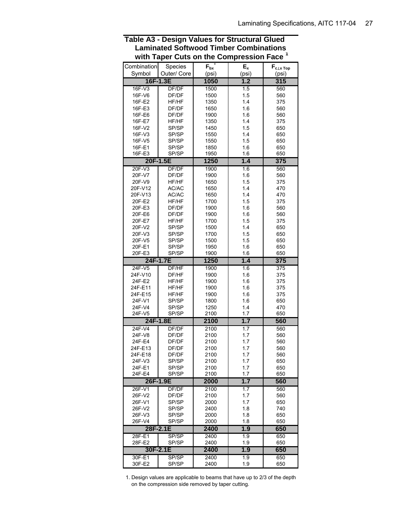|                   | with Taper Cuts on the Compression Face |                              |            | ш                   |
|-------------------|-----------------------------------------|------------------------------|------------|---------------------|
| Combination       | Species                                 | $F_{\text{bx}}$ <sup>+</sup> | $E_x$      | $F_{c\perp x\;Top}$ |
| Symbol            | Outer/ Core                             | (psi)                        | (psi)      | (psi)               |
|                   | 16F-1.3E                                | 1050                         | 1.2        | $\overline{315}$    |
| $16F-V3$          | DF/DF                                   | 1500                         | 1.5        | 560                 |
| 16F-V6            | DF/DF                                   | 1500                         | 1.5        | 560                 |
| 16F-E2            | HF/HF                                   | 1350                         | 1.4        | 375                 |
| 16F-E3            | DF/DF                                   | 1650                         | 1.6        | 560                 |
| 16F-E6            | DF/DF                                   | 1900                         | 1.6        | 560                 |
| 16F-E7            | HF/HF                                   | 1350                         | 1.4        | 375                 |
| 16F-V2            | SP/SP                                   | 1450                         | 1.5        | 650                 |
| 16F-V3            | SP/SP                                   | 1550                         | 1.4        | 650                 |
| 16F-V5            | SP/SP                                   | 1550<br>1850                 | 1.5        | 650<br>650          |
| 16F-E1<br>16F-E3  | SP/SP<br>SP/SP                          | 1950                         | 1.6<br>1.6 | 650                 |
|                   | 20F-1.5E                                | 1250                         | 1.4        | 375                 |
| $20F-V3$          | DF/DF                                   | 1900                         | 1.6        | 560                 |
| 20F-V7            | DF/DF                                   | 1900                         | 1.6        | 560                 |
| 20F-V9            | HF/HF                                   | 1650                         | 1.5        | 375                 |
| 20F-V12           | AC/AC                                   | 1650                         | 1.4        | 470                 |
| 20F-V13           | AC/AC                                   | 1650                         | 1.4        | 470                 |
| 20F-E2            | HF/HF                                   | 1700                         | 1.5        | 375                 |
| 20F-E3            | DF/DF                                   | 1900                         | 1.6        | 560                 |
| 20F-E6            | DF/DF                                   | 1900                         | 1.6        | 560                 |
| 20F-E7            | HF/HF                                   | 1700                         | 1.5        | 375                 |
| 20F-V2            | SP/SP                                   | 1500                         | 1.4        | 650                 |
| 20F-V3            | SP/SP                                   | 1700                         | 1.5        | 650                 |
| 20F-V5            | SP/SP                                   | 1500                         | 1.5        | 650                 |
| 20F-E1            | SP/SP                                   | 1950                         | 1.6        | 650                 |
| 20F-E3            | SP/SP                                   | 1900                         | 1.6        | 650                 |
|                   | 24F-1.7E                                | 1250                         | 1.4        | 375                 |
| $24F-V5$          | DF/HF                                   | 1900                         | 1.6        | 375                 |
| 24F-V10           | DF/HF                                   | 1900                         | 1.6        | 375                 |
| 24F-E2            | HF/HF                                   | 1900                         | 1.6        | 375                 |
| 24F-E11           | HF/HF                                   | 1900                         | 1.6        | 375                 |
| 24F-E15           | HF/HF                                   | 1900                         | 1.6        | 375                 |
| 24F-V1            | SP/SP                                   | 1800                         | 1.6        | 650                 |
| 24F-V4            | SP/SP                                   | 1250                         | 1.4        | 470                 |
| 24F-V5            | SP/SP                                   | 2100                         | 1.7        | 650                 |
|                   | 24F-1.8E                                | 2100                         | 1.7        | 560                 |
| 24F-V4            | DF/DF                                   | 2100                         | 1.7        | 560                 |
| 24F-V8            | DF/DF                                   | 2100                         | 1.7        | 560                 |
| 24F-E4<br>24F-E13 | DF/DF<br>DF/DF                          | 2100<br>2100                 | 1.7<br>1.7 | 560<br>560          |
| 24F-E18           | DF/DF                                   | 2100                         | 1.7        | 560                 |
| 24F-V3            | SP/SP                                   | 2100                         | 1.7        | 650                 |
| 24F-E1            | SP/SP                                   | 2100                         | 1.7        | 650                 |
| 24F-E4            | SP/SP                                   | 2100                         | 1.7        | 650                 |
|                   | 26F-1.9E                                | 2000                         | 1.7        | 560                 |
| 26F-V1            | DF/DF                                   | 2100                         | 1.7        | 560                 |
| 26F-V2            | DF/DF                                   | 2100                         | 1.7        | 560                 |
| 26F-V1            | SP/SP                                   | 2000                         | 1.7        | 650                 |
| 26F-V2            | SP/SP                                   | 2400                         | 1.8        | 740                 |
| 26F-V3            | SP/SP                                   | 2000                         | 1.8        | 650                 |
| 26F-V4            | SP/SP                                   | 2000                         | 1.8        | 650                 |
|                   | 28F-2.1E                                | 2400                         | 1.9        | 650                 |
| 28F-E1            | SP/SP                                   | 2400                         | 1.9        | 650                 |
| 28F-E2            | SP/SP                                   | 2400                         | 1.9        | 650                 |
|                   | 30F-2.1E                                | 2400                         | 1.9        | 650                 |
| 30F-E1            | SP/SP                                   | 2400                         | 1.9        | 650                 |
| 30F-E2            | SP/SP                                   | 2400                         | 1.9        | 650                 |

## **Table A3 - Design Values for Structural Glued Laminated Softwood Timber Combinations with Taper Cuts on the Compression Face <sup>1</sup>**

 1. Design values are applicable to beams that have up to 2/3 of the depth on the compression side removed by taper cutting.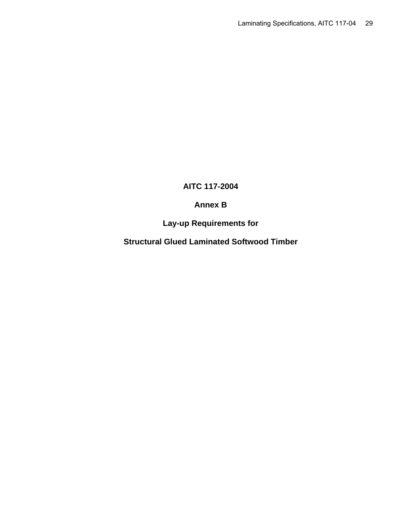# **AITC 117-2004**

# **Annex B**

# **Lay-up Requirements for**

**Structural Glued Laminated Softwood Timber**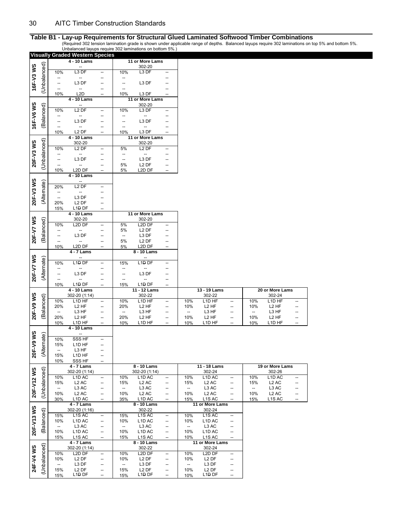|            |              |                                 | <b>Visually Graded Western Species</b>              |                          |                                 |                                                     |                          |                                 |                                          |                                   |            |                                          |                          |
|------------|--------------|---------------------------------|-----------------------------------------------------|--------------------------|---------------------------------|-----------------------------------------------------|--------------------------|---------------------------------|------------------------------------------|-----------------------------------|------------|------------------------------------------|--------------------------|
|            |              |                                 | 4 - 10 Lams                                         |                          |                                 | 11 or More Lams                                     |                          |                                 |                                          |                                   |            |                                          |                          |
| 16F-V3 WS  | (Unbalanced) | 10%                             | L3 DF                                               | --                       | 10%                             | 302-20<br>L3 DF                                     | --                       |                                 |                                          |                                   |            |                                          |                          |
|            |              | ÷                               | --                                                  | --                       | --                              |                                                     |                          |                                 |                                          |                                   |            |                                          |                          |
|            |              | $\overline{\phantom{a}}$        | L3 DF                                               | Ξ.                       | Ξ.                              | L3 DF                                               |                          |                                 |                                          |                                   |            |                                          |                          |
|            |              | --                              | $\overline{\phantom{a}}$                            | --                       | --                              |                                                     |                          |                                 |                                          |                                   |            |                                          |                          |
|            |              | 10%                             | L <sub>2</sub> D                                    | --                       | 10%                             | L3 DF                                               |                          |                                 |                                          |                                   |            |                                          |                          |
|            |              |                                 | 4 - 10 Lams                                         |                          |                                 | 11 or More Lams<br>302-20                           |                          |                                 |                                          |                                   |            |                                          |                          |
| 16F-V6 WS  | (Balanced)   | 10%                             | L <sub>2</sub> DF                                   | --                       | 10%                             | L3 DF                                               | $\overline{\phantom{a}}$ |                                 |                                          |                                   |            |                                          |                          |
|            |              |                                 | --                                                  |                          | --                              |                                                     |                          |                                 |                                          |                                   |            |                                          |                          |
|            |              | $\overline{\phantom{a}}$        | L <sub>3</sub> DF                                   | --                       | <u></u>                         | L3 DF                                               |                          |                                 |                                          |                                   |            |                                          |                          |
|            |              | $\overline{\phantom{a}}$<br>10% | --<br>L <sub>2</sub> DF                             | --                       | $\overline{\phantom{a}}$<br>10% | L3 DF                                               |                          |                                 |                                          |                                   |            |                                          |                          |
|            |              |                                 | 4 - 10 Lams                                         |                          |                                 | 11 or More Lams                                     |                          |                                 |                                          |                                   |            |                                          |                          |
| 20F-V3 WS  | (Unbalanced) |                                 | 302-20                                              |                          |                                 | 302-20                                              |                          |                                 |                                          |                                   |            |                                          |                          |
|            |              | 10%                             | L <sub>2</sub> DF                                   | --                       | 5%                              | L <sub>2</sub> DF                                   | $\overline{\phantom{a}}$ |                                 |                                          |                                   |            |                                          |                          |
|            |              | --                              | $\overline{\phantom{a}}$<br>L <sub>3</sub> DF       | --<br>--                 | --<br>$\overline{\phantom{a}}$  | --<br>L3 DF                                         |                          |                                 |                                          |                                   |            |                                          |                          |
|            |              | $\overline{a}$                  | --                                                  | -−                       | 5%                              | L <sub>2</sub> DF                                   | $\overline{\phantom{a}}$ |                                 |                                          |                                   |            |                                          |                          |
|            |              | 10%                             | L <sub>2</sub> D DF                                 | --                       | 5%                              | L2D DF                                              |                          |                                 |                                          |                                   |            |                                          |                          |
|            |              |                                 | 4 - 10 Lams                                         |                          |                                 |                                                     |                          |                                 |                                          |                                   |            |                                          |                          |
| 20F-V3 WS  | (Alternate)  | 20%                             | L <sub>2</sub> DF                                   | --                       |                                 |                                                     |                          |                                 |                                          |                                   |            |                                          |                          |
|            |              | --                              | --                                                  |                          |                                 |                                                     |                          |                                 |                                          |                                   |            |                                          |                          |
|            |              | $\overline{\phantom{a}}$        | L3 DF                                               |                          |                                 |                                                     |                          |                                 |                                          |                                   |            |                                          |                          |
|            |              | 20%                             | L <sub>2</sub> DF                                   | --                       |                                 |                                                     |                          |                                 |                                          |                                   |            |                                          |                          |
|            |              | 15%                             | L1 <del>D</del> DF<br>4 - 10 Lams                   |                          |                                 | 11 or More Lams                                     |                          |                                 |                                          |                                   |            |                                          |                          |
|            |              |                                 | 302-20                                              |                          |                                 | 302-20                                              |                          |                                 |                                          |                                   |            |                                          |                          |
| 20F-V7 WS  | (Balanced)   | 10%                             | L2D DF                                              |                          | 5%                              | L2D DF                                              |                          |                                 |                                          |                                   |            |                                          |                          |
|            |              | $\overline{\phantom{a}}$        | $\overline{\phantom{a}}$                            | Ξ.                       | 5%                              | L <sub>2</sub> DF                                   |                          |                                 |                                          |                                   |            |                                          |                          |
|            |              | --<br>--                        | L3 DF                                               | --<br>--                 | $\overline{\phantom{a}}$<br>5%  | L3 DF<br>L <sub>2</sub> DF                          |                          |                                 |                                          |                                   |            |                                          |                          |
|            |              | 10%                             | L2D DF                                              | --                       | 5%                              | L <sub>2</sub> D DF                                 |                          |                                 |                                          |                                   |            |                                          |                          |
|            |              |                                 | 4 - 7 Lams                                          |                          |                                 | 8 - 10 Lams                                         |                          |                                 |                                          |                                   |            |                                          |                          |
| 20F-V7 WS  |              |                                 |                                                     |                          |                                 |                                                     |                          |                                 |                                          |                                   |            |                                          |                          |
|            | (Alternate)  | 10%                             | L1D DF                                              | --                       | 15%                             | L1D <sub>DF</sub>                                   |                          |                                 |                                          |                                   |            |                                          |                          |
|            |              | --                              | L <sub>3</sub> DF                                   | --                       | --                              | L3 DF                                               | --                       |                                 |                                          |                                   |            |                                          |                          |
|            |              | --                              | --                                                  | --                       | $\overline{\phantom{a}}$        | $\overline{\phantom{a}}$                            |                          |                                 |                                          |                                   |            |                                          |                          |
|            |              | 10%                             | L1 <del>D</del> DF                                  |                          | 15%                             | L1D DF                                              |                          |                                 |                                          |                                   |            |                                          |                          |
|            |              |                                 |                                                     |                          |                                 |                                                     |                          |                                 | 13 - 19 Lams                             |                                   |            | 20 or More Lams                          |                          |
|            |              |                                 | 4 - 10 Lams                                         |                          |                                 | 11 - 12 Lams                                        |                          |                                 |                                          |                                   |            |                                          |                          |
|            |              | 10%                             | 302-20 (1:14)<br>L <sub>1</sub> D HF                | -−                       | 10%                             | 302-22<br>L <sub>1</sub> D HF                       | $\overline{\phantom{a}}$ | 10%                             | 302-22<br>L <sub>1</sub> D HF            | $\overline{a}$                    | 10%        | 302-24<br>L <sub>1</sub> D HF            |                          |
|            |              | 20%                             | L <sub>2</sub> HF                                   | --                       | 20%                             | L <sub>2</sub> HF                                   | $\overline{\phantom{a}}$ | 10%                             | L <sub>2</sub> HF                        | $\overline{\phantom{a}}$          | 10%        | L <sub>2</sub> HF                        |                          |
|            |              | $\overline{\phantom{a}}$        | L3 HF                                               | --                       | $\overline{\phantom{a}}$        | L3 HF                                               | $\overline{\phantom{a}}$ | --                              | L3 HF                                    | $\overline{\phantom{a}}$          | --         | L3 HF                                    |                          |
| 20F-V9 WS  | Balanced)    | 20%                             | L <sub>2</sub> HF                                   | --                       | 20%                             | L <sub>2</sub> HF                                   | $\overline{\phantom{a}}$ | 10%                             | L <sub>2</sub> HF                        |                                   | 10%        | L <sub>2</sub> HF                        |                          |
|            |              | 10%                             | L1D HF                                              |                          | 10%                             | L1D HF                                              |                          | 10%                             | L1D HF                                   |                                   | 10%        | L1D HF                                   |                          |
|            |              |                                 | $4 - 10$ Lams                                       |                          |                                 |                                                     |                          |                                 |                                          |                                   |            |                                          |                          |
|            |              | 10%                             | SSS HF                                              | -−                       |                                 |                                                     |                          |                                 |                                          |                                   |            |                                          |                          |
|            |              | 15%                             | L <sub>1</sub> D HF                                 | --                       |                                 |                                                     |                          |                                 |                                          |                                   |            |                                          |                          |
|            | (Alternate)  | $\overline{\phantom{a}}$<br>15% | L3 HF<br>L1D HF                                     | --                       |                                 |                                                     |                          |                                 |                                          |                                   |            |                                          |                          |
| 20F-V9 WS  |              | 10%                             | SSS HF                                              | --                       |                                 |                                                     |                          |                                 |                                          |                                   |            |                                          |                          |
|            |              |                                 | 4 - 7 Lams                                          |                          |                                 | $8 - 10$ Lams                                       |                          |                                 | 11 - 18 Lams                             |                                   |            | 19 or More Lams                          |                          |
|            |              |                                 | 302-20 (1:14)                                       | $\overline{\phantom{a}}$ |                                 | 302-20 (1:14)                                       | $\overline{\phantom{a}}$ |                                 | 302-24<br>L <sub>1</sub> D <sub>AC</sub> | $\overline{\phantom{a}}$          |            | 302-26<br>L <sub>1</sub> D <sub>AC</sub> |                          |
|            |              | 10%<br>15%                      | L <sub>1</sub> D <sub>AC</sub><br>L <sub>2</sub> AC | --                       | 10%<br>15%                      | L <sub>1</sub> D <sub>AC</sub><br>L <sub>2</sub> AC | --                       | 10%<br>15%                      | L <sub>2</sub> AC                        | --                                | 10%<br>15% | L <sub>2</sub> AC                        |                          |
|            |              | --                              | L3 AC                                               | --                       | --                              | L3 AC                                               | --                       | --                              | L3 AC                                    | $\overline{\phantom{a}}$          | --         | L3 AC                                    | --                       |
| 20F-V12 WS | (Unbalanced) | 10%                             | L <sub>2</sub> AC                                   | --                       | 10%                             | L <sub>2</sub> AC                                   | --                       | 10%                             | L <sub>2</sub> AC                        | --                                | 10%        | L <sub>2</sub> AC                        | --                       |
|            |              | 30%                             | L1D AC                                              | --                       | 35%                             | L1D AC                                              | $\overline{\phantom{a}}$ | 15%                             | L1S AC                                   | $\overline{a}$                    | 15%        | L1S AC                                   | $\overline{\phantom{a}}$ |
|            |              |                                 | 4 - 7 Lams<br>302-20 (1:16)                         |                          |                                 | $8 - 10$ Lams<br>302-22                             |                          |                                 | 11 or More Lams<br>302-24                |                                   |            |                                          |                          |
|            |              | 15%                             | L <sub>1</sub> S AC                                 | $\overline{\phantom{a}}$ | 15%                             | L <sub>1</sub> S AC                                 | --                       | 10%                             | L1S AC                                   | $\overline{\phantom{a}}$          |            |                                          |                          |
|            |              | 10%                             | L <sub>1</sub> D <sub>AC</sub>                      | --                       | 10%                             | L <sub>1</sub> D <sub>AC</sub>                      | --                       | 10%                             | L <sub>1</sub> D <sub>AC</sub>           | --                                |            |                                          |                          |
|            |              | $\overline{\phantom{a}}$        | L <sub>3</sub> AC                                   | --<br>--                 | --                              | L3 AC                                               | --<br>$\qquad \qquad -$  | --                              | L3 AC                                    | $\overline{\phantom{a}}$<br>--    |            |                                          |                          |
| 20F-V13 WS | (Balanced)   | 10%<br>15%                      | L1D AC<br>L1S AC                                    | --                       | 10%<br>15%                      | L <sub>1</sub> D <sub>AC</sub><br>L1S AC            | $\overline{\phantom{a}}$ | 10%<br>10%                      | L <sub>1</sub> D <sub>AC</sub><br>L1S AC | $\hspace{0.05cm} \dashrightarrow$ |            |                                          |                          |
|            |              |                                 | 4 - 7 Lams                                          |                          |                                 | 8 - 10 Lams                                         |                          |                                 | 11 or More Lams                          |                                   |            |                                          |                          |
|            |              |                                 | 302-20 (1:14)                                       |                          |                                 | 302-22                                              |                          |                                 | 302-24                                   |                                   |            |                                          |                          |
|            |              | 10%                             | L2D DF                                              | --                       | 10%                             | L2D DF                                              | $\overline{\phantom{a}}$ | 10%                             | L <sub>2</sub> D DF                      | $\qquad \qquad -$                 |            |                                          |                          |
|            |              | 10%<br>$\overline{\phantom{a}}$ | L <sub>2</sub> DF                                   | --<br>--                 | 10%<br>$\overline{\phantom{a}}$ | L <sub>2</sub> DF                                   | --<br>--                 | 10%<br>$\overline{\phantom{a}}$ | L <sub>2</sub> DF<br>L3 DF               | $\overline{\phantom{a}}$<br>--    |            |                                          |                          |
| 24F-V4WS   | (Unbalanced) | 15%                             | L3 DF<br>L <sub>2</sub> DF<br>L1 <del>D</del> DF    | --                       | 15%                             | L3 DF<br>L <sub>2</sub> DF<br>L1 <del>D</del> DF    | --                       | 10%                             | L2 DF<br>L1 <del>D</del> DF              | $\overline{\phantom{a}}$          |            |                                          |                          |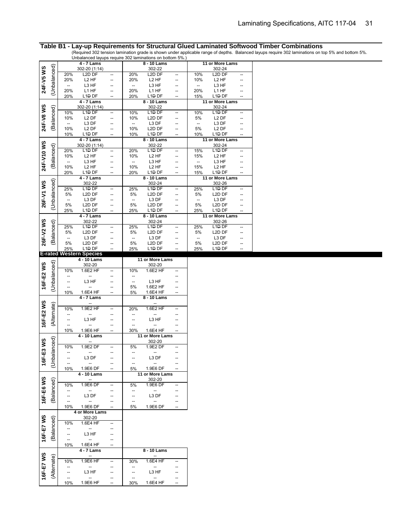| (Unbalanced)<br>24F-V5 WS<br>302-20 (1:14)<br>302-22<br>302-24<br>L <sub>2</sub> D <sub>DF</sub><br>L2D DF<br>L2D DF<br>20%<br>20%<br>10%<br>--<br>$\overline{\phantom{a}}$<br>20%<br>L <sub>2</sub> HF<br>20%<br>L <sub>2</sub> HF<br>10%<br>L <sub>2</sub> HF<br>$\overline{\phantom{a}}$<br>L3 HF<br>L3 HF<br>L3 HF<br>--<br>--<br>--<br>--<br>20%<br>L1 HF<br>20%<br>L1 HF<br>20%<br>L1 HF<br>--<br>L1 <del>D</del> DF<br>L <sub>1</sub> D <sub>DF</sub><br>L <sub>1</sub> D <sub>DF</sub><br>20%<br>20%<br>15%<br>$\overline{\phantom{a}}$<br>4 - 7 Lams<br>8 - 10 Lams<br>11 or More Lams<br>24F-V8 WS<br>302-22<br>302-24<br>(Balanced)<br>302-20 (1:14)<br>L <sub>1</sub> D <sub>DF</sub><br>10%<br>L <sub>1</sub> D <sub>DF</sub><br>10%<br>L1 <del>D</del> DF<br>10%<br>$\overline{\phantom{a}}$<br>$\overline{\phantom{a}}$<br>10%<br>L <sub>2</sub> DF<br>10%<br>L2D DF<br>5%<br>L <sub>2</sub> DF<br>L3 DF<br>L3 DF<br>L3 DF<br>--<br>--<br>--<br>--<br>10%<br>5%<br>10%<br>L <sub>2</sub> DF<br>L <sub>2</sub> D DF<br>L <sub>2</sub> DF<br>L1 <del>D</del> DF<br>L <sub>1</sub> D <sub>DF</sub><br>L <sub>1</sub> D <sub>DF</sub><br>10%<br>10%<br>10%<br>$4 - 7$ Lams<br>$8 - 10$ Lams<br>11 or More Lams<br>24F-V10 WS<br>302-22<br>302-20 (1:14)<br>302-24<br>(Balanced)<br>L1DDF<br>L1 <del>D</del> DF<br>20%<br>L <sub>1</sub> D <sub>DF</sub><br>20%<br>15%<br>L <sub>2</sub> HF<br>L <sub>2</sub> HF<br>L <sub>2</sub> HF<br>10%<br>10%<br>15%<br>L3 HF<br>L3 HF<br>L3 HF<br>--<br>--<br>--<br>L <sub>2</sub> HF<br>L <sub>2</sub> HF<br>10%<br>10%<br>L <sub>2</sub> HF<br>15%<br>L1 <del>D</del> DF<br>L1 <del>D</del> DF<br>L1 <del>D</del> DF<br>20%<br>20%<br>15%<br>--<br>4 - 7 Lams<br>8 - 10 Lams<br>11 or More Lams<br>(Unbalanced)<br>26F-V1 WS<br>302-22<br>302-24<br>302-26<br>L1D <sub>DF</sub><br>L1D DF<br>L1D DF<br>25%<br>25%<br>25%<br>--<br>$\overline{\phantom{a}}$<br>5%<br>L2D DF<br>5%<br>L2D DF<br>5%<br>L <sub>2</sub> D <sub>DF</sub><br>--<br>L3 DF<br>L3 DF<br>L3 DF<br>$\overline{\phantom{a}}$<br>--<br>$\overline{\phantom{a}}$<br>--<br>5%<br>5%<br>5%<br>L <sub>2</sub> D <sub>DF</sub><br>L <sub>2</sub> D DF<br>L <sub>2</sub> D DF<br>L1 <del>D</del> DF<br>L1 <del>D</del> DF<br>L1 <del>D</del> DF<br>25%<br>25%<br>25%<br>--<br>11 or More Lams<br>$4 - 7$ Lams<br>$8 - 10$ Lams<br>26F-V2 WS<br>(Balanced)<br>302-22<br>302-24<br>302-26<br>25%<br>L <sub>1</sub> D <sub>DF</sub><br>25%<br>L1 <del>D</del> DF<br>25%<br>L <sub>1</sub> D <sub>DF</sub><br>--<br>$\overline{a}$<br>5%<br>L2D DF<br>5%<br>L2D DF<br>5%<br>L2D DF<br>--<br>L3 DF<br>L3 DF<br>L3 DF<br>$\overline{\phantom{a}}$<br>--<br>--<br>--<br>$-$ |  |    | $4 - 7$ Lams        |    |    | 8 - 10 Lams         |    | 11 or More Lams |  |
|-------------------------------------------------------------------------------------------------------------------------------------------------------------------------------------------------------------------------------------------------------------------------------------------------------------------------------------------------------------------------------------------------------------------------------------------------------------------------------------------------------------------------------------------------------------------------------------------------------------------------------------------------------------------------------------------------------------------------------------------------------------------------------------------------------------------------------------------------------------------------------------------------------------------------------------------------------------------------------------------------------------------------------------------------------------------------------------------------------------------------------------------------------------------------------------------------------------------------------------------------------------------------------------------------------------------------------------------------------------------------------------------------------------------------------------------------------------------------------------------------------------------------------------------------------------------------------------------------------------------------------------------------------------------------------------------------------------------------------------------------------------------------------------------------------------------------------------------------------------------------------------------------------------------------------------------------------------------------------------------------------------------------------------------------------------------------------------------------------------------------------------------------------------------------------------------------------------------------------------------------------------------------------------------------------------------------------------------------------------------------------------------------------------------------------------------------------------------------------------------------------------------------------------------------------------------------------------------------------------------------------------------------------------------------------------|--|----|---------------------|----|----|---------------------|----|-----------------|--|
|                                                                                                                                                                                                                                                                                                                                                                                                                                                                                                                                                                                                                                                                                                                                                                                                                                                                                                                                                                                                                                                                                                                                                                                                                                                                                                                                                                                                                                                                                                                                                                                                                                                                                                                                                                                                                                                                                                                                                                                                                                                                                                                                                                                                                                                                                                                                                                                                                                                                                                                                                                                                                                                                                     |  |    |                     |    |    |                     |    |                 |  |
|                                                                                                                                                                                                                                                                                                                                                                                                                                                                                                                                                                                                                                                                                                                                                                                                                                                                                                                                                                                                                                                                                                                                                                                                                                                                                                                                                                                                                                                                                                                                                                                                                                                                                                                                                                                                                                                                                                                                                                                                                                                                                                                                                                                                                                                                                                                                                                                                                                                                                                                                                                                                                                                                                     |  |    |                     |    |    |                     |    |                 |  |
|                                                                                                                                                                                                                                                                                                                                                                                                                                                                                                                                                                                                                                                                                                                                                                                                                                                                                                                                                                                                                                                                                                                                                                                                                                                                                                                                                                                                                                                                                                                                                                                                                                                                                                                                                                                                                                                                                                                                                                                                                                                                                                                                                                                                                                                                                                                                                                                                                                                                                                                                                                                                                                                                                     |  |    |                     |    |    |                     |    |                 |  |
|                                                                                                                                                                                                                                                                                                                                                                                                                                                                                                                                                                                                                                                                                                                                                                                                                                                                                                                                                                                                                                                                                                                                                                                                                                                                                                                                                                                                                                                                                                                                                                                                                                                                                                                                                                                                                                                                                                                                                                                                                                                                                                                                                                                                                                                                                                                                                                                                                                                                                                                                                                                                                                                                                     |  |    |                     |    |    |                     |    |                 |  |
|                                                                                                                                                                                                                                                                                                                                                                                                                                                                                                                                                                                                                                                                                                                                                                                                                                                                                                                                                                                                                                                                                                                                                                                                                                                                                                                                                                                                                                                                                                                                                                                                                                                                                                                                                                                                                                                                                                                                                                                                                                                                                                                                                                                                                                                                                                                                                                                                                                                                                                                                                                                                                                                                                     |  |    |                     |    |    |                     |    |                 |  |
|                                                                                                                                                                                                                                                                                                                                                                                                                                                                                                                                                                                                                                                                                                                                                                                                                                                                                                                                                                                                                                                                                                                                                                                                                                                                                                                                                                                                                                                                                                                                                                                                                                                                                                                                                                                                                                                                                                                                                                                                                                                                                                                                                                                                                                                                                                                                                                                                                                                                                                                                                                                                                                                                                     |  |    |                     |    |    |                     |    |                 |  |
|                                                                                                                                                                                                                                                                                                                                                                                                                                                                                                                                                                                                                                                                                                                                                                                                                                                                                                                                                                                                                                                                                                                                                                                                                                                                                                                                                                                                                                                                                                                                                                                                                                                                                                                                                                                                                                                                                                                                                                                                                                                                                                                                                                                                                                                                                                                                                                                                                                                                                                                                                                                                                                                                                     |  |    |                     |    |    |                     |    |                 |  |
|                                                                                                                                                                                                                                                                                                                                                                                                                                                                                                                                                                                                                                                                                                                                                                                                                                                                                                                                                                                                                                                                                                                                                                                                                                                                                                                                                                                                                                                                                                                                                                                                                                                                                                                                                                                                                                                                                                                                                                                                                                                                                                                                                                                                                                                                                                                                                                                                                                                                                                                                                                                                                                                                                     |  |    |                     |    |    |                     |    |                 |  |
|                                                                                                                                                                                                                                                                                                                                                                                                                                                                                                                                                                                                                                                                                                                                                                                                                                                                                                                                                                                                                                                                                                                                                                                                                                                                                                                                                                                                                                                                                                                                                                                                                                                                                                                                                                                                                                                                                                                                                                                                                                                                                                                                                                                                                                                                                                                                                                                                                                                                                                                                                                                                                                                                                     |  |    |                     |    |    |                     |    |                 |  |
|                                                                                                                                                                                                                                                                                                                                                                                                                                                                                                                                                                                                                                                                                                                                                                                                                                                                                                                                                                                                                                                                                                                                                                                                                                                                                                                                                                                                                                                                                                                                                                                                                                                                                                                                                                                                                                                                                                                                                                                                                                                                                                                                                                                                                                                                                                                                                                                                                                                                                                                                                                                                                                                                                     |  |    |                     |    |    |                     |    |                 |  |
|                                                                                                                                                                                                                                                                                                                                                                                                                                                                                                                                                                                                                                                                                                                                                                                                                                                                                                                                                                                                                                                                                                                                                                                                                                                                                                                                                                                                                                                                                                                                                                                                                                                                                                                                                                                                                                                                                                                                                                                                                                                                                                                                                                                                                                                                                                                                                                                                                                                                                                                                                                                                                                                                                     |  |    |                     |    |    |                     |    |                 |  |
|                                                                                                                                                                                                                                                                                                                                                                                                                                                                                                                                                                                                                                                                                                                                                                                                                                                                                                                                                                                                                                                                                                                                                                                                                                                                                                                                                                                                                                                                                                                                                                                                                                                                                                                                                                                                                                                                                                                                                                                                                                                                                                                                                                                                                                                                                                                                                                                                                                                                                                                                                                                                                                                                                     |  |    |                     |    |    |                     |    |                 |  |
|                                                                                                                                                                                                                                                                                                                                                                                                                                                                                                                                                                                                                                                                                                                                                                                                                                                                                                                                                                                                                                                                                                                                                                                                                                                                                                                                                                                                                                                                                                                                                                                                                                                                                                                                                                                                                                                                                                                                                                                                                                                                                                                                                                                                                                                                                                                                                                                                                                                                                                                                                                                                                                                                                     |  |    |                     |    |    |                     |    |                 |  |
|                                                                                                                                                                                                                                                                                                                                                                                                                                                                                                                                                                                                                                                                                                                                                                                                                                                                                                                                                                                                                                                                                                                                                                                                                                                                                                                                                                                                                                                                                                                                                                                                                                                                                                                                                                                                                                                                                                                                                                                                                                                                                                                                                                                                                                                                                                                                                                                                                                                                                                                                                                                                                                                                                     |  |    |                     |    |    |                     |    |                 |  |
|                                                                                                                                                                                                                                                                                                                                                                                                                                                                                                                                                                                                                                                                                                                                                                                                                                                                                                                                                                                                                                                                                                                                                                                                                                                                                                                                                                                                                                                                                                                                                                                                                                                                                                                                                                                                                                                                                                                                                                                                                                                                                                                                                                                                                                                                                                                                                                                                                                                                                                                                                                                                                                                                                     |  |    |                     |    |    |                     |    |                 |  |
|                                                                                                                                                                                                                                                                                                                                                                                                                                                                                                                                                                                                                                                                                                                                                                                                                                                                                                                                                                                                                                                                                                                                                                                                                                                                                                                                                                                                                                                                                                                                                                                                                                                                                                                                                                                                                                                                                                                                                                                                                                                                                                                                                                                                                                                                                                                                                                                                                                                                                                                                                                                                                                                                                     |  |    |                     |    |    |                     |    |                 |  |
|                                                                                                                                                                                                                                                                                                                                                                                                                                                                                                                                                                                                                                                                                                                                                                                                                                                                                                                                                                                                                                                                                                                                                                                                                                                                                                                                                                                                                                                                                                                                                                                                                                                                                                                                                                                                                                                                                                                                                                                                                                                                                                                                                                                                                                                                                                                                                                                                                                                                                                                                                                                                                                                                                     |  |    |                     |    |    |                     |    |                 |  |
|                                                                                                                                                                                                                                                                                                                                                                                                                                                                                                                                                                                                                                                                                                                                                                                                                                                                                                                                                                                                                                                                                                                                                                                                                                                                                                                                                                                                                                                                                                                                                                                                                                                                                                                                                                                                                                                                                                                                                                                                                                                                                                                                                                                                                                                                                                                                                                                                                                                                                                                                                                                                                                                                                     |  |    |                     |    |    |                     |    |                 |  |
|                                                                                                                                                                                                                                                                                                                                                                                                                                                                                                                                                                                                                                                                                                                                                                                                                                                                                                                                                                                                                                                                                                                                                                                                                                                                                                                                                                                                                                                                                                                                                                                                                                                                                                                                                                                                                                                                                                                                                                                                                                                                                                                                                                                                                                                                                                                                                                                                                                                                                                                                                                                                                                                                                     |  |    |                     |    |    |                     |    |                 |  |
|                                                                                                                                                                                                                                                                                                                                                                                                                                                                                                                                                                                                                                                                                                                                                                                                                                                                                                                                                                                                                                                                                                                                                                                                                                                                                                                                                                                                                                                                                                                                                                                                                                                                                                                                                                                                                                                                                                                                                                                                                                                                                                                                                                                                                                                                                                                                                                                                                                                                                                                                                                                                                                                                                     |  |    |                     |    |    |                     |    |                 |  |
|                                                                                                                                                                                                                                                                                                                                                                                                                                                                                                                                                                                                                                                                                                                                                                                                                                                                                                                                                                                                                                                                                                                                                                                                                                                                                                                                                                                                                                                                                                                                                                                                                                                                                                                                                                                                                                                                                                                                                                                                                                                                                                                                                                                                                                                                                                                                                                                                                                                                                                                                                                                                                                                                                     |  |    |                     |    |    |                     |    |                 |  |
|                                                                                                                                                                                                                                                                                                                                                                                                                                                                                                                                                                                                                                                                                                                                                                                                                                                                                                                                                                                                                                                                                                                                                                                                                                                                                                                                                                                                                                                                                                                                                                                                                                                                                                                                                                                                                                                                                                                                                                                                                                                                                                                                                                                                                                                                                                                                                                                                                                                                                                                                                                                                                                                                                     |  |    |                     |    |    |                     |    |                 |  |
|                                                                                                                                                                                                                                                                                                                                                                                                                                                                                                                                                                                                                                                                                                                                                                                                                                                                                                                                                                                                                                                                                                                                                                                                                                                                                                                                                                                                                                                                                                                                                                                                                                                                                                                                                                                                                                                                                                                                                                                                                                                                                                                                                                                                                                                                                                                                                                                                                                                                                                                                                                                                                                                                                     |  |    |                     |    |    |                     |    |                 |  |
|                                                                                                                                                                                                                                                                                                                                                                                                                                                                                                                                                                                                                                                                                                                                                                                                                                                                                                                                                                                                                                                                                                                                                                                                                                                                                                                                                                                                                                                                                                                                                                                                                                                                                                                                                                                                                                                                                                                                                                                                                                                                                                                                                                                                                                                                                                                                                                                                                                                                                                                                                                                                                                                                                     |  |    |                     |    |    |                     |    |                 |  |
|                                                                                                                                                                                                                                                                                                                                                                                                                                                                                                                                                                                                                                                                                                                                                                                                                                                                                                                                                                                                                                                                                                                                                                                                                                                                                                                                                                                                                                                                                                                                                                                                                                                                                                                                                                                                                                                                                                                                                                                                                                                                                                                                                                                                                                                                                                                                                                                                                                                                                                                                                                                                                                                                                     |  |    |                     |    |    |                     |    |                 |  |
|                                                                                                                                                                                                                                                                                                                                                                                                                                                                                                                                                                                                                                                                                                                                                                                                                                                                                                                                                                                                                                                                                                                                                                                                                                                                                                                                                                                                                                                                                                                                                                                                                                                                                                                                                                                                                                                                                                                                                                                                                                                                                                                                                                                                                                                                                                                                                                                                                                                                                                                                                                                                                                                                                     |  |    |                     |    |    |                     |    |                 |  |
|                                                                                                                                                                                                                                                                                                                                                                                                                                                                                                                                                                                                                                                                                                                                                                                                                                                                                                                                                                                                                                                                                                                                                                                                                                                                                                                                                                                                                                                                                                                                                                                                                                                                                                                                                                                                                                                                                                                                                                                                                                                                                                                                                                                                                                                                                                                                                                                                                                                                                                                                                                                                                                                                                     |  |    |                     |    |    |                     |    |                 |  |
|                                                                                                                                                                                                                                                                                                                                                                                                                                                                                                                                                                                                                                                                                                                                                                                                                                                                                                                                                                                                                                                                                                                                                                                                                                                                                                                                                                                                                                                                                                                                                                                                                                                                                                                                                                                                                                                                                                                                                                                                                                                                                                                                                                                                                                                                                                                                                                                                                                                                                                                                                                                                                                                                                     |  |    |                     |    |    |                     |    |                 |  |
|                                                                                                                                                                                                                                                                                                                                                                                                                                                                                                                                                                                                                                                                                                                                                                                                                                                                                                                                                                                                                                                                                                                                                                                                                                                                                                                                                                                                                                                                                                                                                                                                                                                                                                                                                                                                                                                                                                                                                                                                                                                                                                                                                                                                                                                                                                                                                                                                                                                                                                                                                                                                                                                                                     |  |    |                     |    |    |                     |    |                 |  |
|                                                                                                                                                                                                                                                                                                                                                                                                                                                                                                                                                                                                                                                                                                                                                                                                                                                                                                                                                                                                                                                                                                                                                                                                                                                                                                                                                                                                                                                                                                                                                                                                                                                                                                                                                                                                                                                                                                                                                                                                                                                                                                                                                                                                                                                                                                                                                                                                                                                                                                                                                                                                                                                                                     |  |    |                     |    |    |                     |    |                 |  |
|                                                                                                                                                                                                                                                                                                                                                                                                                                                                                                                                                                                                                                                                                                                                                                                                                                                                                                                                                                                                                                                                                                                                                                                                                                                                                                                                                                                                                                                                                                                                                                                                                                                                                                                                                                                                                                                                                                                                                                                                                                                                                                                                                                                                                                                                                                                                                                                                                                                                                                                                                                                                                                                                                     |  |    |                     |    |    |                     |    |                 |  |
|                                                                                                                                                                                                                                                                                                                                                                                                                                                                                                                                                                                                                                                                                                                                                                                                                                                                                                                                                                                                                                                                                                                                                                                                                                                                                                                                                                                                                                                                                                                                                                                                                                                                                                                                                                                                                                                                                                                                                                                                                                                                                                                                                                                                                                                                                                                                                                                                                                                                                                                                                                                                                                                                                     |  |    |                     |    |    |                     |    |                 |  |
|                                                                                                                                                                                                                                                                                                                                                                                                                                                                                                                                                                                                                                                                                                                                                                                                                                                                                                                                                                                                                                                                                                                                                                                                                                                                                                                                                                                                                                                                                                                                                                                                                                                                                                                                                                                                                                                                                                                                                                                                                                                                                                                                                                                                                                                                                                                                                                                                                                                                                                                                                                                                                                                                                     |  | 5% | L <sub>2</sub> D DF | -- | 5% | L <sub>2</sub> D DF | 5% | L2D DF          |  |
| L <sub>1</sub> D <sub>DF</sub><br>L1D DF<br>L1D <sub>DF</sub><br>25%<br>25%<br>25%<br>$\overline{\phantom{a}}$<br><b>F-rated Western Species</b>                                                                                                                                                                                                                                                                                                                                                                                                                                                                                                                                                                                                                                                                                                                                                                                                                                                                                                                                                                                                                                                                                                                                                                                                                                                                                                                                                                                                                                                                                                                                                                                                                                                                                                                                                                                                                                                                                                                                                                                                                                                                                                                                                                                                                                                                                                                                                                                                                                                                                                                                    |  |    |                     |    |    |                     |    |                 |  |

|           |              |                | <b>E-rated Western Species</b> |    |                |                             |     |
|-----------|--------------|----------------|--------------------------------|----|----------------|-----------------------------|-----|
|           |              |                | 4 - 10 Lams                    |    |                | 11 or More Lams             |     |
|           |              |                | 302-20                         |    |                | 302-20                      |     |
| 16F-E2WS  | (Unbalanced) | 10%            | 1.6E2 HF                       |    | 10%            | 1.6E2 HF                    | --  |
|           |              |                |                                |    |                |                             |     |
|           |              |                | L3 HF                          |    | $\overline{a}$ | L3 HF                       |     |
|           |              |                |                                |    | 5%             | 1.6E2 HF                    |     |
|           |              | 10%            | 1.6E4 HF                       |    | 5%             | 1.6E4 HF                    |     |
|           |              |                | $4 - 7$ Lams                   |    |                | 8 - 10 Lams                 |     |
|           |              |                |                                |    |                |                             |     |
| 16F-E2 WS | (Alternate)  | 10%            | 1.9E2 HF                       | -- | 20%            | 1.6E2 HF                    | --  |
|           |              |                | $\overline{\phantom{a}}$       |    |                |                             |     |
|           |              |                | L3 HF                          |    |                | L3 HF                       |     |
|           |              | Ξ.             |                                |    | -−             |                             |     |
|           |              | 10%            | 1.9E6 HF                       |    | 30%            | 1.6E4 HF                    |     |
|           |              |                | 4 - 10 Lams                    |    |                | 11 or More Lams             |     |
|           | (Unbalanced) |                |                                |    |                | 302-20                      |     |
| 16F-E3 WS |              | 10%            | 1.9E2 DF                       | -- | 5%             | 1.9E2 DF                    | --  |
|           |              |                |                                |    | --             |                             |     |
|           |              |                | L3 DF                          |    |                | L3 DF                       |     |
|           |              | $\overline{a}$ |                                |    | $\overline{a}$ | $\overline{a}$              |     |
|           |              |                |                                |    |                |                             |     |
|           |              | 10%            | 1.9E6 DF<br>4 - 10 Lams        | -- | 5%             | 1.9E6 DF<br>11 or More Lams | $-$ |
|           |              |                |                                |    |                | 302-20                      |     |
| 16F-E6 WS | (Balanced)   | 10%            | 1.9E6 DF                       |    | 5%             | 1.9E6 DF                    | Ξ.  |
|           |              |                |                                |    | --             | $\overline{\phantom{a}}$    |     |
|           |              |                | L3 DF                          |    |                | L3 DF                       |     |
|           |              | $\overline{a}$ | $\overline{a}$                 |    | --             |                             |     |
|           |              |                | 1.9E6 DF                       |    |                | 1.9E6 DF                    |     |
|           |              | 10%            | 4 or More Lams                 |    | 5%             |                             |     |
|           |              |                | 302-20                         |    |                |                             |     |
| 16F-E7 WS | (Balanced)   | 10%            | 1.6E4 HF                       |    |                |                             |     |
|           |              |                |                                |    |                |                             |     |
|           |              |                | L3 HF                          |    |                |                             |     |
|           |              |                |                                |    |                |                             |     |
|           |              | Ξ.             | $\overline{a}$                 |    |                |                             |     |
|           |              | 10%            | 1.6E4 HF                       |    |                |                             |     |
|           |              |                | $4 - 7$ Lams                   |    |                | 8 - 10 Lams                 |     |
|           |              | 10%            | 1.9E6 HF                       |    | 30%            | 1.6E4 HF                    | --  |
| 16F-E7 WS | (Alternate)  |                |                                |    |                |                             |     |
|           |              |                | L3 HF                          |    |                | L3 HF                       |     |
|           |              |                |                                |    |                |                             |     |
|           |              | -−<br>10%      | $\overline{a}$<br>1.9E6 HF     |    | 30%            | 1.6E4 HF                    |     |
|           |              |                |                                |    |                |                             |     |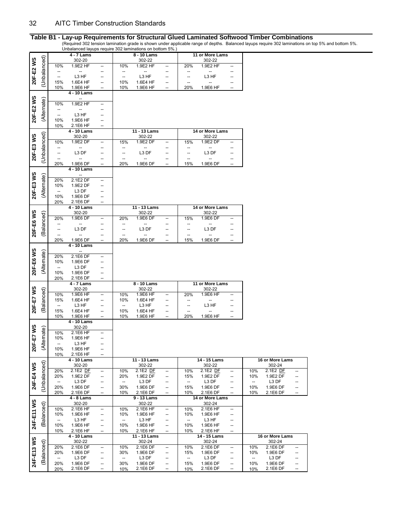|            |              |                          |                           |          |                          | onbalanced layups require 302 laminations on bottom 5%. |                                |                          |                          |                                                      |                          |                      |          |
|------------|--------------|--------------------------|---------------------------|----------|--------------------------|---------------------------------------------------------|--------------------------------|--------------------------|--------------------------|------------------------------------------------------|--------------------------|----------------------|----------|
|            |              |                          | $\overline{4}$ - $7$ Lams |          |                          | 8 - 10 Lams                                             |                                |                          | 11 or More Lams          |                                                      |                          |                      |          |
|            |              |                          | 302-20                    |          |                          | 302-22                                                  |                                |                          | 302-22                   |                                                      |                          |                      |          |
| 20F-E2WS   | (Unbalanced) | 10%                      | 1.9E2 HF                  | --       | 10%                      | 1.9E2 HF                                                | $\overline{\phantom{a}}$       | 20%                      | 1.9E2 HF                 | $\overline{\phantom{a}}$                             |                          |                      |          |
|            |              | --                       | --                        | --       | --                       |                                                         |                                |                          |                          | --                                                   |                          |                      |          |
|            |              |                          | L3 HF                     | --       | $\overline{\phantom{a}}$ | L3 HF                                                   |                                | --                       | L3 HF                    | --                                                   |                          |                      |          |
|            |              | 15%                      | 1.6E4 HF                  | --       | 10%                      | 1.6E4 HF                                                | $\overline{\phantom{a}}$       | --                       | $\overline{\phantom{a}}$ |                                                      |                          |                      |          |
|            |              | 10%                      | 1.9E6 HF                  | --       | 10%                      | 1.9E6 HF                                                | $\overline{\phantom{a}}$       | 20%                      | 1.9E6 HF                 | $\overline{a}$                                       |                          |                      |          |
|            |              |                          | 4 - 10 Lams               |          |                          |                                                         |                                |                          |                          |                                                      |                          |                      |          |
|            |              |                          |                           |          |                          |                                                         |                                |                          |                          |                                                      |                          |                      |          |
| 20F-E2 WS  | (Alternate)  |                          |                           |          |                          |                                                         |                                |                          |                          |                                                      |                          |                      |          |
|            |              | 10%                      | 1.9E2 HF                  | --       |                          |                                                         |                                |                          |                          |                                                      |                          |                      |          |
|            |              | $\overline{\phantom{a}}$ |                           | --       |                          |                                                         |                                |                          |                          |                                                      |                          |                      |          |
|            |              | --                       | L3 HF                     |          |                          |                                                         |                                |                          |                          |                                                      |                          |                      |          |
|            |              | 10%                      | 1.9E6 HF                  | Ξ.       |                          |                                                         |                                |                          |                          |                                                      |                          |                      |          |
|            |              | 10%                      | 2.1E6 HF                  | --       |                          |                                                         |                                |                          |                          |                                                      |                          |                      |          |
|            |              |                          | 4 - 10 Lams               |          |                          | 11 - 13 Lams                                            |                                |                          | 14 or More Lams          |                                                      |                          |                      |          |
| 20F-E3 WS  | (Unbalanced) |                          | 302-20                    |          |                          | 302-22                                                  |                                |                          | 302-22                   |                                                      |                          |                      |          |
|            |              | 10%                      | 1.9E2 DF                  | --       | 15%                      | 1.9E2 DF                                                | --                             | 15%                      | 1.9E2 DF                 | $\overline{\phantom{a}}$                             |                          |                      |          |
|            |              | $\overline{\phantom{a}}$ | $\overline{\phantom{a}}$  | --       | --                       | --                                                      |                                |                          | --                       |                                                      |                          |                      |          |
|            |              | --                       | L3 DF                     | --       | --                       | L3 DF                                                   |                                | --                       | L3 DF                    |                                                      |                          |                      |          |
|            |              | -−                       |                           | --       | --                       | -−                                                      |                                |                          |                          |                                                      |                          |                      |          |
|            |              | 20%                      | 1.9E6 DF                  | --       | 20%                      | 1.9E6 DF                                                | $\overline{\phantom{a}}$       | 15%                      | 1.9E6 DF                 | $\hspace{0.05cm} \ldots$                             |                          |                      |          |
|            |              |                          | 4 - 10 Lams               |          |                          |                                                         |                                |                          |                          |                                                      |                          |                      |          |
|            |              |                          |                           |          |                          |                                                         |                                |                          |                          |                                                      |                          |                      |          |
|            |              | 20%                      | $2.1E2$ DF                |          |                          |                                                         |                                |                          |                          |                                                      |                          |                      |          |
|            |              |                          |                           |          |                          |                                                         |                                |                          |                          |                                                      |                          |                      |          |
|            |              | 10%                      | 1.9E2 DF                  | --       |                          |                                                         |                                |                          |                          |                                                      |                          |                      |          |
| 20F-E3 WS  | (Alternate)  | $\overline{\phantom{a}}$ | L3 DF                     |          |                          |                                                         |                                |                          |                          |                                                      |                          |                      |          |
|            |              | 10%                      | 1.9E6 DF                  | --       |                          |                                                         |                                |                          |                          |                                                      |                          |                      |          |
|            |              | 20%                      | 2.1E6 DF                  | --       |                          |                                                         |                                |                          |                          |                                                      |                          |                      |          |
|            |              |                          | 4 - 10 Lams               |          |                          | 11 - 13 Lams                                            |                                |                          | 14 or More Lams          |                                                      |                          |                      |          |
| 20F-E6 WS  |              |                          | 302-20                    |          |                          | 302-22                                                  |                                |                          | 302-22                   |                                                      |                          |                      |          |
|            | (Balanced)   | 20%                      | 1.9E6 DF                  | --       | 20%                      | 1.9E6 DF                                                | --                             | 15%                      | 1.9E6 DF                 | $\overline{\phantom{a}}$                             |                          |                      |          |
|            |              | <sup>--</sup>            |                           | --       | --                       |                                                         |                                |                          |                          |                                                      |                          |                      |          |
|            |              | $\overline{a}$           | L3 DF                     | --       | $\overline{a}$           | L3 DF                                                   |                                | $\overline{\phantom{a}}$ | L3 DF                    |                                                      |                          |                      |          |
|            |              | $\overline{\phantom{a}}$ | --                        | --       | --                       | $\overline{\phantom{a}}$                                |                                | $\overline{\phantom{a}}$ | $\overline{\phantom{a}}$ |                                                      |                          |                      |          |
|            |              | 20%                      | 1.9E6 DF                  | --       | 20%                      | 1.9E6 DF                                                |                                | 15%                      | 1.9E6 DF                 |                                                      |                          |                      |          |
|            |              |                          | 4 - 10 Lams               |          |                          |                                                         |                                |                          |                          |                                                      |                          |                      |          |
|            |              |                          | Ξ.                        |          |                          |                                                         |                                |                          |                          |                                                      |                          |                      |          |
|            |              | 20%                      | 2.1E6 DF                  | --       |                          |                                                         |                                |                          |                          |                                                      |                          |                      |          |
|            |              |                          |                           |          |                          |                                                         |                                |                          |                          |                                                      |                          |                      |          |
|            |              |                          |                           |          |                          |                                                         |                                |                          |                          |                                                      |                          |                      |          |
|            |              | 10%                      | 1.9E6 DF                  |          |                          |                                                         |                                |                          |                          |                                                      |                          |                      |          |
|            |              | $\overline{\phantom{a}}$ | L3 DF                     |          |                          |                                                         |                                |                          |                          |                                                      |                          |                      |          |
| 20F-E6 WS  | (Alternate)  | 10%                      | 1.9E6 DF                  | --       |                          |                                                         |                                |                          |                          |                                                      |                          |                      |          |
|            |              | 20%                      | 2.1E6 DF                  |          |                          |                                                         |                                |                          |                          |                                                      |                          |                      |          |
|            |              |                          | 4 - 7 Lams                |          |                          | 8 - 10 Lams                                             |                                |                          | 11 or More Lams          |                                                      |                          |                      |          |
|            |              |                          | 302-20                    |          |                          | 302-22                                                  |                                |                          | 302-22                   |                                                      |                          |                      |          |
|            |              | 10%                      | 1.9E6 HF                  | --       | 10%                      | 1.9E6 HF                                                | $\overline{\phantom{a}}$       | 20%                      | 1.9E6 HF                 | $\overline{\phantom{a}}$                             |                          |                      |          |
|            |              | 15%                      | 1.6E4 HF                  | --       | 10%                      | 1.6E4 HF                                                |                                |                          | --                       |                                                      |                          |                      |          |
|            |              | $\overline{\phantom{a}}$ | L3 HF                     | --       | $\overline{\phantom{a}}$ | L3 HF                                                   |                                | --                       | L3 HF                    |                                                      |                          |                      |          |
|            | (Balanced)   | 15%                      | 1.6E4 HF                  | --       | 10%                      | 1.6E4 HF                                                | $\overline{\phantom{a}}$       | --                       |                          |                                                      |                          |                      |          |
| 20F-E7 WS  |              | 10%                      |                           |          | 10%                      | 1.9E6 HF                                                |                                | 20%                      | 1.9E6 HF                 | $\overline{a}$                                       |                          |                      |          |
|            |              |                          | 1.9E6 HF<br>4 - 10 Lams   |          |                          |                                                         |                                |                          |                          |                                                      |                          |                      |          |
|            |              |                          |                           |          |                          |                                                         |                                |                          |                          |                                                      |                          |                      |          |
|            |              |                          | 302-20<br>2.1E6 HF        | --       |                          |                                                         |                                |                          |                          |                                                      |                          |                      |          |
|            |              | 10%                      |                           | --       |                          |                                                         |                                |                          |                          |                                                      |                          |                      |          |
|            |              | 10%                      | 1.9E6 HF                  | --       |                          |                                                         |                                |                          |                          |                                                      |                          |                      |          |
|            | (Alternate)  | $\overline{\phantom{a}}$ | L3 HF                     |          |                          |                                                         |                                |                          |                          |                                                      |                          |                      |          |
| 20F-E7 WS  |              | 10%                      | 1.9E6 HF                  | --       |                          |                                                         |                                |                          |                          |                                                      |                          |                      |          |
|            |              | 10%                      | 2.1E6 HF                  |          |                          |                                                         |                                |                          |                          |                                                      |                          |                      |          |
|            |              |                          | 4 - 10 Lams               |          |                          | 11 - 13 Lams                                            |                                |                          | 14 - 15 Lams             |                                                      |                          | 16 or More Lams      |          |
|            |              |                          | 302-20                    |          |                          | 302-22                                                  |                                |                          | 302-22                   |                                                      |                          | 302-24               |          |
|            |              | 20%                      | 2.1E2 DF                  | --       | 10%                      | 2.1E2 DE                                                | $\overline{\phantom{a}}$       | 10%                      | 2.1E2 DE                 | $\overline{\phantom{a}}$                             | 10%                      | 2.1E2 DE             |          |
|            |              | 20%                      | 1.9E2 DF                  | --       | 20%                      | 1.9E2 DF                                                | $\qquad \qquad -$              | 15%                      | 1.9E2 DF                 | $\qquad \qquad -$                                    | 10%                      | 1.9E2 DF             | --       |
|            |              | $\overline{\phantom{a}}$ | L3 DF                     | --       | $\overline{\phantom{0}}$ | L3 DF                                                   | --                             | $\overline{\phantom{a}}$ | L3 DF                    | --                                                   | $\overline{\phantom{a}}$ | L3 DF                | --       |
| 24F-E4WS   | (Unbalanced) | 20%                      | 1.9E6 DF                  | --       | 30%                      | 1.9E6 DF                                                | --                             | 15%                      | 1.9E6 DF                 | $\overline{\phantom{a}}$                             | 10%                      | 1.9E6 DF             | --       |
|            |              | 20%                      | 2.1E6 DF                  | --       | 10%                      | 2.1E6 DF                                                | $\overline{\phantom{a}}$       | 10%                      | 2.1E6 DF                 |                                                      | 10%                      | 2.1E6 DF             |          |
|            |              |                          | 4 - 8 Lams                |          |                          | 9 - 13 Lams                                             |                                |                          | 14 or More Lams          |                                                      |                          |                      |          |
|            |              |                          | 302-20                    |          |                          | 302-22                                                  |                                |                          | 302-24                   |                                                      |                          |                      |          |
|            |              | 10%                      | 2.1E6 HF                  | --       | 10%                      | 2.1E6 HF                                                | --                             | 10%                      | 2.1E6 HF                 | $\overline{\phantom{a}}$                             |                          |                      |          |
|            |              | 10%                      | 1.9E6 HF                  | --       | 10%                      | 1.9E6 HF                                                | --                             | 10%                      | 1.9E6 HF                 | $\overline{\phantom{a}}$                             |                          |                      |          |
|            |              | --                       | L3 HF                     | --       | --                       | L3 HF                                                   | --                             | --                       | L3 HF                    | --                                                   |                          |                      |          |
|            | (Balanced)   | 10%                      | 1.9E6 HF                  | --       | 10%                      | 1.9E6 HF                                                | $\overline{\phantom{a}}$       | 10%                      | 1.9E6 HF                 | $\overline{\phantom{a}}$                             |                          |                      |          |
| 24F-E11 WS |              | 10%                      | 2.1E6 HF                  | --       | 10%                      | 2.1E6 HF                                                | $\overline{\phantom{a}}$       | 10%                      | 2.1E6 HF                 | $\overline{a}$                                       |                          |                      |          |
|            |              |                          |                           |          |                          |                                                         |                                |                          | 14 - 15 Lams             |                                                      |                          | 16 or More Lams      |          |
|            |              |                          | 4 - 10 Lams               |          |                          | 11 - 13 Lams                                            |                                |                          |                          |                                                      |                          |                      |          |
|            |              |                          | 302-22                    | -−       |                          | 302-24                                                  | $\overline{\phantom{a}}$       |                          | 302-24                   | $\overline{a}$                                       |                          | 302-24               |          |
|            |              | 20%                      | 2.1E6 DF                  |          | 10%                      | 2.1E6 DF                                                |                                | 10%                      | 2.1E6 DF                 |                                                      | 10%                      | 2.1E6 DF             |          |
|            |              | 20%                      | 1.9E6 DF                  | --       | 30%                      | 1.9E6 DF                                                | --                             | 15%                      | 1.9E6 DF                 | $\overline{\phantom{a}}$                             | 10%                      | 1.9E6 DF             |          |
|            |              | --                       | L3 DF                     | --       | --                       | L3 DF                                                   | --                             | --                       | L3 DF                    | $\overline{\phantom{a}}$                             | --                       | L3 DF                | --       |
| 24F-E13 WS | (Balanced)   | 20%<br>20%               | 1.9E6 DF<br>2.1E6 DF      | --<br>-- | 30%<br>10%               | 1.9E6 DF<br>2.1E6 DF                                    | --<br>$\overline{\phantom{a}}$ | 15%<br>10%               | 1.9E6 DF<br>2.1E6 DF     | $\overline{\phantom{a}}$<br>$\overline{\phantom{a}}$ | 10%<br>10%               | 1.9E6 DF<br>2.1E6 DF | --<br>-- |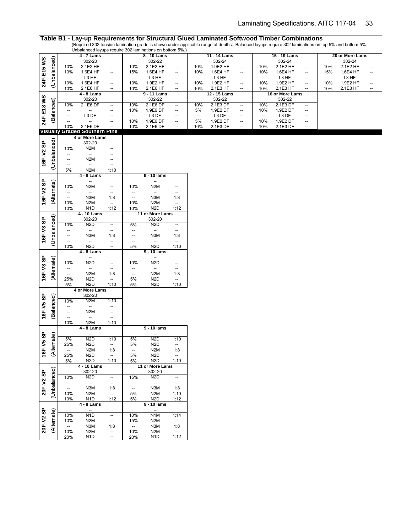|            |                 |                                               | onbalanced layaps require ouz laminations on bottom one.<br>4 - 7 Lams |                                                                                 |                               | 8 - 10 Lams                                  |                                  |                          | 11 - 14 Lams       |                          |                          | 15 - 19 Lams       |                          |     | 20 or More Lams |                                                     |
|------------|-----------------|-----------------------------------------------|------------------------------------------------------------------------|---------------------------------------------------------------------------------|-------------------------------|----------------------------------------------|----------------------------------|--------------------------|--------------------|--------------------------|--------------------------|--------------------|--------------------------|-----|-----------------|-----------------------------------------------------|
|            |                 |                                               | 302-20                                                                 |                                                                                 |                               | 302-22                                       |                                  |                          | 302-24             |                          |                          | 302-24             |                          |     | 302-24          |                                                     |
|            |                 | 10%                                           | 2.1E2 HF                                                               | $\overline{\phantom{a}}$                                                        | 10%                           | 2.1E2 HF                                     | $\overline{\phantom{a}}$         | 10%                      | 1.9E2 HF           | $\overline{\phantom{a}}$ | 10%                      | 2.1E2 HF           | $\overline{\phantom{a}}$ | 10% | 2.1E2 HF        | $\overline{\phantom{a}}$                            |
|            |                 | 10%                                           | 1.6E4 HF                                                               | $\overline{\phantom{a}}$                                                        | 15%                           | 1.6E4 HF                                     | $\overline{\phantom{a}}$         | 10%                      | 1.6E4 HF           | --                       | 10%                      | 1.6E4 HF           | --                       | 15% | 1.6E4 HF        | $\hspace{0.05cm} \dashv$                            |
|            |                 | $\overline{\phantom{a}}$                      | L3 HF                                                                  | $\overline{\phantom{a}}$                                                        | --                            | L3 HF                                        | $\overline{\phantom{a}}$         | $\hspace{0.05cm} \ldots$ | L3 HF              | --                       | $\hspace{0.05cm} \ldots$ | L3 HF              | --                       | --  | L3 HF           | --                                                  |
| 24F-E15 WS | (Unbalanced)    | 10%                                           | 1.6E4 HF                                                               | $\overline{\phantom{a}}$                                                        | 10%                           | 1.9E2 HF                                     | $\overline{\phantom{a}}$         | 10%                      | 1.9E2 HF           | --                       | 10%                      | 1.9E2 HF           | --                       | 10% | 1.9E2 HF        | $\hspace{0.05cm} \dashv$                            |
|            |                 | 10%                                           | 2.1E6 HF                                                               | $\overline{\phantom{a}}$                                                        | 10%                           | 2.1E6 HF                                     | $\overline{\phantom{a}}$         | 10%                      | 2.1E3 HF           | --                       | 10%                      | 2.1E3 HF           | --                       | 10% | 2.1E3 HF        | $\hspace{0.05cm} -\hspace{0.05cm} -\hspace{0.05cm}$ |
|            |                 |                                               | $4 - 8$ Lams                                                           |                                                                                 |                               | 9 - 11 Lams                                  |                                  |                          | 12 - 15 Lams       |                          |                          | 16 or More Lams    |                          |     |                 |                                                     |
| 24F-E18 WS | (Balanced)      | 10%                                           | 302-20<br>2.1E6 DF                                                     |                                                                                 | 10%                           | 302-22<br>2.1E6 DF                           | $\overline{\phantom{a}}$         | 10%                      | 302-22<br>2.1E3 DF |                          | 10%                      | 302-22<br>2.1E3 DF | --                       |     |                 |                                                     |
|            |                 | $\overline{\phantom{a}}$                      | $\overline{\phantom{a}}$                                               | $\overline{\phantom{a}}$<br>--                                                  | 10%                           | 1.9E6 DF                                     | $\qquad \qquad -$                | 5%                       | 1.9E2 DF           | --<br>--                 | 10%                      | 1.9E2 DF           | $\overline{\phantom{a}}$ |     |                 |                                                     |
|            |                 | --                                            | L3 DF                                                                  | --                                                                              | --                            | L3 DF                                        | $\overline{\phantom{a}}$         | $\hspace{0.05cm} \ldots$ | L3 DF              | --                       | $\hspace{0.05cm} \ldots$ | L3 DF              | --                       |     |                 |                                                     |
|            |                 | $\qquad \qquad \cdots$                        |                                                                        | --                                                                              | 10%                           | 1.9E6 DF                                     | $\qquad \qquad \qquad \qquad$    | 5%                       | 1.9E2 DF           | $\overline{\phantom{a}}$ | 10%                      | 1.9E2 DF           | $\overline{\phantom{a}}$ |     |                 |                                                     |
|            |                 | 10%                                           | 2.1E6 DF                                                               | Ξ.                                                                              | 10%                           | 2.1E6 DF                                     | $\overline{\phantom{a}}$         | 10%                      | 2.1E3 DF           | --                       | 10%                      | 2.1E3 DF           | $\overline{\phantom{a}}$ |     |                 |                                                     |
|            | <b>Visually</b> |                                               | <b>Graded Southern Pine</b>                                            |                                                                                 |                               |                                              |                                  |                          |                    |                          |                          |                    |                          |     |                 |                                                     |
|            |                 |                                               | 4 or More Lams                                                         |                                                                                 |                               |                                              |                                  |                          |                    |                          |                          |                    |                          |     |                 |                                                     |
| 16F-V2 SP  | (Unbalanced)    |                                               | 302-20                                                                 |                                                                                 |                               |                                              |                                  |                          |                    |                          |                          |                    |                          |     |                 |                                                     |
|            |                 | 10%                                           | N <sub>2</sub> M                                                       | $\overline{\phantom{a}}$                                                        |                               |                                              |                                  |                          |                    |                          |                          |                    |                          |     |                 |                                                     |
|            |                 | $\qquad \qquad \cdots$                        | $\overline{\phantom{a}}$<br>N <sub>2</sub> M                           | $\overline{\phantom{a}}$                                                        |                               |                                              |                                  |                          |                    |                          |                          |                    |                          |     |                 |                                                     |
|            |                 | --<br>$\overline{\phantom{a}}$                | $\overline{\phantom{a}}$                                               | $\overline{\phantom{a}}$<br>$\hspace{0.05cm} -\hspace{0.05cm} -\hspace{0.05cm}$ |                               |                                              |                                  |                          |                    |                          |                          |                    |                          |     |                 |                                                     |
|            |                 | 5%                                            | N <sub>2</sub> M                                                       | 1:10                                                                            |                               |                                              |                                  |                          |                    |                          |                          |                    |                          |     |                 |                                                     |
|            |                 |                                               | 4 - 8 Lams                                                             |                                                                                 |                               | 9 - 10 lams                                  |                                  |                          |                    |                          |                          |                    |                          |     |                 |                                                     |
|            |                 |                                               | $\overline{\phantom{a}}$                                               |                                                                                 |                               | --                                           |                                  |                          |                    |                          |                          |                    |                          |     |                 |                                                     |
| 16F-V2 SP  | (Alternate)     | 10%                                           | N <sub>2</sub> M                                                       | $\overline{\phantom{a}}$                                                        | 10%                           | N <sub>2</sub> M                             | $\hspace{0.05cm} \ldots$         |                          |                    |                          |                          |                    |                          |     |                 |                                                     |
|            |                 | $\overline{\phantom{a}}$                      | $\overline{\phantom{a}}$                                               | $\hspace{0.05cm} -\hspace{0.05cm} -\hspace{0.05cm}$                             | --                            | --                                           | $\overline{\phantom{a}}$         |                          |                    |                          |                          |                    |                          |     |                 |                                                     |
|            |                 | $\overline{\phantom{a}}$                      | N3M                                                                    | 1:8                                                                             | $\overline{\phantom{a}}$      | N3M                                          | 1:8                              |                          |                    |                          |                          |                    |                          |     |                 |                                                     |
|            |                 | 10%                                           | N <sub>2</sub> M                                                       | $\overline{\phantom{a}}$                                                        | 10%                           | N <sub>2</sub> M                             | $\overline{\phantom{a}}$         |                          |                    |                          |                          |                    |                          |     |                 |                                                     |
|            |                 | 10%                                           | N <sub>1</sub> D<br>4 - 10 Lams                                        | 1:12                                                                            | 10%                           | N <sub>2</sub> D<br>11 or More Lams          | 1:12                             |                          |                    |                          |                          |                    |                          |     |                 |                                                     |
|            | (Unbalanced)    |                                               | 302-20                                                                 |                                                                                 |                               | 302-20                                       |                                  |                          |                    |                          |                          |                    |                          |     |                 |                                                     |
| 16F-V3 SP  |                 | 10%                                           | N <sub>2</sub> D                                                       | $\overline{\phantom{a}}$                                                        | 5%                            | N <sub>2</sub> D                             | $\overline{\phantom{a}}$         |                          |                    |                          |                          |                    |                          |     |                 |                                                     |
|            |                 | $\overline{\phantom{a}}$                      | $\overline{\phantom{a}}$                                               | $\overline{\phantom{a}}$                                                        | --                            | $\overline{\phantom{a}}$                     | $\hspace{0.05cm} \ldots$         |                          |                    |                          |                          |                    |                          |     |                 |                                                     |
|            |                 | $\overline{\phantom{a}}$                      | N <sub>3</sub> M                                                       | 1:8                                                                             | --                            | N3M                                          | 1:8                              |                          |                    |                          |                          |                    |                          |     |                 |                                                     |
|            |                 | Ξ.                                            | $\overline{\phantom{a}}$                                               | $\overline{\phantom{a}}$                                                        | $\overline{\phantom{a}}$      | $\overline{\phantom{a}}$                     | $\qquad \qquad -$                |                          |                    |                          |                          |                    |                          |     |                 |                                                     |
|            |                 | 10%                                           | N <sub>2</sub> D                                                       | $\overline{\phantom{a}}$                                                        | 5%                            | N <sub>2</sub> D                             | 1:10                             |                          |                    |                          |                          |                    |                          |     |                 |                                                     |
|            |                 |                                               | 4 - 8 Lams<br>$\overline{\phantom{a}}$                                 |                                                                                 |                               | 9 - 10 lams<br>$\overline{\phantom{a}}$      |                                  |                          |                    |                          |                          |                    |                          |     |                 |                                                     |
| 16F-V3 SP  | (Alternate)     | 10%                                           | N <sub>2</sub> D                                                       | $\overline{\phantom{a}}$                                                        | 10%                           | N <sub>2</sub> D                             | $\overline{\phantom{a}}$         |                          |                    |                          |                          |                    |                          |     |                 |                                                     |
|            |                 | $\overline{\phantom{a}}$                      | $\overline{\phantom{a}}$                                               | $\hspace{0.05cm} \ldots$                                                        | --                            | --                                           | $\hspace{0.05cm} \ldots$         |                          |                    |                          |                          |                    |                          |     |                 |                                                     |
|            |                 | $\overline{\phantom{a}}$                      | N <sub>2</sub> M                                                       | 1:8                                                                             | $\overline{\phantom{a}}$      | N <sub>2</sub> M                             | 1:8                              |                          |                    |                          |                          |                    |                          |     |                 |                                                     |
|            |                 | 25%                                           | N <sub>2</sub> D                                                       | $\hspace{0.05cm} \ldots$                                                        | 5%                            | N <sub>2</sub> D                             | $\overline{\phantom{a}}$         |                          |                    |                          |                          |                    |                          |     |                 |                                                     |
|            |                 | 5%                                            | N <sub>2</sub> D                                                       | 1:10                                                                            | 5%                            | N <sub>2</sub> D                             | 1:10                             |                          |                    |                          |                          |                    |                          |     |                 |                                                     |
|            |                 |                                               | 4 or More Lams                                                         |                                                                                 |                               |                                              |                                  |                          |                    |                          |                          |                    |                          |     |                 |                                                     |
| 16F-V5 SP  | (Balanced)      | 10%                                           | 302-20<br>N <sub>2</sub> M                                             | 1:10                                                                            |                               |                                              |                                  |                          |                    |                          |                          |                    |                          |     |                 |                                                     |
|            |                 | $\overline{\phantom{a}}$                      | $\overline{\phantom{a}}$                                               | --                                                                              |                               |                                              |                                  |                          |                    |                          |                          |                    |                          |     |                 |                                                     |
|            |                 | --                                            | N <sub>2</sub> M                                                       | $\overline{\phantom{a}}$                                                        |                               |                                              |                                  |                          |                    |                          |                          |                    |                          |     |                 |                                                     |
|            |                 | $\qquad \qquad \cdots$                        | $\overline{\phantom{a}}$                                               | $\hspace{0.05cm} \ldots$                                                        |                               |                                              |                                  |                          |                    |                          |                          |                    |                          |     |                 |                                                     |
|            |                 | 10%                                           | N <sub>2</sub> M                                                       | 1:10                                                                            |                               |                                              |                                  |                          |                    |                          |                          |                    |                          |     |                 |                                                     |
|            |                 |                                               | 4 - 8 Lams                                                             |                                                                                 |                               | $9 - 10$ lams                                |                                  |                          |                    |                          |                          |                    |                          |     |                 |                                                     |
| F-V5 SP    | (Alternate)     |                                               | $\overline{\phantom{a}}$<br>N <sub>2D</sub>                            |                                                                                 |                               | $\hspace{0.05cm} \ldots$<br>N <sub>2</sub> D |                                  |                          |                    |                          |                          |                    |                          |     |                 |                                                     |
|            |                 | 5%<br>25%                                     | N <sub>2</sub> D                                                       | 1:10<br>$\overline{\phantom{a}}$                                                | 5%<br>5%                      | N <sub>2</sub> D                             | 1:10<br>$\overline{\phantom{a}}$ |                          |                    |                          |                          |                    |                          |     |                 |                                                     |
|            |                 | $\hspace{0.05cm} \ldots$                      | N <sub>2</sub> M                                                       | 1:8                                                                             | $\overline{\phantom{a}}$      | N <sub>2</sub> M                             | 1:8                              |                          |                    |                          |                          |                    |                          |     |                 |                                                     |
| پّ         |                 | 25%                                           | N <sub>2</sub> D                                                       | $\overline{\phantom{a}}$                                                        | 5%                            | N <sub>2</sub> D                             | $\overline{\phantom{a}}$         |                          |                    |                          |                          |                    |                          |     |                 |                                                     |
|            |                 | 5%                                            | N <sub>2</sub> D                                                       | 1:10                                                                            | 5%                            | N <sub>2</sub> D                             | 1:10                             |                          |                    |                          |                          |                    |                          |     |                 |                                                     |
|            |                 |                                               | 4 - 10 Lams                                                            |                                                                                 |                               | 11 or More Lams                              |                                  |                          |                    |                          |                          |                    |                          |     |                 |                                                     |
|            | (Unbalanced)    |                                               | 302-20                                                                 |                                                                                 |                               | 302-20                                       |                                  |                          |                    |                          |                          |                    |                          |     |                 |                                                     |
| 20F-V2 SP  |                 | 10%                                           | N <sub>2</sub> D                                                       | $\overline{\phantom{a}}$                                                        | 15%                           | N <sub>2D</sub>                              | $\overline{\phantom{a}}$         |                          |                    |                          |                          |                    |                          |     |                 |                                                     |
|            |                 | $\overline{\phantom{a}}$<br>$\qquad \qquad -$ | $\overline{\phantom{a}}$<br>N3M                                        | $\overline{\phantom{a}}$                                                        | ÷<br>$\overline{\phantom{a}}$ | $\overline{\phantom{a}}$<br>N3M              | $\overline{\phantom{a}}$<br>1:8  |                          |                    |                          |                          |                    |                          |     |                 |                                                     |
|            |                 | 10%                                           | N <sub>2</sub> M                                                       | 1:8<br>$\overline{\phantom{a}}$                                                 | 5%                            | N <sub>2</sub> M                             | 1:10                             |                          |                    |                          |                          |                    |                          |     |                 |                                                     |
|            |                 | 10%                                           | N <sub>1</sub> D                                                       | 1:12                                                                            | 5%                            | N <sub>2</sub> D                             | 1:12                             |                          |                    |                          |                          |                    |                          |     |                 |                                                     |
|            |                 |                                               | 4 - 8 Lams                                                             |                                                                                 |                               | 9 - 10 lams                                  |                                  |                          |                    |                          |                          |                    |                          |     |                 |                                                     |
|            |                 |                                               | $\overline{\phantom{a}}$                                               |                                                                                 |                               | $\overline{\phantom{a}}$                     |                                  |                          |                    |                          |                          |                    |                          |     |                 |                                                     |
| 20F-V2 SP  | (Alternate)     | 10%                                           | N <sub>1</sub> D                                                       | $\overline{\phantom{a}}$                                                        | 10%                           | N <sub>1</sub> M                             | 1:14                             |                          |                    |                          |                          |                    |                          |     |                 |                                                     |
|            |                 | 10%                                           | N <sub>2</sub> M                                                       | $\overline{\phantom{a}}$                                                        | 15%                           | N <sub>2</sub> M                             | $\overline{\phantom{a}}$         |                          |                    |                          |                          |                    |                          |     |                 |                                                     |
|            |                 | $\overline{\phantom{a}}$                      | N3M                                                                    | 1:8                                                                             | $\overline{\phantom{a}}$      | N3M                                          | 1:8                              |                          |                    |                          |                          |                    |                          |     |                 |                                                     |
|            |                 | 10%                                           | N <sub>2</sub> M                                                       | $\overline{\phantom{a}}$                                                        | 10%                           | N <sub>2</sub> M                             | $\overline{\phantom{a}}$         |                          |                    |                          |                          |                    |                          |     |                 |                                                     |
|            |                 | 20%                                           | N <sub>1</sub> D                                                       | $\overline{\phantom{a}}$                                                        | 20%                           | N1D                                          | 1:12                             |                          |                    |                          |                          |                    |                          |     |                 |                                                     |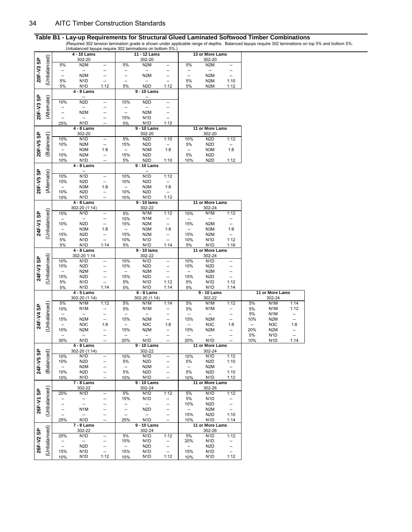(Required 302 tension lamination grade is shown under applicable range of depths. Balanced layups require 302 laminations on top 5% and bottom 5%.

|           |              |            |                                      |                                                    |                                 | Unbalanced layups require 302 laminations on bottom 5%.) |                               |                          |                                      |                                |                                 |                                      |                          |
|-----------|--------------|------------|--------------------------------------|----------------------------------------------------|---------------------------------|----------------------------------------------------------|-------------------------------|--------------------------|--------------------------------------|--------------------------------|---------------------------------|--------------------------------------|--------------------------|
|           |              |            | $4 - 10$ Lams                        |                                                    |                                 | 11 - 12 Lams                                             |                               |                          | 13 or More Lams                      |                                |                                 |                                      |                          |
| 20F-V3 SP | (Unbalanced) | 5%         | 302-20<br>N <sub>2</sub> M           |                                                    | 5%                              | 302-20<br>N <sub>2</sub> M                               |                               | 5%                       | 302-20<br>N <sub>2</sub> M           |                                |                                 |                                      |                          |
|           |              |            |                                      | --<br>--                                           | ÷                               |                                                          | --<br>--                      | ÷                        | --                                   | --<br>--                       |                                 |                                      |                          |
|           |              | --<br>--   | N <sub>2</sub> M                     | --                                                 | --                              | N <sub>2</sub> M                                         | --                            | --                       | N <sub>2</sub> M                     | --                             |                                 |                                      |                          |
|           |              | 5%         | N <sub>1</sub> D                     | $\overline{\phantom{a}}$                           | --                              | --                                                       | --                            | 5%                       | N <sub>2</sub> M                     | 1:10                           |                                 |                                      |                          |
|           |              | 5%         | N <sub>1</sub> D                     | 1:12                                               | 5%                              | N <sub>2</sub> D                                         | 1:12                          | 5%                       | N <sub>2</sub> M                     | 1:12                           |                                 |                                      |                          |
|           |              |            | 4 - 8 Lams                           |                                                    |                                 | 9 - 10 Lams                                              |                               |                          |                                      |                                |                                 |                                      |                          |
|           |              |            | --                                   |                                                    |                                 |                                                          |                               |                          |                                      |                                |                                 |                                      |                          |
| 20F-V3 SP | (Alternate)  | 10%        | N <sub>2</sub> D                     | $\qquad \qquad \cdots$                             | 10%                             | N <sub>2</sub> D                                         | --                            |                          |                                      |                                |                                 |                                      |                          |
|           |              | --         |                                      | --                                                 | --                              |                                                          | --                            |                          |                                      |                                |                                 |                                      |                          |
|           |              | --         | N <sub>2</sub> M                     | --                                                 | $\overline{\phantom{a}}$        | N <sub>2</sub> M                                         | ÷                             |                          |                                      |                                |                                 |                                      |                          |
|           |              |            | --<br>N <sub>1</sub> D               | --                                                 | 15%                             | N <sub>1</sub> D<br>N <sub>1</sub> D                     | --<br>1:12                    |                          |                                      |                                |                                 |                                      |                          |
|           |              | 25%        | 4 - 8 Lams                           | --                                                 | 5%                              | 9 - 10 Lams                                              |                               |                          | 11 or More Lams                      |                                |                                 |                                      |                          |
|           |              |            | 302-20                               |                                                    |                                 | 302-20                                                   |                               |                          | 302-20                               |                                |                                 |                                      |                          |
| 20F-V5 SP | (Balanced)   | 10%        | N <sub>1</sub> D                     | --                                                 | 5%                              | N <sub>2</sub> D                                         | 1:10                          | 10%                      | N <sub>2</sub> D                     | 1:12                           |                                 |                                      |                          |
|           |              | 10%        | N <sub>2</sub> M                     | $\overline{a}$                                     | 15%                             | N <sub>2</sub> D                                         | --                            | 5%                       | N <sub>2</sub> D                     |                                |                                 |                                      |                          |
|           |              | --         | N3M                                  | 1:8                                                | $\frac{1}{2}$                   | N <sub>3</sub> M                                         | 1:8                           | --                       | N3M                                  | 1:8                            |                                 |                                      |                          |
|           |              | 10%        | N <sub>2</sub> M                     | $\overline{\phantom{a}}$                           | 15%                             | N <sub>2</sub> D                                         |                               | 5%                       | N <sub>2</sub> D                     |                                |                                 |                                      |                          |
|           |              | 10%        | N <sub>1</sub> D                     | $\overline{a}$                                     | 5%                              | N <sub>2</sub> D                                         | 1:10                          | 10%                      | N <sub>2</sub> D                     | 1:12                           |                                 |                                      |                          |
|           |              |            | 4 - 8 Lams                           |                                                    |                                 | 9 - 10 Lams                                              |                               |                          |                                      |                                |                                 |                                      |                          |
|           | (Alternate)  | 10%        | N <sub>1</sub> D                     |                                                    | 10%                             | N <sub>1</sub> D                                         |                               |                          |                                      |                                |                                 |                                      |                          |
|           |              | 10%        | N <sub>2</sub> D                     | $\qquad \qquad \cdots$<br>$\overline{\phantom{a}}$ | 10%                             | N <sub>2</sub> D                                         | 1:12                          |                          |                                      |                                |                                 |                                      |                          |
|           |              | ш,         | N3M                                  | 1:8                                                | <u></u>                         | N <sub>3</sub> M                                         | 1:8                           |                          |                                      |                                |                                 |                                      |                          |
| 20F-V5 SP |              | 10%        | N <sub>2</sub> D                     | $\qquad \qquad \cdots$                             | 10%                             | N <sub>2</sub> D                                         | --                            |                          |                                      |                                |                                 |                                      |                          |
|           |              | 10%        | N <sub>1</sub> D                     |                                                    | 10%                             | N <sub>1</sub> D                                         | 1:12                          |                          |                                      |                                |                                 |                                      |                          |
|           |              |            | 4 - 8 Lams                           |                                                    |                                 | 9 - 10 lams                                              |                               |                          | 11 or More Lams                      |                                |                                 |                                      |                          |
|           |              |            | 302-20 (1:14)                        |                                                    |                                 | 302-22                                                   |                               |                          | 302-24                               |                                |                                 |                                      |                          |
| 24F-V1 SP | (Unbalanced) | 10%        | N <sub>1</sub> D                     | $\overline{\phantom{a}}$                           | 5%                              | N <sub>1</sub> M                                         | 1:12                          | 15%                      | N <sub>1</sub> M                     | 1:12                           |                                 |                                      |                          |
|           |              | --         | --                                   | $\overline{\phantom{a}}$                           | 10%                             | N <sub>1</sub> M                                         | --                            | --                       | --                                   |                                |                                 |                                      |                          |
|           |              | 10%<br>ш,  | N <sub>2</sub> D<br>N3M              | $\overline{\phantom{a}}$<br>1:8                    | 15%<br>$\overline{\phantom{a}}$ | N <sub>2</sub> M<br>N <sub>3</sub> M                     | --<br>1:8                     | 15%<br>Ξ.                | N <sub>2</sub> M<br>N <sub>3</sub> M | --<br>1:8                      |                                 |                                      |                          |
|           |              | 15%        | N <sub>2</sub> D                     | $\overline{\phantom{a}}$                           | 15%                             | N <sub>2</sub> M                                         | $\overline{\phantom{a}}$      | 15%                      | N <sub>2</sub> M                     | $\overline{\phantom{a}}$       |                                 |                                      |                          |
|           |              | 5%         | N <sub>1</sub> D                     | 4                                                  | 10%                             | N <sub>1</sub> D                                         | --                            | 10%                      | N <sub>1</sub> D                     | 1:12                           |                                 |                                      |                          |
|           |              | 5%         | N <sub>1</sub> D                     | 1:14                                               | 5%                              | N <sub>1</sub> D                                         | 1:14                          | 5%                       | N <sub>1</sub> D                     | 1:16                           |                                 |                                      |                          |
|           |              |            | 4 - 8 Lams                           |                                                    |                                 | 9 - 10 lams                                              |                               |                          | 11 or More Lams                      |                                |                                 |                                      |                          |
|           |              |            | 302-20 1:14                          |                                                    |                                 |                                                          |                               |                          |                                      |                                |                                 |                                      |                          |
|           |              |            |                                      |                                                    |                                 | 302-22                                                   |                               |                          | 302-24                               |                                |                                 |                                      |                          |
|           |              | 10%        | N <sub>1</sub> D                     | $\qquad \qquad \cdots$                             | 10%                             | N <sub>1</sub> D                                         | --                            | 10%                      | N <sub>1</sub> D                     | --                             |                                 |                                      |                          |
|           |              | 10%        | N <sub>2</sub> D                     | $\overline{\phantom{a}}$                           | 10%                             | N <sub>2</sub> D                                         | --                            | 10%                      | N <sub>2</sub> D                     | --                             |                                 |                                      |                          |
|           |              | Ξ.         | N <sub>2</sub> M                     | --                                                 | --                              | N <sub>2</sub> M                                         | --                            | $\cdots$                 | N <sub>2</sub> M                     | --                             |                                 |                                      |                          |
| 24F-V3 SP |              | 15%        | N <sub>2</sub> D                     | --                                                 | 15%                             | N <sub>2</sub> D                                         | --                            | 15%                      | N <sub>2</sub> D                     | $\overline{\phantom{a}}$       |                                 |                                      |                          |
|           | (Unbalanced) | 5%         | N <sub>1</sub> D<br>N <sub>1</sub> D | $\overline{\phantom{a}}$<br>1:14                   | 5%                              | N <sub>1</sub> D<br>N <sub>1</sub> D                     | 1:12<br>1:14                  | 5%<br>5%                 | N <sub>1</sub> D<br>N <sub>1</sub> D | 1:12<br>1:14                   |                                 |                                      |                          |
|           |              | 5%         | 4 - 5 Lams                           |                                                    | 5%                              | $6 - 8$ Lams                                             |                               |                          | 9 - 10 Lams                          |                                |                                 | 11 or More Lams                      |                          |
|           |              |            | 302-20 (1:14)                        |                                                    |                                 | 302-20 (1:14)                                            |                               |                          | 302-22                               |                                |                                 | 302-24                               |                          |
|           |              | 5%         | N <sub>1</sub> M                     | 1:12                                               | 5%                              | N <sub>1</sub> M                                         | 1:14                          | 5%                       | N <sub>1</sub> M                     | 1:12                           | 5%                              | N <sub>1</sub> M                     |                          |
|           |              | 10%        | N <sub>1</sub> M                     | --                                                 | 5%                              | N <sub>1</sub> M                                         | ÷                             | 5%                       | N <sub>1</sub> M                     | ÷                              | 5%                              | N <sub>1</sub> M                     |                          |
|           |              | --         | Ξ.                                   | --                                                 | $\overline{\phantom{a}}$        |                                                          | --                            | $\qquad \qquad \cdots$   |                                      | --                             | 5%                              | N <sub>1</sub> M                     | --                       |
|           |              | 15%        | N <sub>2</sub> M                     | $\overline{\phantom{a}}$                           | 15%                             | N <sub>2</sub> M                                         | --                            | 15%                      | N <sub>2</sub> M                     | --                             | 10%                             | N <sub>2</sub> M                     | --                       |
| 24F-V4 SP | (Unbalanced) | --<br>10%  | N <sub>3</sub> C                     | 1:8<br>$\overline{\phantom{a}}$                    | --                              | N <sub>3</sub> C                                         | 1:8                           | --                       | N <sub>3</sub> C<br>N <sub>2</sub> M | 1:8                            | $\overline{\phantom{a}}$<br>20% | N <sub>3</sub> C<br>N <sub>2</sub> M | 1:8                      |
|           |              |            | N2M                                  | --                                                 | 15%                             | N <sub>2</sub> M                                         | ÷<br>--                       | 15%                      |                                      | --<br>--                       | 5%                              | N <sub>1</sub> D                     | 1:14<br>1:12<br>₩,<br>-- |
|           |              | 30%        | N <sub>1</sub> D                     |                                                    | 20%                             | N <sub>1</sub> D                                         |                               | 20%                      | N <sub>1</sub> D                     |                                | 10%                             | N <sub>1</sub> D                     | 1:14                     |
|           |              |            | 4 - 8 Lams                           |                                                    |                                 | 9 - 10 Lams                                              |                               |                          | 11 or More Lams                      |                                |                                 |                                      |                          |
|           |              |            | 302-20 (1:14)                        |                                                    |                                 | 302-22                                                   |                               |                          | 302-24                               |                                |                                 |                                      |                          |
|           |              | 10%        | N <sub>1</sub> D                     |                                                    | 10%                             | N <sub>1</sub> D                                         | --                            | 10%                      | N <sub>1</sub> D                     | 1:12                           |                                 |                                      |                          |
|           |              | 10%        | N <sub>2</sub> D                     | --                                                 | 5%                              | N <sub>2</sub> D                                         | --                            | 5%                       | N <sub>2</sub> D                     | 1:10                           |                                 |                                      |                          |
| 24F-V5 SP | (Balanced)   | --         | N <sub>2</sub> M                     | --<br>--                                           | --                              | N <sub>2</sub> M                                         | --                            | $\overline{\phantom{a}}$ | N2M                                  | $\overline{\phantom{a}}$       |                                 |                                      |                          |
|           |              | 10%<br>10% | N <sub>2</sub> D<br>N <sub>1</sub> D | --                                                 | 5%<br>10%                       | N <sub>2</sub> D<br>N <sub>1</sub> D                     | --<br>--                      | 5%<br>10%                | N <sub>2</sub> D<br>N <sub>1</sub> D | 1:10<br>1:12                   |                                 |                                      |                          |
|           |              |            | 7 - 8 Lams                           |                                                    |                                 | 9 - 10 Lams                                              |                               |                          | 11 or More Lams                      |                                |                                 |                                      |                          |
|           |              |            | 302-22                               |                                                    |                                 | 302-24                                                   |                               |                          | 302-26                               |                                |                                 |                                      |                          |
|           |              | 20%        | N <sub>1</sub> D                     | $\overline{\phantom{a}}$                           | 5%                              | N <sub>1</sub> D                                         | 1:12                          | 5%                       | N <sub>1</sub> D                     | 1:12                           |                                 |                                      |                          |
|           |              | --         | $\overline{\phantom{a}}$             | --                                                 | 15%                             | N <sub>1</sub> D                                         | ÷                             | 5%                       | N <sub>1</sub> D                     | --                             |                                 |                                      |                          |
|           |              | --         | 4                                    |                                                    | ÷                               | $\overline{\phantom{a}}$                                 | --                            | 10%                      | N <sub>2</sub> D                     | --                             |                                 |                                      |                          |
| 26F-V1 SP | (Unbalanced) | --<br>Ξ.   | N1M<br>щ.                            | ÷<br>$\overline{a}$                                | ÷<br>Ξ.                         | N <sub>2</sub> D<br>$\overline{\phantom{a}}$             | --<br>--                      | --<br>15%                | N2M<br>N <sub>2</sub> D              | --<br>1:10                     |                                 |                                      |                          |
|           |              | 25%        | N <sub>1</sub> D                     | --                                                 | 25%                             | N <sub>1</sub> D                                         | --                            | 10%                      | N <sub>1</sub> D                     | 1:14                           |                                 |                                      |                          |
|           |              |            | $7 - 8$ Lams                         |                                                    |                                 | 9 - 10 Lams                                              |                               |                          | 11 or More Lams                      |                                |                                 |                                      |                          |
|           |              |            | 302-22                               |                                                    |                                 | 302-24                                                   |                               |                          | 302-26                               |                                |                                 |                                      |                          |
|           |              | 20%        | N <sub>1</sub> D                     | $\qquad \qquad \cdots$                             | 5%                              | N <sub>1</sub> D                                         | 1:12                          | 5%                       | N <sub>1</sub> D                     | 1:12                           |                                 |                                      |                          |
|           |              | ÷          | $\overline{\phantom{a}}$             | ÷                                                  | 15%                             | N <sub>1</sub> D                                         | ÷                             | 20%                      | N <sub>1</sub> D                     | --                             |                                 |                                      |                          |
| 26F-V2 SP | (Unbalanced) | --<br>15%  | N <sub>2</sub> D<br>N <sub>1</sub> D | ÷<br>$\qquad \qquad \cdots$                        | --<br>15%                       | N <sub>2</sub> D<br>N <sub>1</sub> D                     | ÷<br>$\overline{\phantom{a}}$ | --<br>15%                | N <sub>2</sub> D<br>N <sub>1</sub> D | --<br>$\overline{\phantom{a}}$ |                                 |                                      |                          |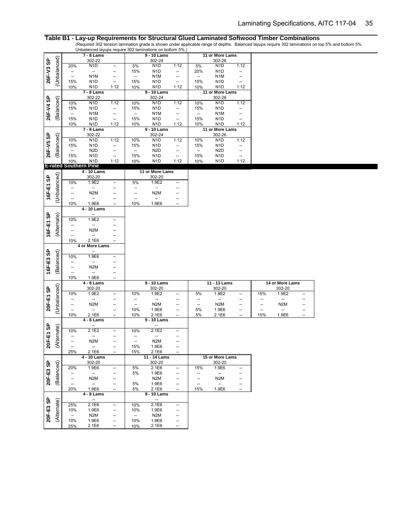Table B1 - Lay-up Requirements for Structural Glued Laminated Softwood Timber Combinations<br>(Required 302 tension lamination grade is shown under applicable range of depths. Balanced layups require 302 laminations on top 5%

|           |              |                                 | 7 - 8 Lams                                       |                                                      |                          | 9 - 10 Lams                     |                          |          | 11 or More Lams                              |                          |                                |                  |          |
|-----------|--------------|---------------------------------|--------------------------------------------------|------------------------------------------------------|--------------------------|---------------------------------|--------------------------|----------|----------------------------------------------|--------------------------|--------------------------------|------------------|----------|
| 26F-V3 SP | (Unbalanced) |                                 | 302-22                                           |                                                      |                          | 302-24                          |                          |          | 302-26                                       |                          |                                |                  |          |
|           |              | 20%                             | N <sub>1</sub> D                                 | --                                                   | 5%                       | N <sub>1</sub> D                | 1:12                     | 5%       | N <sub>1</sub> D                             | 1:12                     |                                |                  |          |
|           |              | $\overline{\phantom{a}}$        | $\overline{\phantom{a}}$                         | --                                                   | 15%                      | N <sub>1</sub> D                | --                       | 20%      | N <sub>1</sub> D                             | --                       |                                |                  |          |
|           |              | Щ,                              | N <sub>1</sub> M                                 | $\overline{\phantom{a}}$                             | $\overline{\phantom{a}}$ | N <sub>1</sub> M                | --                       | Щ,       | N <sub>1</sub> M                             | $\qquad \qquad -$        |                                |                  |          |
|           |              | 15%                             | N <sub>1</sub> D                                 | $\overline{\phantom{a}}$                             | 15%                      | N <sub>1</sub> D                | $\overline{\phantom{a}}$ | 15%      | N <sub>1</sub> D                             | $\qquad \qquad -$        |                                |                  |          |
|           |              | 10%                             | N <sub>1</sub> D<br>7 - 8 Lams                   | 1:12                                                 | 10%                      | N <sub>1</sub> D<br>9 - 10 Lams | 1:12                     | 10%      | N <sub>1</sub> D<br>11 or More Lams          | 1:12                     |                                |                  |          |
|           |              |                                 | 302-22                                           |                                                      |                          | 302-24                          |                          |          | 302-26                                       |                          |                                |                  |          |
| 26F-V4 SP | (Balanced)   | 10%                             | N <sub>1</sub> D                                 | 1:12                                                 | 10%                      | N <sub>1</sub> D                | 1:12                     | 10%      | N <sub>1</sub> D                             | 1:12                     |                                |                  |          |
|           |              | 15%                             | N <sub>1</sub> D                                 | $\overline{\phantom{a}}$                             | 15%                      | N <sub>1</sub> D                | --                       | 15%      | N <sub>1</sub> D                             | --                       |                                |                  |          |
|           |              | $\overline{\phantom{a}}$        | N <sub>1</sub> M                                 | $\overline{\phantom{a}}$                             | $\overline{\phantom{a}}$ | N <sub>1</sub> M                | --                       | Щ,       | N1M                                          | --                       |                                |                  |          |
|           |              | 15%                             | N <sub>1</sub> D                                 | $\overline{\phantom{a}}$                             | 15%                      | N <sub>1</sub> D                | $\overline{\phantom{a}}$ | 15%      | N <sub>1</sub> D                             | $\overline{\phantom{a}}$ |                                |                  |          |
|           |              | <u>10%</u>                      | N <sub>1</sub> D                                 | 1:12                                                 | 10%                      | N <sub>1</sub> D                | 1:12                     | 10%      | N <sub>1</sub> D                             | 1:12                     |                                |                  |          |
|           |              |                                 | 7 - 8 Lams                                       |                                                      |                          | 9 - 10 Lams                     |                          |          | 11 or More Lams                              |                          |                                |                  |          |
|           |              |                                 | 302-22                                           |                                                      |                          | 302-24                          |                          |          | 302-26                                       |                          |                                |                  |          |
| 26F-V5 SP | Balanced)    | 10%                             | N <sub>1</sub> D                                 | 1:12                                                 | 10%                      | N <sub>1</sub> D                | 1:12                     | 10%      | N <sub>1</sub> D                             | 1:12                     |                                |                  |          |
|           |              | 15%                             | N <sub>1</sub> D                                 | $\overline{\phantom{a}}$                             | 15%                      | N <sub>1</sub> D                | --                       | 15%      | N <sub>1</sub> D                             | $\qquad \qquad \cdots$   |                                |                  |          |
|           |              | $\overline{\phantom{a}}$        | N <sub>2</sub> D                                 | $\overline{\phantom{a}}$                             | $\overline{\phantom{a}}$ | N <sub>2</sub> D                | --                       | --       | N <sub>2</sub> D                             | $\overline{\phantom{a}}$ |                                |                  |          |
|           |              | 15%                             | N <sub>1</sub> D                                 | $\overline{\phantom{a}}$                             | 15%                      | N <sub>1</sub> D                | $\overline{\phantom{a}}$ | 15%      | N <sub>1</sub> D                             | $\overline{\phantom{a}}$ |                                |                  |          |
|           |              | 10%                             | N <sub>1</sub> D<br><b>E-rated Southern Pine</b> | 1:12                                                 | 10%                      | N <sub>1</sub> D                | 1:12                     | 10%      | N <sub>1</sub> D                             | 1:12                     |                                |                  |          |
|           |              |                                 | 4 - 10 Lams                                      |                                                      |                          | 11 or More Lams                 |                          |          |                                              |                          |                                |                  |          |
|           | (Unbalanced) |                                 | 302-20                                           |                                                      |                          | 302-20                          |                          |          |                                              |                          |                                |                  |          |
|           |              | 10%                             | 1.9E2                                            | $\overline{\phantom{a}}$                             | 5%                       | 1.9E2                           | --                       |          |                                              |                          |                                |                  |          |
|           |              | --                              | $\overline{\phantom{a}}$                         | $\overline{\phantom{a}}$                             | $\overline{\phantom{a}}$ | $\overline{\phantom{a}}$        | --                       |          |                                              |                          |                                |                  |          |
|           |              | --                              | N <sub>2</sub> M                                 | --                                                   | --                       | N <sub>2</sub> M                | --                       |          |                                              |                          |                                |                  |          |
| 16F-E1 SP |              | --                              | Щ,                                               | $\overline{\phantom{a}}$                             | $\overline{\phantom{a}}$ | $\overline{\phantom{a}}$        | --                       |          |                                              |                          |                                |                  |          |
|           |              | 10%                             | 1.9E6                                            | $\overline{\phantom{a}}$                             | 10%                      | 1.9E6                           | --                       |          |                                              |                          |                                |                  |          |
|           |              |                                 | 4 - 10 Lams                                      |                                                      |                          |                                 |                          |          |                                              |                          |                                |                  |          |
|           |              |                                 | $\qquad \qquad \cdots$                           |                                                      |                          |                                 |                          |          |                                              |                          |                                |                  |          |
|           |              | 10%                             | 1.9E2                                            | $\overline{\phantom{a}}$                             |                          |                                 |                          |          |                                              |                          |                                |                  |          |
|           |              | $\overline{\phantom{a}}$        | $\overline{\phantom{a}}$                         | --                                                   |                          |                                 |                          |          |                                              |                          |                                |                  |          |
|           |              | --                              | N <sub>2</sub> M                                 |                                                      |                          |                                 |                          |          |                                              |                          |                                |                  |          |
|           |              |                                 |                                                  |                                                      |                          |                                 |                          |          |                                              |                          |                                |                  |          |
| 16F-E1 SP | (Alternate)  | --                              | $\qquad \qquad -$                                | --                                                   |                          |                                 |                          |          |                                              |                          |                                |                  |          |
|           |              | 10%                             | 2.1E6                                            | ÷.                                                   |                          |                                 |                          |          |                                              |                          |                                |                  |          |
|           |              |                                 | 4 or More Lams                                   |                                                      |                          |                                 |                          |          |                                              |                          |                                |                  |          |
|           |              |                                 | --                                               | $\overline{\phantom{a}}$                             |                          |                                 |                          |          |                                              |                          |                                |                  |          |
|           |              | 10%<br>$\overline{\phantom{a}}$ | 1.9E6<br>$\overline{\phantom{a}}$                | $\overline{a}$                                       |                          |                                 |                          |          |                                              |                          |                                |                  |          |
|           |              | --                              | N <sub>2</sub> M                                 | --                                                   |                          |                                 |                          |          |                                              |                          |                                |                  |          |
| 16F-E3 SP | (Balanced)   | $\overline{\phantom{a}}$        | $\frac{1}{2}$                                    | Ξ.                                                   |                          |                                 |                          |          |                                              |                          |                                |                  |          |
|           |              | 10%                             | 1.9E6                                            | $\overline{\phantom{a}}$                             |                          |                                 |                          |          |                                              |                          |                                |                  |          |
|           |              |                                 | $4 - 8$ Lams                                     |                                                      |                          | 9 - 10 Lams                     |                          |          | 11 - 13 Lams                                 |                          |                                | 14 or More Lams  |          |
|           |              |                                 | 302-20                                           |                                                      |                          | 302-20                          |                          |          | 302-20                                       |                          |                                | 302-20           |          |
|           |              | 10%                             | 1.9E2                                            | --                                                   | 10%                      | 1.9E2                           | --                       | 5%       | 1.9E2                                        | --                       | 15%                            | 1.9E2            | --       |
|           |              | --                              | $\overline{\phantom{a}}$                         | $\overline{\phantom{a}}$                             | --                       | $\overline{\phantom{a}}$        | --                       | --       | ш,                                           | --                       | --                             | Щ,               | --       |
|           |              | $\overline{\phantom{a}}$<br>--  | N <sub>2</sub> M                                 | $\overline{\phantom{a}}$                             | $\overline{\phantom{a}}$ | N <sub>2</sub> M                | --                       | --       | N <sub>2</sub> M                             | --                       | --<br>$\overline{\phantom{a}}$ | N <sub>2</sub> M | --       |
|           | (Unbalanced) | 10%                             | --<br>2.1E6                                      | $\overline{\phantom{a}}$<br>$\overline{\phantom{a}}$ | 10%<br>10%               | 1.9E6<br>2.1E6                  | --<br>--                 | 5%<br>5% | 1.9E6<br>2.1E6                               | --<br>--                 | 15%                            | --<br>1.9E6      | --<br>-- |
|           |              |                                 | 4 - 8 Lams                                       |                                                      |                          | 9 - 10 Lams                     |                          |          |                                              |                          |                                |                  |          |
| 20F-E1 SP |              |                                 | $\overline{\phantom{a}}$                         |                                                      |                          |                                 |                          |          |                                              |                          |                                |                  |          |
|           |              | 10%                             | 2.1E2                                            | --                                                   | 10%                      | 2.1E2                           | --                       |          |                                              |                          |                                |                  |          |
|           |              | --                              | $\qquad \qquad -$                                | --                                                   | $\qquad \qquad \cdots$   | $\qquad \qquad \cdots$          | --                       |          |                                              |                          |                                |                  |          |
|           |              | --                              | N <sub>2</sub> M                                 | --                                                   | $\overline{\phantom{a}}$ | N <sub>2</sub> M                | --                       |          |                                              |                          |                                |                  |          |
| 20F-E1 SP | (Alternate)  | $\overline{\phantom{a}}$        | --                                               | $\overline{\phantom{a}}$                             | 15%                      | 1.9E6                           | --                       |          |                                              |                          |                                |                  |          |
|           |              | 25%                             | 2.1E6                                            | $\overline{\phantom{a}}$                             | 15%                      | 2.1E6                           | $\overline{a}$           |          |                                              |                          |                                |                  |          |
|           |              |                                 | 4 - 10 Lams                                      |                                                      |                          | 11 - 14 Lams                    |                          |          | 15 or More Lams                              |                          |                                |                  |          |
|           |              |                                 | 302-20                                           |                                                      |                          | 302-20                          |                          |          | 302-20                                       |                          |                                |                  |          |
|           |              | 20%                             | 1.9E6                                            | $\overline{\phantom{a}}$                             | 5%                       | 2.1E6                           | --                       | 15%      | 1.9E6                                        | $\overline{\phantom{a}}$ |                                |                  |          |
|           |              | $\overline{\phantom{a}}$        | $\overline{\phantom{a}}$                         | $\overline{\phantom{a}}$                             | 5%                       | 1.9E6                           | --                       | ÷        | $\overline{\phantom{a}}$                     | --                       |                                |                  |          |
|           |              | $\overline{\phantom{a}}$<br>Щ,  | N <sub>2</sub> M<br>$\overline{\phantom{a}}$     | --<br>--                                             |                          | N <sub>2</sub> M                | --<br>--                 | --<br>-- | N <sub>2</sub> M<br>$\overline{\phantom{a}}$ | --<br>--                 |                                |                  |          |
| 20F-E3 SP | (Balanced)   | 20%                             | 1.9E6                                            | $\overline{\phantom{a}}$                             | 5%<br>5%                 | 1.9E6<br>2.1E6                  | $\overline{\phantom{a}}$ | 15%      | 1.9E6                                        | $\overline{\phantom{a}}$ |                                |                  |          |
|           |              |                                 | 4 - 8 Lams                                       |                                                      |                          | 9 - 10 Lams                     |                          |          |                                              |                          |                                |                  |          |
|           |              |                                 | $\overline{\phantom{a}}$                         |                                                      |                          | $\overline{\phantom{a}}$        |                          |          |                                              |                          |                                |                  |          |
|           |              | 25%                             | 2.1E6                                            | $\overline{\phantom{a}}$                             | 10%                      | 2.1E6                           | $\overline{\phantom{a}}$ |          |                                              |                          |                                |                  |          |
|           |              | 10%                             | 1.9E6                                            | $\overline{\phantom{a}}$                             | 10%                      | 1.9E6                           | --                       |          |                                              |                          |                                |                  |          |
|           |              | $\overline{\phantom{a}}$        | N <sub>2</sub> M                                 | --                                                   | $\overline{\phantom{a}}$ | N <sub>2</sub> M                | --                       |          |                                              |                          |                                |                  |          |
| 20F-E3 SP | (Alternate)  | 10%<br>25%                      | 1.9E6<br>2.1E6                                   | --<br>--                                             | 10%<br>10%               | 1.9E6<br>2.1E6                  | --<br>--                 |          |                                              |                          |                                |                  |          |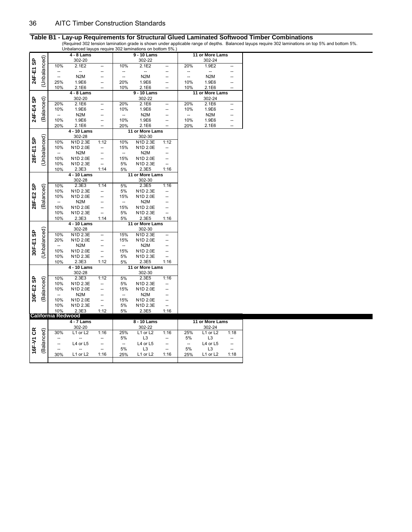|           |              |                           |                  |                          |                          | $\sigma$ or identical regular statement and $\sigma$ is the control of $\sigma$ . |                                  |                          |                            |                                  |
|-----------|--------------|---------------------------|------------------|--------------------------|--------------------------|-----------------------------------------------------------------------------------|----------------------------------|--------------------------|----------------------------|----------------------------------|
|           |              |                           | 4 - 8 Lams       |                          |                          | 9 - 10 Lams                                                                       |                                  |                          | 11 or More Lams            |                                  |
|           |              |                           | 302-20           |                          |                          | 302-22                                                                            |                                  |                          | 302-24                     |                                  |
|           |              | 10%                       | 2.1E2            |                          | 10%                      | 2.1E2                                                                             | --                               | 20%                      | 1.9E2                      |                                  |
| 24F-E1 SP | (Unbalanced) | <sup>--</sup>             | --               |                          | --                       |                                                                                   |                                  |                          |                            |                                  |
|           |              | --                        | N <sub>2</sub> M |                          | $\overline{\phantom{a}}$ | N <sub>2</sub> M                                                                  |                                  | $\frac{1}{2}$            | N <sub>2</sub> M           |                                  |
|           |              | 25%                       | 1.9E6            | --                       | 20%                      | 1.9E6                                                                             | --                               | 10%                      | 1.9E6                      |                                  |
|           |              | 10%                       | 2.1E6            |                          | 10%                      | 2.1E6                                                                             |                                  | 10%                      | 2.1E6                      |                                  |
|           |              |                           | 4 - 8 Lams       |                          |                          | 9 - 10 Lams                                                                       |                                  |                          | 11 or More Lams            |                                  |
|           |              |                           |                  |                          |                          |                                                                                   |                                  |                          |                            |                                  |
| 24F-E4 SP | (Balanced)   |                           | 302-20           |                          |                          | 302-22                                                                            |                                  |                          | 302-24                     |                                  |
|           |              | 20%                       | 2.1E6            | --                       | 20%                      | 2.1E6                                                                             | --                               | 20%                      | 2.1E6                      | --                               |
|           |              | 10%                       | 1.9E6            |                          | 10%                      | 1.9E6                                                                             | --                               | 10%                      | 1.9E6                      |                                  |
|           |              | --                        | N <sub>2</sub> M |                          | --                       | N <sub>2</sub> M                                                                  |                                  | --                       | N <sub>2</sub> M           |                                  |
|           |              | 10%                       | 1.9E6            | --                       | 10%                      | 1.9E6                                                                             | --                               | 10%                      | 1.9E6                      | --                               |
|           |              | 20%                       | 2.1E6            | --                       | 20%                      | 2.1E6                                                                             |                                  | 20%                      | 2.1E6                      | --                               |
|           |              |                           | 4 - 10 Lams      |                          |                          | 11 or More Lams                                                                   |                                  |                          |                            |                                  |
|           |              |                           | 302-28           |                          |                          | 302-30                                                                            |                                  |                          |                            |                                  |
|           |              | 10%                       | N1D 2.3E         | 1:12                     | 10%                      | N1D 2.3E                                                                          | 1:12                             |                          |                            |                                  |
|           |              | 10%                       | N1D 2.0E         |                          | 15%                      | N1D 2.0E                                                                          |                                  |                          |                            |                                  |
|           |              | $\overline{\phantom{a}}$  | N <sub>2</sub> M |                          | $\overline{\phantom{a}}$ | N <sub>2</sub> M                                                                  |                                  |                          |                            |                                  |
| 28F-E1 SP | (Unbalanced) | 10%                       | N1D 2.0E         | --                       | 15%                      | N1D 2.0E                                                                          |                                  |                          |                            |                                  |
|           |              | 10%                       | N1D 2.3E         |                          | 5%                       | N1D 2.3E                                                                          |                                  |                          |                            |                                  |
|           |              |                           | 2.3E3            | 1:14                     |                          | 2.3E5                                                                             | 1:16                             |                          |                            |                                  |
|           |              | 10%                       |                  |                          | 5%                       |                                                                                   |                                  |                          |                            |                                  |
|           |              |                           | 4 - 10 Lams      |                          |                          | 11 or More Lams                                                                   |                                  |                          |                            |                                  |
|           |              |                           | 302-28           |                          |                          | 302-30                                                                            |                                  |                          |                            |                                  |
|           | (Balanced)   | 10%                       | 2.3E3            | 1:14                     | 5%                       | 2.3E5                                                                             | 1:16                             |                          |                            |                                  |
|           |              | 10%                       | N1D 2.3E         | --                       | 5%                       | N1D 2.3E                                                                          |                                  |                          |                            |                                  |
|           |              | 10%                       | N1D 2.0E         |                          | 15%                      | N1D 2.0E                                                                          |                                  |                          |                            |                                  |
|           |              | $\overline{\phantom{a}}$  | N <sub>2</sub> M |                          | $\overline{\phantom{a}}$ | N <sub>2</sub> M                                                                  |                                  |                          |                            |                                  |
|           |              |                           |                  |                          |                          |                                                                                   |                                  |                          |                            |                                  |
| 28F-E2 SP |              | 10%                       | N1D 2.0E         | --                       | 15%                      | N1D 2.0E                                                                          |                                  |                          |                            |                                  |
|           |              | 10%                       | N1D 2.3E         | --                       | 5%                       | N1D 2.3E                                                                          |                                  |                          |                            |                                  |
|           |              | 10%                       | 2.3E3            | 1:14                     | 5%                       | 2.3E5                                                                             | 1:16                             |                          |                            |                                  |
|           |              |                           | 4 - 10 Lams      |                          |                          | 11 or More Lams                                                                   |                                  |                          |                            |                                  |
|           |              |                           | 302-28           |                          |                          | 302-30                                                                            |                                  |                          |                            |                                  |
|           |              | 10%                       | N1D 2.3E         |                          | 15%                      | N1D 2.3E                                                                          |                                  |                          |                            |                                  |
|           |              | 20%                       | N1D 2.0E         | --                       | 15%                      | N1D 2.0E                                                                          |                                  |                          |                            |                                  |
|           |              | $\overline{\phantom{a}}$  |                  |                          | $\overline{\phantom{a}}$ | N <sub>2</sub> M                                                                  |                                  |                          |                            |                                  |
|           |              |                           | N <sub>2</sub> M |                          |                          |                                                                                   |                                  |                          |                            |                                  |
| 30F-E1 SP |              | 10%                       | N1D 2.0E         | --                       | 15%                      | N1D 2.0E                                                                          |                                  |                          |                            |                                  |
|           | (Unbalanced) | 10%                       | N1D 2.3E         | $\overline{\phantom{a}}$ | 5%                       | N1D 2.3E                                                                          | $\overline{\phantom{a}}$         |                          |                            |                                  |
|           |              | 10%                       | 2.3E3            | 1:12                     | 5%                       | 2.3E5                                                                             | 1:16                             |                          |                            |                                  |
|           |              |                           | 4 - 10 Lams      |                          |                          | 11 or More Lams                                                                   |                                  |                          |                            |                                  |
|           |              |                           | 302-28           |                          |                          | 302-30                                                                            |                                  |                          |                            |                                  |
|           |              | 10%                       | 2.3E3            | 1:12                     | 5%                       | 2.3E5                                                                             | 1:16                             |                          |                            |                                  |
|           |              | 10%                       | N1D 2.3E         | --                       | 5%                       | N1D 2.3E                                                                          |                                  |                          |                            |                                  |
|           |              | 10%                       | N1D 2.0E         |                          | 15%                      | N1D 2.0E                                                                          |                                  |                          |                            |                                  |
|           |              | $\overline{\phantom{a}}$  | N <sub>2</sub> M |                          | $\overline{\phantom{a}}$ | N <sub>2</sub> M                                                                  |                                  |                          |                            |                                  |
| 30F-E2 SP | Balanced)    | 10%                       | N1D 2.0E         | --                       | 15%                      | N1D 2.0E                                                                          | --                               |                          |                            |                                  |
|           |              | 10%                       | N1D 2.3E         | $\overline{\phantom{a}}$ | 5%                       | N1D 2.3E                                                                          | $\overline{\phantom{a}}$         |                          |                            |                                  |
|           |              | 10%                       | 2.3E3            | 1:12                     | 5%                       | 2.3E5                                                                             | 1:16                             |                          |                            |                                  |
|           |              | <b>California Redwood</b> |                  |                          |                          |                                                                                   |                                  |                          |                            |                                  |
|           |              |                           | 4 - 7 Lams       |                          |                          | 8 - 10 Lams                                                                       |                                  |                          | 11 or More Lams            |                                  |
|           |              |                           | 302-20           |                          |                          | 302-22                                                                            |                                  |                          | 302-24                     |                                  |
|           |              | 30%                       | L1 or L2         | 1:16                     | 25%                      | L1 or L2                                                                          | 1:16                             | 25%                      | L1 or L2                   | 1:18                             |
|           |              |                           |                  |                          | 5%                       | L <sub>3</sub>                                                                    | --                               | 5%                       | L <sub>3</sub>             |                                  |
|           |              |                           | L4 or L5         |                          | $\qquad \qquad -$        | L4 or L5                                                                          | --                               | $\overline{\phantom{a}}$ | L4 or L5                   | --                               |
| 16F-V1 CR | (Balanced)   | --<br>30%                 | L1 or L2         | --<br>1:16               | 5%<br>25%                | L <sub>3</sub><br>L1 or L2                                                        | $\overline{\phantom{a}}$<br>1:16 | 5%<br>25%                | L <sub>3</sub><br>L1 or L2 | $\overline{\phantom{a}}$<br>1:18 |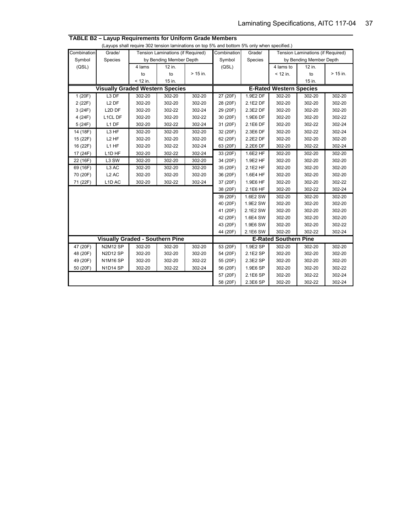|             |                                        |            |                                   |            | (Layups shall require 302 tension laminations on top 5% and bottom 5% only when specified.) |          |                              |                                   |            |
|-------------|----------------------------------------|------------|-----------------------------------|------------|---------------------------------------------------------------------------------------------|----------|------------------------------|-----------------------------------|------------|
| Combination | Grade/                                 |            | Tension Laminations (if Required) |            | Combination                                                                                 | Grade/   |                              | Tension Laminations (if Required) |            |
| Symbol      | Species                                |            | by Bending Member Depth           |            | Symbol                                                                                      | Species  |                              | by Bending Member Depth           |            |
| (QSL)       |                                        | 4 lams     | 12 in.                            |            | (QSL)                                                                                       |          | 4 lams to                    | 12 in.                            |            |
|             |                                        | to         | to                                | $> 15$ in. |                                                                                             |          | $<$ 12 in.                   | to                                | $> 15$ in. |
|             |                                        | $<$ 12 in. | 15 in.                            |            |                                                                                             |          |                              | 15 in.                            |            |
|             | <b>Visually Graded Western Species</b> |            |                                   |            | <b>E-Rated Western Species</b>                                                              |          |                              |                                   |            |
| 1 (20F)     | L <sub>3</sub> DF                      | 302-20     | 302-20                            | 302-20     | 27 (20F)                                                                                    | 1.9E2 DF | 302-20                       | 302-20                            | 302-20     |
| 2 (22F)     | L <sub>2</sub> DF                      | 302-20     | 302-20                            | 302-20     | 28 (20F)                                                                                    | 2.1E2 DF | 302-20                       | 302-20                            | 302-20     |
| 3(24F)      | L2D DF                                 | 302-20     | 302-22                            | 302-24     | 29 (20F)                                                                                    | 2.3E2 DF | 302-20                       | 302-20                            | 302-20     |
| 4 (24F)     | L1CL DF                                | 302-20     | 302-20                            | 302-22     | 30 (20F)                                                                                    | 1.9E6 DF | 302-20                       | 302-20                            | 302-22     |
| 5(24F)      | L1 DF                                  | 302-20     | 302-22                            | 302-24     | 31 (20F)                                                                                    | 2.1E6 DF | 302-20                       | 302-22                            | 302-24     |
| 14 (18F)    | L <sub>3</sub> HF                      | 302-20     | 302-20                            | 302-20     | 32 (20F)                                                                                    | 2.3E6 DF | 302-20                       | 302-22                            | 302-24     |
| 15 (22F)    | L <sub>2</sub> HF                      | 302-20     | 302-20                            | 302-20     | 62 (20F)                                                                                    | 2.2E2 DF | 302-20                       | 302-20                            | 302-20     |
| 16 (22F)    | L1 HF                                  | 302-20     | 302-22                            | 302-24     | 63 (20F)                                                                                    | 2.2E6 DF | 302-20                       | 302-22                            | 302-24     |
| 17 (24F)    | L <sub>1</sub> D <sub>HF</sub>         | 302-20     | 302-22                            | 302-24     | 33 (20F)                                                                                    | 1.6E2 HF | 302-20                       | 302-20                            | 302-20     |
| 22 (16F)    | L3 SW                                  | 302-20     | 302-20                            | 302-20     | 34 (20F)                                                                                    | 1.9E2 HF | 302-20                       | 302-20                            | 302-20     |
| 69 (16F)    | L3 AC                                  | 302-20     | 302-20                            | 302-20     | 35 (20F)                                                                                    | 2.1E2 HF | 302-20                       | 302-20                            | 302-20     |
| 70 (20F)    | L <sub>2</sub> AC                      | 302-20     | 302-20                            | 302-20     | 36 (20F)                                                                                    | 1.6E4 HF | 302-20                       | 302-20                            | 302-20     |
| 71 (22F)    | L <sub>1</sub> D <sub>AC</sub>         | 302-20     | 302-22                            | 302-24     | 37 (20F)                                                                                    | 1.9E6 HF | 302-20                       | 302-20                            | 302-22     |
|             |                                        |            |                                   |            | 38 (20F)                                                                                    | 2.1E6 HF | 302-20                       | 302-22                            | 302-24     |
|             |                                        |            |                                   |            | 39 (20F)                                                                                    | 1.6E2 SW | 302-20                       | 302-20                            | 302-20     |
|             |                                        |            |                                   |            | 40 (20F)                                                                                    | 1.9E2 SW | 302-20                       | 302-20                            | 302-20     |
|             |                                        |            |                                   |            | 41 (20F)                                                                                    | 2.1E2 SW | 302-20                       | 302-20                            | 302-20     |
|             |                                        |            |                                   |            | 42 (20F)                                                                                    | 1.6E4 SW | 302-20                       | 302-20                            | 302-20     |
|             |                                        |            |                                   |            | 43 (20F)                                                                                    | 1.9E6 SW | 302-20                       | 302-20                            | 302-22     |
|             |                                        |            |                                   |            | 44 (20F)                                                                                    | 2.1E6 SW | 302-20                       | 302-22                            | 302-24     |
|             | <b>Visually Graded - Southern Pine</b> |            |                                   |            |                                                                                             |          | <b>E-Rated Southern Pine</b> |                                   |            |
| 47 (20F)    | <b>N2M12 SP</b>                        | 302-20     | 302-20                            | 302-20     | 53 (20F)                                                                                    | 1.9E2 SP | 302-20                       | 302-20                            | 302-20     |
| 48 (20F)    | <b>N2D12 SP</b>                        | 302-20     | 302-20                            | 302-20     | 54 (20F)                                                                                    | 2.1E2 SP | 302-20                       | 302-20                            | 302-20     |
| 49 (20F)    | <b>N1M16 SP</b>                        | 302-20     | 302-20                            | 302-22     | 55 (20F)                                                                                    | 2.3E2 SP | 302-20                       | 302-20                            | 302-20     |
| 50 (20F)    | N1D14 SP                               | 302-20     | 302-22                            | 302-24     | 56 (20F)                                                                                    | 1.9E6 SP | 302-20                       | 302-20                            | 302-22     |
|             |                                        |            |                                   |            | 57 (20F)                                                                                    | 2.1E6 SP | 302-20                       | 302-22                            | 302-24     |
|             |                                        |            |                                   |            | 58 (20F)                                                                                    | 2.3E6 SP | 302-20                       | 302-22                            | 302-24     |

**TABLE B2 – Layup Requirements for Uniform Grade Members**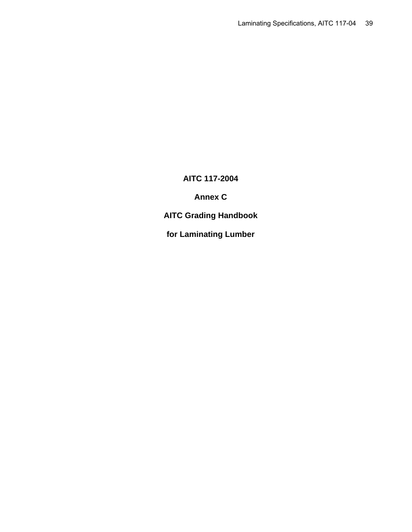# **AITC 117-2004**

**Annex C** 

**AITC Grading Handbook** 

**for Laminating Lumber**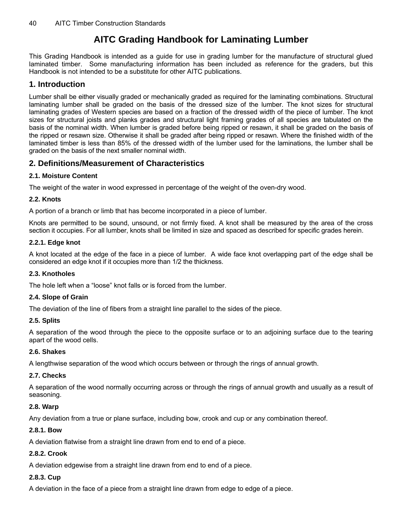# **AITC Grading Handbook for Laminating Lumber**

This Grading Handbook is intended as a guide for use in grading lumber for the manufacture of structural glued laminated timber. Some manufacturing information has been included as reference for the graders, but this Handbook is not intended to be a substitute for other AITC publications.

## **1. Introduction**

Lumber shall be either visually graded or mechanically graded as required for the laminating combinations. Structural laminating lumber shall be graded on the basis of the dressed size of the lumber. The knot sizes for structural laminating grades of Western species are based on a fraction of the dressed width of the piece of lumber. The knot sizes for structural joists and planks grades and structural light framing grades of all species are tabulated on the basis of the nominal width. When lumber is graded before being ripped or resawn, it shall be graded on the basis of the ripped or resawn size. Otherwise it shall be graded after being ripped or resawn. Where the finished width of the laminated timber is less than 85% of the dressed width of the lumber used for the laminations, the lumber shall be graded on the basis of the next smaller nominal width.

# **2. Definitions/Measurement of Characteristics**

#### **2.1. Moisture Content**

The weight of the water in wood expressed in percentage of the weight of the oven-dry wood.

#### **2.2. Knots**

A portion of a branch or limb that has become incorporated in a piece of lumber.

Knots are permitted to be sound, unsound, or not firmly fixed. A knot shall be measured by the area of the cross section it occupies. For all lumber, knots shall be limited in size and spaced as described for specific grades herein.

#### **2.2.1. Edge knot**

A knot located at the edge of the face in a piece of lumber. A wide face knot overlapping part of the edge shall be considered an edge knot if it occupies more than 1/2 the thickness.

#### **2.3. Knotholes**

The hole left when a "loose" knot falls or is forced from the lumber.

#### **2.4. Slope of Grain**

The deviation of the line of fibers from a straight line parallel to the sides of the piece.

#### **2.5. Splits**

A separation of the wood through the piece to the opposite surface or to an adjoining surface due to the tearing apart of the wood cells.

#### **2.6. Shakes**

A lengthwise separation of the wood which occurs between or through the rings of annual growth.

#### **2.7. Checks**

A separation of the wood normally occurring across or through the rings of annual growth and usually as a result of seasoning.

#### **2.8. Warp**

Any deviation from a true or plane surface, including bow, crook and cup or any combination thereof.

#### **2.8.1. Bow**

A deviation flatwise from a straight line drawn from end to end of a piece.

#### **2.8.2. Crook**

A deviation edgewise from a straight line drawn from end to end of a piece.

#### **2.8.3. Cup**

A deviation in the face of a piece from a straight line drawn from edge to edge of a piece.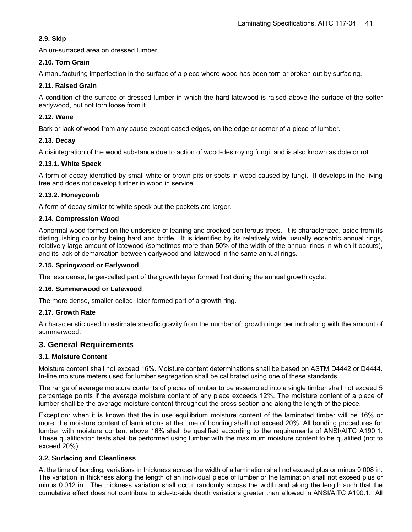#### **2.9. Skip**

An un-surfaced area on dressed lumber.

#### **2.10. Torn Grain**

A manufacturing imperfection in the surface of a piece where wood has been torn or broken out by surfacing.

#### **2.11. Raised Grain**

A condition of the surface of dressed lumber in which the hard latewood is raised above the surface of the softer earlywood, but not torn loose from it.

#### **2.12. Wane**

Bark or lack of wood from any cause except eased edges, on the edge or corner of a piece of lumber.

#### **2.13. Decay**

A disintegration of the wood substance due to action of wood-destroying fungi, and is also known as dote or rot.

#### **2.13.1. White Speck**

A form of decay identified by small white or brown pits or spots in wood caused by fungi. It develops in the living tree and does not develop further in wood in service.

#### **2.13.2. Honeycomb**

A form of decay similar to white speck but the pockets are larger.

#### **2.14. Compression Wood**

Abnormal wood formed on the underside of leaning and crooked coniferous trees. It is characterized, aside from its distinguishing color by being hard and brittle. It is identified by its relatively wide, usually eccentric annual rings, relatively large amount of latewood (sometimes more than 50% of the width of the annual rings in which it occurs), and its lack of demarcation between earlywood and latewood in the same annual rings.

#### **2.15. Springwood or Earlywood**

The less dense, larger-celled part of the growth layer formed first during the annual growth cycle.

#### **2.16. Summerwood or Latewood**

The more dense, smaller-celled, later-formed part of a growth ring.

#### **2.17. Growth Rate**

A characteristic used to estimate specific gravity from the number of growth rings per inch along with the amount of summerwood.

#### **3. General Requirements**

#### **3.1. Moisture Content**

Moisture content shall not exceed 16%. Moisture content determinations shall be based on ASTM D4442 or D4444. In-line moisture meters used for lumber segregation shall be calibrated using one of these standards.

The range of average moisture contents of pieces of lumber to be assembled into a single timber shall not exceed 5 percentage points if the average moisture content of any piece exceeds 12%. The moisture content of a piece of lumber shall be the average moisture content throughout the cross section and along the length of the piece.

Exception: when it is known that the in use equilibrium moisture content of the laminated timber will be 16% or more, the moisture content of laminations at the time of bonding shall not exceed 20%. All bonding procedures for lumber with moisture content above 16% shall be qualified according to the requirements of ANSI/AITC A190.1. These qualification tests shall be performed using lumber with the maximum moisture content to be qualified (not to exceed 20%).

#### **3.2. Surfacing and Cleanliness**

At the time of bonding, variations in thickness across the width of a lamination shall not exceed plus or minus 0.008 in. The variation in thickness along the length of an individual piece of lumber or the lamination shall not exceed plus or minus 0.012 in. The thickness variation shall occur randomly across the width and along the length such that the cumulative effect does not contribute to side-to-side depth variations greater than allowed in ANSI/AITC A190.1. All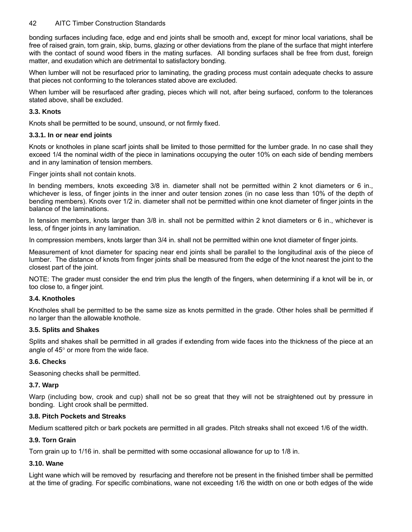bonding surfaces including face, edge and end joints shall be smooth and, except for minor local variations, shall be free of raised grain, torn grain, skip, burns, glazing or other deviations from the plane of the surface that might interfere with the contact of sound wood fibers in the mating surfaces. All bonding surfaces shall be free from dust, foreign matter, and exudation which are detrimental to satisfactory bonding.

When lumber will not be resurfaced prior to laminating, the grading process must contain adequate checks to assure that pieces not conforming to the tolerances stated above are excluded.

When lumber will be resurfaced after grading, pieces which will not, after being surfaced, conform to the tolerances stated above, shall be excluded.

#### **3.3. Knots**

Knots shall be permitted to be sound, unsound, or not firmly fixed.

#### **3.3.1. In or near end joints**

Knots or knotholes in plane scarf joints shall be limited to those permitted for the lumber grade. In no case shall they exceed 1/4 the nominal width of the piece in laminations occupying the outer 10% on each side of bending members and in any lamination of tension members.

Finger joints shall not contain knots.

In bending members, knots exceeding 3/8 in. diameter shall not be permitted within 2 knot diameters or 6 in., whichever is less, of finger joints in the inner and outer tension zones (in no case less than 10% of the depth of bending members). Knots over 1/2 in. diameter shall not be permitted within one knot diameter of finger joints in the balance of the laminations.

In tension members, knots larger than 3/8 in. shall not be permitted within 2 knot diameters or 6 in., whichever is less, of finger joints in any lamination.

In compression members, knots larger than 3/4 in. shall not be permitted within one knot diameter of finger joints.

Measurement of knot diameter for spacing near end joints shall be parallel to the longitudinal axis of the piece of lumber. The distance of knots from finger joints shall be measured from the edge of the knot nearest the joint to the closest part of the joint.

NOTE: The grader must consider the end trim plus the length of the fingers, when determining if a knot will be in, or too close to, a finger joint.

#### **3.4. Knotholes**

Knotholes shall be permitted to be the same size as knots permitted in the grade. Other holes shall be permitted if no larger than the allowable knothole.

#### **3.5. Splits and Shakes**

Splits and shakes shall be permitted in all grades if extending from wide faces into the thickness of the piece at an angle of 45° or more from the wide face.

#### **3.6. Checks**

Seasoning checks shall be permitted.

#### **3.7. Warp**

Warp (including bow, crook and cup) shall not be so great that they will not be straightened out by pressure in bonding. Light crook shall be permitted.

#### **3.8. Pitch Pockets and Streaks**

Medium scattered pitch or bark pockets are permitted in all grades. Pitch streaks shall not exceed 1/6 of the width.

#### **3.9. Torn Grain**

Torn grain up to 1/16 in. shall be permitted with some occasional allowance for up to 1/8 in.

### **3.10. Wane**

Light wane which will be removed by resurfacing and therefore not be present in the finished timber shall be permitted at the time of grading. For specific combinations, wane not exceeding 1/6 the width on one or both edges of the wide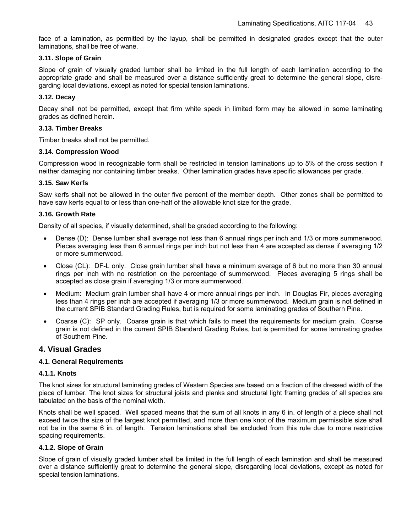face of a lamination, as permitted by the layup, shall be permitted in designated grades except that the outer laminations, shall be free of wane.

#### **3.11. Slope of Grain**

Slope of grain of visually graded lumber shall be limited in the full length of each lamination according to the appropriate grade and shall be measured over a distance sufficiently great to determine the general slope, disregarding local deviations, except as noted for special tension laminations.

#### **3.12. Decay**

Decay shall not be permitted, except that firm white speck in limited form may be allowed in some laminating grades as defined herein.

#### **3.13. Timber Breaks**

Timber breaks shall not be permitted.

#### **3.14. Compression Wood**

Compression wood in recognizable form shall be restricted in tension laminations up to 5% of the cross section if neither damaging nor containing timber breaks. Other lamination grades have specific allowances per grade.

#### **3.15. Saw Kerfs**

Saw kerfs shall not be allowed in the outer five percent of the member depth. Other zones shall be permitted to have saw kerfs equal to or less than one-half of the allowable knot size for the grade.

#### **3.16. Growth Rate**

Density of all species, if visually determined, shall be graded according to the following:

- Dense (D): Dense lumber shall average not less than 6 annual rings per inch and 1/3 or more summerwood. Pieces averaging less than 6 annual rings per inch but not less than 4 are accepted as dense if averaging 1/2 or more summerwood.
- Close (CL): DF-L only. Close grain lumber shall have a minimum average of 6 but no more than 30 annual rings per inch with no restriction on the percentage of summerwood. Pieces averaging 5 rings shall be accepted as close grain if averaging 1/3 or more summerwood.
- Medium: Medium grain lumber shall have 4 or more annual rings per inch. In Douglas Fir, pieces averaging less than 4 rings per inch are accepted if averaging 1/3 or more summerwood. Medium grain is not defined in the current SPIB Standard Grading Rules, but is required for some laminating grades of Southern Pine.
- Coarse (C): SP only. Coarse grain is that which fails to meet the requirements for medium grain. Coarse grain is not defined in the current SPIB Standard Grading Rules, but is permitted for some laminating grades of Southern Pine.

#### **4. Visual Grades**

#### **4.1. General Requirements**

#### **4.1.1. Knots**

The knot sizes for structural laminating grades of Western Species are based on a fraction of the dressed width of the piece of lumber. The knot sizes for structural joists and planks and structural light framing grades of all species are tabulated on the basis of the nominal width.

Knots shall be well spaced. Well spaced means that the sum of all knots in any 6 in. of length of a piece shall not exceed twice the size of the largest knot permitted, and more than one knot of the maximum permissible size shall not be in the same 6 in. of length. Tension laminations shall be excluded from this rule due to more restrictive spacing requirements.

#### **4.1.2. Slope of Grain**

Slope of grain of visually graded lumber shall be limited in the full length of each lamination and shall be measured over a distance sufficiently great to determine the general slope, disregarding local deviations, except as noted for special tension laminations.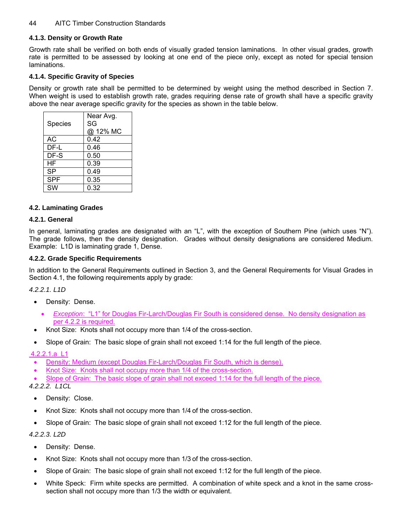#### **4.1.3. Density or Growth Rate**

Growth rate shall be verified on both ends of visually graded tension laminations. In other visual grades, growth rate is permitted to be assessed by looking at one end of the piece only, except as noted for special tension laminations.

#### **4.1.4. Specific Gravity of Species**

Density or growth rate shall be permitted to be determined by weight using the method described in Section 7. When weight is used to establish growth rate, grades requiring dense rate of growth shall have a specific gravity above the near average specific gravity for the species as shown in the table below.

| Species    | Near Avg.<br>SG<br>@ 12% MC |
|------------|-----------------------------|
| АC         | 0.42                        |
| DF-L       | 0.46                        |
| DF-S       | 0.50                        |
| HF         | 0.39                        |
| <b>SP</b>  | 0.49                        |
| <b>SPF</b> | 0.35                        |
| SW         | 0.32                        |

#### **4.2. Laminating Grades**

#### **4.2.1. General**

In general, laminating grades are designated with an "L", with the exception of Southern Pine (which uses "N"). The grade follows, then the density designation. Grades without density designations are considered Medium. Example: L1D is laminating grade 1, Dense.

#### **4.2.2. Grade Specific Requirements**

In addition to the General Requirements outlined in Section 3, and the General Requirements for Visual Grades in Section 4.1, the following requirements apply by grade:

*4.2.2.1. L1D* 

- Density: Dense.
	- *Exception*: "L1" for Douglas Fir-Larch/Douglas Fir South is considered dense. No density designation as per 4.2.2 is required.
- Knot Size: Knots shall not occupy more than 1/4 of the cross-section.
- Slope of Grain: The basic slope of grain shall not exceed 1:14 for the full length of the piece.

4.2.2.1.a L1

- Density: Medium (except Douglas Fir-Larch/Douglas Fir South, which is dense).
- Knot Size: Knots shall not occupy more than 1/4 of the cross-section.
- Slope of Grain: The basic slope of grain shall not exceed 1:14 for the full length of the piece.

*4.2.2.2. L1CL* 

- Density: Close.
- Knot Size: Knots shall not occupy more than 1/4 of the cross-section.
- Slope of Grain: The basic slope of grain shall not exceed 1:12 for the full length of the piece.

*4.2.2.3. L2D* 

- Density: Dense.
- Knot Size: Knots shall not occupy more than 1/3 of the cross-section.
- Slope of Grain: The basic slope of grain shall not exceed 1:12 for the full length of the piece.
- White Speck: Firm white specks are permitted. A combination of white speck and a knot in the same crosssection shall not occupy more than 1/3 the width or equivalent.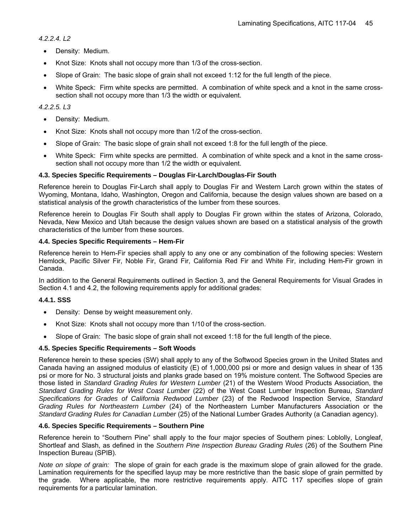*4.2.2.4. L2* 

- Density: Medium.
- Knot Size: Knots shall not occupy more than 1/3 of the cross-section.
- Slope of Grain: The basic slope of grain shall not exceed 1:12 for the full length of the piece.
- White Speck: Firm white specks are permitted. A combination of white speck and a knot in the same crosssection shall not occupy more than 1/3 the width or equivalent.

#### *4.2.2.5. L3*

- Density: Medium.
- Knot Size: Knots shall not occupy more than 1/2 of the cross-section.
- Slope of Grain: The basic slope of grain shall not exceed 1:8 for the full length of the piece.
- White Speck: Firm white specks are permitted. A combination of white speck and a knot in the same crosssection shall not occupy more than 1/2 the width or equivalent.

#### **4.3. Species Specific Requirements – Douglas Fir-Larch/Douglas-Fir South**

Reference herein to Douglas Fir-Larch shall apply to Douglas Fir and Western Larch grown within the states of Wyoming, Montana, Idaho, Washington, Oregon and California, because the design values shown are based on a statistical analysis of the growth characteristics of the lumber from these sources.

Reference herein to Douglas Fir South shall apply to Douglas Fir grown within the states of Arizona, Colorado, Nevada, New Mexico and Utah because the design values shown are based on a statistical analysis of the growth characteristics of the lumber from these sources.

#### **4.4. Species Specific Requirements – Hem-Fir**

Reference herein to Hem-Fir species shall apply to any one or any combination of the following species: Western Hemlock, Pacific Silver Fir, Noble Fir, Grand Fir, California Red Fir and White Fir, including Hem-Fir grown in Canada.

In addition to the General Requirements outlined in Section 3, and the General Requirements for Visual Grades in Section 4.1 and 4.2, the following requirements apply for additional grades:

#### **4.4.1. SSS**

- Density: Dense by weight measurement only.
- Knot Size: Knots shall not occupy more than 1/10 of the cross-section.
- Slope of Grain: The basic slope of grain shall not exceed 1:18 for the full length of the piece.

#### **4.5. Species Specific Requirements – Soft Woods**

Reference herein to these species (SW) shall apply to any of the Softwood Species grown in the United States and Canada having an assigned modulus of elasticity (E) of 1,000,000 psi or more and design values in shear of 135 psi or more for No. 3 structural joists and planks grade based on 19% moisture content. The Softwood Species are those listed in *Standard Grading Rules for Western Lumber* (21) of the Western Wood Products Association, the *Standard Grading Rules for West Coast Lumber* (22) of the West Coast Lumber Inspection Bureau, *Standard Specifications for Grades of California Redwood Lumber* (23) of the Redwood Inspection Service, *Standard Grading Rules for Northeastern Lumber* (24) of the Northeastern Lumber Manufacturers Association or the *Standard Grading Rules for Canadian Lumber* (25) of the National Lumber Grades Authority (a Canadian agency).

#### **4.6. Species Specific Requirements – Southern Pine**

Reference herein to "Southern Pine" shall apply to the four major species of Southern pines: Loblolly, Longleaf, Shortleaf and Slash, as defined in the *Southern Pine Inspection Bureau Grading Rules* (26) of the Southern Pine Inspection Bureau (SPIB).

*Note on slope of grain:* The slope of grain for each grade is the maximum slope of grain allowed for the grade. Lamination requirements for the specified layup may be more restrictive than the basic slope of grain permitted by the grade. Where applicable, the more restrictive requirements apply. AITC 117 specifies slope of grain requirements for a particular lamination.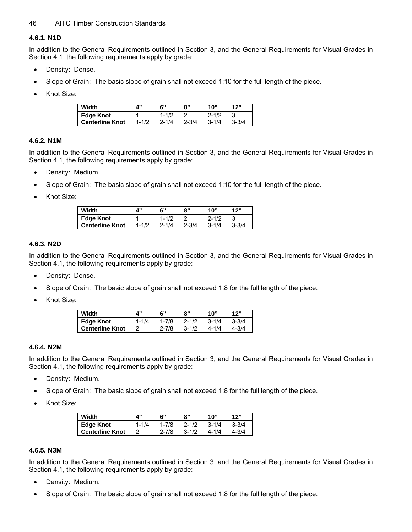#### **4.6.1. N1D**

In addition to the General Requirements outlined in Section 3, and the General Requirements for Visual Grades in Section 4.1, the following requirements apply by grade:

- Density: Dense.
- Slope of Grain: The basic slope of grain shall not exceed 1:10 for the full length of the piece.
- Knot Size:

| Width                  | $\mathbf{A}$ | ፍ"        | 8"        | 1በ"       | 12"       |
|------------------------|--------------|-----------|-----------|-----------|-----------|
| <b>Edge Knot</b>       |              | 1-1/2     |           | $2 - 1/2$ |           |
| <b>Centerline Knot</b> | $1 - 1/2$    | $2 - 1/4$ | $2 - 3/4$ | $3 - 1/4$ | $3 - 3/4$ |

#### **4.6.2. N1M**

In addition to the General Requirements outlined in Section 3, and the General Requirements for Visual Grades in Section 4.1, the following requirements apply by grade:

- Density: Medium.
- Slope of Grain: The basic slope of grain shall not exceed 1:10 for the full length of the piece.
- Knot Size:

| Width           |           | 6"        | 8"        | 10"       | 12"       |
|-----------------|-----------|-----------|-----------|-----------|-----------|
| Edge Knot       |           | $1 - 1/2$ |           | $2 - 1/2$ |           |
| Centerline Knot | $1 - 1/2$ | $2 - 1/4$ | $2 - 3/4$ | $3 - 1/4$ | $3 - 3/4$ |

#### **4.6.3. N2D**

In addition to the General Requirements outlined in Section 3, and the General Requirements for Visual Grades in Section 4.1, the following requirements apply by grade:

- Density: Dense.
- Slope of Grain: The basic slope of grain shall not exceed 1:8 for the full length of the piece.
- Knot Size:

| Width                  | <b>A</b> " |           | ጸ"        | 10"       | 12"       |
|------------------------|------------|-----------|-----------|-----------|-----------|
| Edge Knot              | $1 - 1/4$  | $1 - 7/8$ | $2 - 1/2$ | $3 - 1/4$ | $3 - 3/4$ |
| <b>Centerline Knot</b> |            | $2 - 7/8$ | $3 - 1/2$ | 4-1/4     | $4 - 3/4$ |

#### **4.6.4. N2M**

In addition to the General Requirements outlined in Section 3, and the General Requirements for Visual Grades in Section 4.1, the following requirements apply by grade:

- Density: Medium.
- Slope of Grain: The basic slope of grain shall not exceed 1:8 for the full length of the piece.
- Knot Size:

| Width                  | <b>A</b> " | 6"        | 8"        | 10"       | 12"       |
|------------------------|------------|-----------|-----------|-----------|-----------|
| Edge Knot              | $1 - 1/4$  | $1 - 7/8$ | $2 - 1/2$ | $3 - 1/4$ | $3 - 3/4$ |
| <b>Centerline Knot</b> |            | $2 - 7/8$ | $3 - 1/2$ | 4-1/4     | 4-3/4     |

#### **4.6.5. N3M**

In addition to the General Requirements outlined in Section 3, and the General Requirements for Visual Grades in Section 4.1, the following requirements apply by grade:

- Density: Medium.
- Slope of Grain: The basic slope of grain shall not exceed 1:8 for the full length of the piece.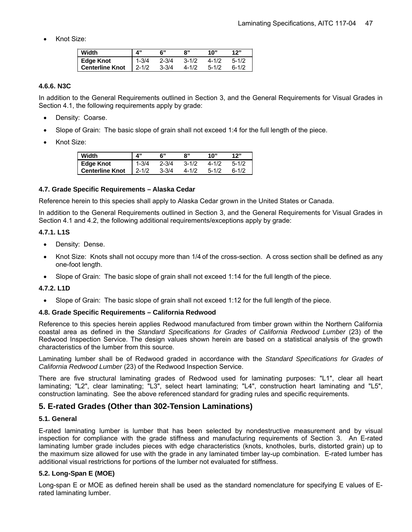• Knot Size:

| Width                  |            |           | 8"        | 10"       | 12"       |
|------------------------|------------|-----------|-----------|-----------|-----------|
| <b>Edge Knot</b>       | $1 - 3/4$  | $2 - 3/4$ | $3 - 1/2$ | $4 - 1/2$ | $5 - 1/2$ |
| <b>Centerline Knot</b> | $12 - 1/2$ | $3 - 3/4$ | $4 - 1/2$ | $5 - 1/2$ | $6 - 1/2$ |

#### **4.6.6. N3C**

In addition to the General Requirements outlined in Section 3, and the General Requirements for Visual Grades in Section 4.1, the following requirements apply by grade:

- Density: Coarse.
- Slope of Grain: The basic slope of grain shall not exceed 1:4 for the full length of the piece.
- Knot Size:

| Width                  | $\mathbf{A}^{\prime\prime}$ |           | ጸ"        | 10"       | 12"       |
|------------------------|-----------------------------|-----------|-----------|-----------|-----------|
| <b>Edge Knot</b>       | $1 - 3/4$                   | $2 - 3/4$ | $3 - 1/2$ | $4 - 1/2$ | $5 - 1/2$ |
| <b>Centerline Knot</b> | $2 - 1/2$                   | $3 - 3/4$ | $4 - 1/2$ | $5 - 1/2$ | $6 - 1/2$ |

#### **4.7. Grade Specific Requirements – Alaska Cedar**

Reference herein to this species shall apply to Alaska Cedar grown in the United States or Canada.

In addition to the General Requirements outlined in Section 3, and the General Requirements for Visual Grades in Section 4.1 and 4.2, the following additional requirements/exceptions apply by grade:

#### **4.7.1. L1S**

- Density: Dense.
- Knot Size: Knots shall not occupy more than 1/4 of the cross-section. A cross section shall be defined as any one-foot length.
- Slope of Grain: The basic slope of grain shall not exceed 1:14 for the full length of the piece.

#### **4.7.2. L1D**

• Slope of Grain: The basic slope of grain shall not exceed 1:12 for the full length of the piece.

#### **4.8. Grade Specific Requirements – California Redwood**

Reference to this species herein applies Redwood manufactured from timber grown within the Northern California coastal area as defined in the *Standard Specifications for Grades of California Redwood Lumber* (23) of the Redwood Inspection Service. The design values shown herein are based on a statistical analysis of the growth characteristics of the lumber from this source.

Laminating lumber shall be of Redwood graded in accordance with the *Standard Specifications for Grades of California Redwood Lumber* (23) of the Redwood Inspection Service.

There are five structural laminating grades of Redwood used for laminating purposes: "L1", clear all heart laminating; "L2", clear laminating; "L3", select heart laminating; "L4", construction heart laminating and "L5", construction laminating. See the above referenced standard for grading rules and specific requirements.

#### **5. E-rated Grades (Other than 302-Tension Laminations)**

#### **5.1. General**

E-rated laminating lumber is lumber that has been selected by nondestructive measurement and by visual inspection for compliance with the grade stiffness and manufacturing requirements of Section 3. An E-rated laminating lumber grade includes pieces with edge characteristics (knots, knotholes, burls, distorted grain) up to the maximum size allowed for use with the grade in any laminated timber lay-up combination. E-rated lumber has additional visual restrictions for portions of the lumber not evaluated for stiffness.

#### **5.2. Long-Span E (MOE)**

Long-span E or MOE as defined herein shall be used as the standard nomenclature for specifying E values of Erated laminating lumber.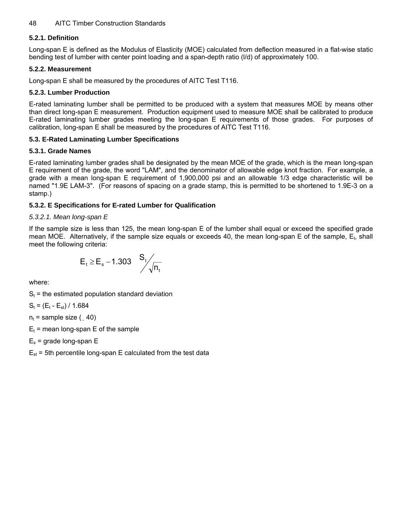#### **5.2.1. Definition**

Long-span E is defined as the Modulus of Elasticity (MOE) calculated from deflection measured in a flat-wise static bending test of lumber with center point loading and a span-depth ratio (l/d) of approximately 100.

#### **5.2.2. Measurement**

Long-span E shall be measured by the procedures of AITC Test T116.

#### **5.2.3. Lumber Production**

E-rated laminating lumber shall be permitted to be produced with a system that measures MOE by means other than direct long-span E measurement. Production equipment used to measure MOE shall be calibrated to produce E-rated laminating lumber grades meeting the long-span E requirements of those grades. For purposes of calibration, long-span E shall be measured by the procedures of AITC Test T116.

#### **5.3. E-Rated Laminating Lumber Specifications**

#### **5.3.1. Grade Names**

E-rated laminating lumber grades shall be designated by the mean MOE of the grade, which is the mean long-span E requirement of the grade, the word "LAM", and the denominator of allowable edge knot fraction. For example, a grade with a mean long-span E requirement of 1,900,000 psi and an allowable 1/3 edge characteristic will be named "1.9E LAM-3". (For reasons of spacing on a grade stamp, this is permitted to be shortened to 1.9E-3 on a stamp.)

#### **5.3.2. E Specifications for E-rated Lumber for Qualification**

#### *5.3.2.1. Mean long-span E*

If the sample size is less than 125, the mean long-span E of the lumber shall equal or exceed the specified grade mean MOE. Alternatively, if the sample size equals or exceeds 40, the mean long-span E of the sample,  $E_t$ , shall meet the following criteria:

$$
E_t \ge E_s - 1.303 \quad \frac{S_t}{\sqrt{n_t}}
$$

where:

 $S_t$  = the estimated population standard deviation

 $S_t = (E_t - E_{st}) / 1.684$ 

 $n_t$  = sample size ( $, 40$ )

 $E_t$  = mean long-span E of the sample

- $E_s$  = grade long-span E
- $E_{st}$  = 5th percentile long-span E calculated from the test data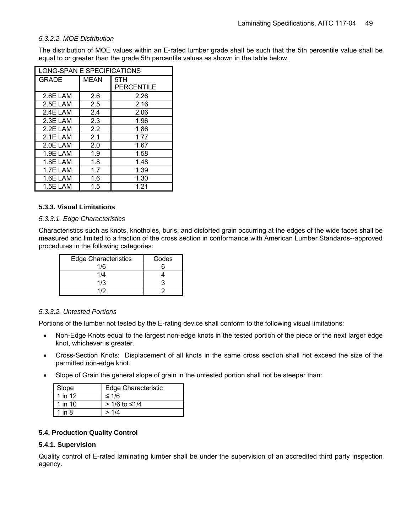#### *5.3.2.2. MOE Distribution*

The distribution of MOE values within an E-rated lumber grade shall be such that the 5th percentile value shall be equal to or greater than the grade 5th percentile values as shown in the table below.

|              | LONG-SPAN E SPECIFICATIONS |            |  |  |  |
|--------------|----------------------------|------------|--|--|--|
| <b>GRADE</b> | <b>MEAN</b>                | 5TH        |  |  |  |
|              |                            | PERCENTILE |  |  |  |
| 2.6E LAM     | 2.6                        | 2.26       |  |  |  |
| 2.5E LAM     | 2.5                        | 2.16       |  |  |  |
| 2.4E LAM     | 2.4                        | 2.06       |  |  |  |
| 2.3E LAM     | 2.3                        | 1.96       |  |  |  |
| $2.2F$ LAM   | 2.2                        | 1.86       |  |  |  |
| 2.1E LAM     | 2.1                        | 1.77       |  |  |  |
| 2.0E LAM     | 2.0                        | 1.67       |  |  |  |
| 1.9E LAM     | 1.9                        | 1.58       |  |  |  |
| 1.8E LAM     | 1.8                        | 1.48       |  |  |  |
| 1.7E LAM     | 1.7                        | 1.39       |  |  |  |
| 1.6E LAM     | 1.6                        | 1.30       |  |  |  |
| 1.5E LAM     | 1.5                        | 1.21       |  |  |  |

#### **5.3.3. Visual Limitations**

#### *5.3.3.1. Edge Characteristics*

Characteristics such as knots, knotholes, burls, and distorted grain occurring at the edges of the wide faces shall be measured and limited to a fraction of the cross section in conformance with American Lumber Standards--approved procedures in the following categories:

| Edge Characteristics | Codes |
|----------------------|-------|
| 1/6                  |       |
| 1/4                  |       |
| 1/3                  |       |
| 112                  |       |

#### *5.3.3.2. Untested Portions*

Portions of the lumber not tested by the E-rating device shall conform to the following visual limitations:

- Non-Edge Knots equal to the largest non-edge knots in the tested portion of the piece or the next larger edge knot, whichever is greater.
- Cross-Section Knots: Displacement of all knots in the same cross section shall not exceed the size of the permitted non-edge knot.
- Slope of Grain the general slope of grain in the untested portion shall not be steeper than:

| Slope     | <b>Edge Characteristic</b> |
|-----------|----------------------------|
| 1 in 12   | ≤ 1/6                      |
| 1 in $10$ | $> 1/6$ to ≤1/4            |
| 1 in 8    | >1/4                       |

#### **5.4. Production Quality Control**

#### **5.4.1. Supervision**

Quality control of E-rated laminating lumber shall be under the supervision of an accredited third party inspection agency.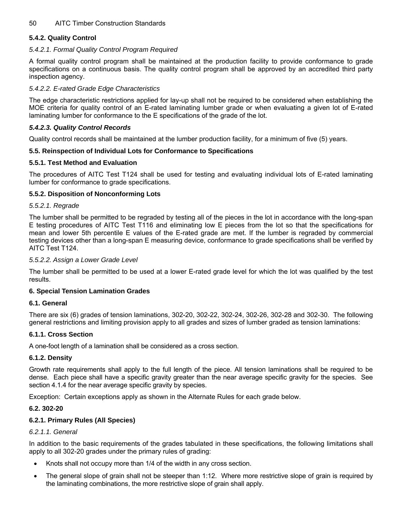#### **5.4.2. Quality Control**

#### *5.4.2.1. Formal Quality Control Program Required*

A formal quality control program shall be maintained at the production facility to provide conformance to grade specifications on a continuous basis. The quality control program shall be approved by an accredited third party inspection agency.

#### *5.4.2.2. E-rated Grade Edge Characteristics*

The edge characteristic restrictions applied for lay-up shall not be required to be considered when establishing the MOE criteria for quality control of an E-rated laminating lumber grade or when evaluating a given lot of E-rated laminating lumber for conformance to the E specifications of the grade of the lot.

#### *5.4.2.3. Quality Control Records*

Quality control records shall be maintained at the lumber production facility, for a minimum of five (5) years.

#### **5.5. Reinspection of Individual Lots for Conformance to Specifications**

#### **5.5.1. Test Method and Evaluation**

The procedures of AITC Test T124 shall be used for testing and evaluating individual lots of E-rated laminating lumber for conformance to grade specifications.

#### **5.5.2. Disposition of Nonconforming Lots**

#### *5.5.2.1. Regrade*

The lumber shall be permitted to be regraded by testing all of the pieces in the lot in accordance with the long-span E testing procedures of AITC Test T116 and eliminating low E pieces from the lot so that the specifications for mean and lower 5th percentile E values of the E-rated grade are met. If the lumber is regraded by commercial testing devices other than a long-span E measuring device, conformance to grade specifications shall be verified by AITC Test T124.

#### *5.5.2.2. Assign a Lower Grade Level*

The lumber shall be permitted to be used at a lower E-rated grade level for which the lot was qualified by the test results.

#### **6. Special Tension Lamination Grades**

#### **6.1. General**

There are six (6) grades of tension laminations, 302-20, 302-22, 302-24, 302-26, 302-28 and 302-30. The following general restrictions and limiting provision apply to all grades and sizes of lumber graded as tension laminations:

#### **6.1.1. Cross Section**

A one-foot length of a lamination shall be considered as a cross section.

#### **6.1.2. Density**

Growth rate requirements shall apply to the full length of the piece. All tension laminations shall be required to be dense. Each piece shall have a specific gravity greater than the near average specific gravity for the species. See section 4.1.4 for the near average specific gravity by species.

Exception: Certain exceptions apply as shown in the Alternate Rules for each grade below.

#### **6.2. 302-20**

#### **6.2.1. Primary Rules (All Species)**

#### *6.2.1.1. General*

In addition to the basic requirements of the grades tabulated in these specifications, the following limitations shall apply to all 302-20 grades under the primary rules of grading:

- Knots shall not occupy more than 1/4 of the width in any cross section.
- The general slope of grain shall not be steeper than 1:12. Where more restrictive slope of grain is required by the laminating combinations, the more restrictive slope of grain shall apply.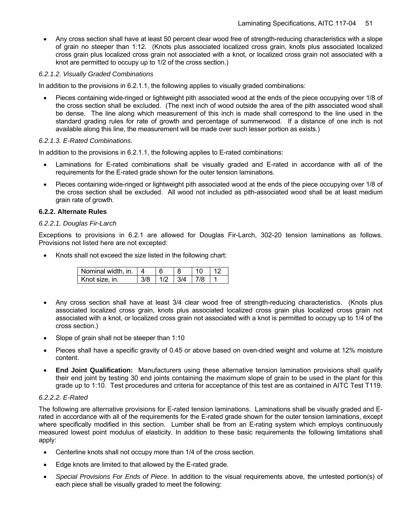• Any cross section shall have at least 50 percent clear wood free of strength-reducing characteristics with a slope of grain no steeper than 1:12. (Knots plus associated localized cross grain, knots plus associated localized cross grain plus localized cross grain not associated with a knot, or localized cross grain not associated with a knot are permitted to occupy up to 1/2 of the cross section.)

#### *6.2.1.2. Visually Graded Combinations*

In addition to the provisions in 6.2.1.1, the following applies to visually graded combinations:

• Pieces containing wide-ringed or lightweight pith associated wood at the ends of the piece occupying over 1/8 of the cross section shall be excluded. (The next inch of wood outside the area of the pith associated wood shall be dense. The line along which measurement of this inch is made shall correspond to the line used in the standard grading rules for rate of growth and percentage of summerwood. If a distance of one inch is not available along this line, the measurement will be made over such lesser portion as exists.)

#### *6.2.1.3. E-Rated Combinations.*

In addition to the provisions in 6.2.1.1, the following applies to E-rated combinations:

- Laminations for E-rated combinations shall be visually graded and E-rated in accordance with all of the requirements for the E-rated grade shown for the outer tension laminations.
- Pieces containing wide-ringed or lightweight pith associated wood at the ends of the piece occupying over 1/8 of the cross section shall be excluded. All wood not included as pith-associated wood shall be at least medium grain rate of growth.

#### **6.2.2. Alternate Rules**

#### *6.2.2.1. Douglas Fir-Larch*

Exceptions to provisions in 6.2.1 are allowed for Douglas Fir-Larch, 302-20 tension laminations as follows. Provisions not listed here are not excepted:

Knots shall not exceed the size listed in the following chart:

| Nominal width, in. |  |     |  |
|--------------------|--|-----|--|
| Knot size, in.     |  | 314 |  |

- Any cross section shall have at least 3/4 clear wood free of strength-reducing characteristics. (Knots plus associated localized cross grain, knots plus associated localized cross grain plus localized cross grain not associated with a knot, or localized cross grain not associated with a knot is permitted to occupy up to 1/4 of the cross section.)
- Slope of grain shall not be steeper than 1:10
- Pieces shall have a specific gravity of 0.45 or above based on oven-dried weight and volume at 12% moisture content.
- **End Joint Qualification:** Manufacturers using these alternative tension lamination provisions shall qualify their end joint by testing 30 end joints containing the maximum slope of grain to be used in the plant for this grade up to 1:10. Test procedures and criteria for acceptance of this test are as contained in AITC Test T119.

#### *6.2.2.2. E-Rated*

The following are alternative provisions for E-rated tension laminations. Laminations shall be visually graded and Erated in accordance with all of the requirements for the E-rated grade shown for the outer tension laminations, except where specifically modified in this section.Lumber shall be from an E-rating system which employs continuously measured lowest point modulus of elasticity. In addition to these basic requirements the following limitations shall apply:

- Centerline knots shall not occupy more than 1/4 of the cross section.
- Edge knots are limited to that allowed by the E-rated grade.
- *Special Provisions For Ends of Piece*. In addition to the visual requirements above, the untested portion(s) of each piece shall be visually graded to meet the following: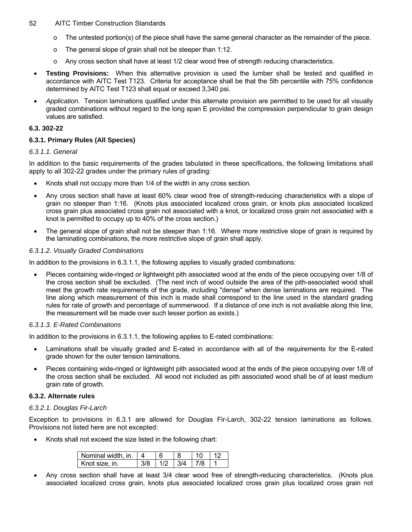- $\circ$  The untested portion(s) of the piece shall have the same general character as the remainder of the piece.
- o The general slope of grain shall not be steeper than 1:12.
- o Any cross section shall have at least 1/2 clear wood free of strength reducing characteristics.
- **Testing Provisions:** When this alternative provision is used the lumber shall be tested and qualified in accordance with AITC Test T123. Criteria for acceptance shall be that the 5th percentile with 75% confidence determined by AITC Test T123 shall equal or exceed 3,340 psi.
- *Application*. Tension laminations qualified under this alternate provision are permitted to be used for all visually graded combinations without regard to the long span E provided the compression perpendicular to grain design values are satisfied.

#### **6.3. 302-22**

#### **6.3.1. Primary Rules (All Species)**

#### *6.3.1.1. General*

In addition to the basic requirements of the grades tabulated in these specifications, the following limitations shall apply to all 302-22 grades under the primary rules of grading:

- Knots shall not occupy more than 1/4 of the width in any cross section.
- Any cross section shall have at least 60% clear wood free of strength-reducing characteristics with a slope of grain no steeper than 1:16. (Knots plus associated localized cross grain, or knots plus associated localized cross grain plus associated cross grain not associated with a knot, or localized cross grain not associated with a knot is permitted to occupy up to 40% of the cross section.)
- The general slope of grain shall not be steeper than 1:16. Where more restrictive slope of grain is required by the laminating combinations, the more restrictive slope of grain shall apply.

#### *6.3.1.2. Visually Graded Combinations*

In addition to the provisions in 6.3.1.1, the following applies to visually graded combinations:

• Pieces containing wide-ringed or lightweight pith associated wood at the ends of the piece occupying over 1/8 of the cross section shall be excluded. (The next inch of wood outside the area of the pith-associated wood shall meet the growth rate requirements of the grade, including "dense" when dense laminations are required. The line along which measurement of this inch is made shall correspond to the line used in the standard grading rules for rate of growth and percentage of summerwood. If a distance of one inch is not available along this line, the measurement will be made over such lesser portion as exists.)

#### *6.3.1.3. E-Rated Combinations*

In addition to the provisions in 6.3.1.1, the following applies to E-rated combinations:

- Laminations shall be visually graded and E-rated in accordance with all of the requirements for the E-rated grade shown for the outer tension laminations.
- Pieces containing wide-ringed or lightweight pith associated wood at the ends of the piece occupying over 1/8 of the cross section shall be excluded. All wood not included as pith associated wood shall be of at least medium grain rate of growth.

#### **6.3.2. Alternate rules**

#### *6.3.2.1. Douglas Fir-Larch*

Exception to provisions in 6.3.1 are allowed for Douglas Fir-Larch, 302-22 tension laminations as follows. Provisions not listed here are not excepted:

• Knots shall not exceed the size listed in the following chart:

| Nominal width, in. |  |  |  |
|--------------------|--|--|--|
| Knot size, in.     |  |  |  |

• Any cross section shall have at least 3/4 clear wood free of strength-reducing characteristics. (Knots plus associated localized cross grain, knots plus associated localized cross grain plus localized cross grain not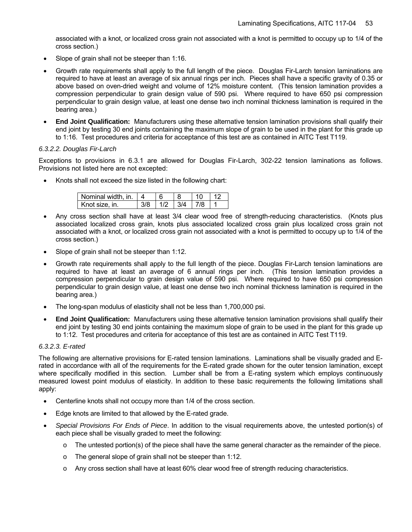associated with a knot, or localized cross grain not associated with a knot is permitted to occupy up to 1/4 of the cross section.)

- Slope of grain shall not be steeper than 1:16.
- Growth rate requirements shall apply to the full length of the piece. Douglas Fir-Larch tension laminations are required to have at least an average of six annual rings per inch. Pieces shall have a specific gravity of 0.35 or above based on oven-dried weight and volume of 12% moisture content. (This tension lamination provides a compression perpendicular to grain design value of 590 psi. Where required to have 650 psi compression perpendicular to grain design value, at least one dense two inch nominal thickness lamination is required in the bearing area.)
- **End Joint Qualification:** Manufacturers using these alternative tension lamination provisions shall qualify their end joint by testing 30 end joints containing the maximum slope of grain to be used in the plant for this grade up to 1:16. Test procedures and criteria for acceptance of this test are as contained in AITC Test T119.

#### *6.3.2.2. Douglas Fir-Larch*

Exceptions to provisions in 6.3.1 are allowed for Douglas Fir-Larch, 302-22 tension laminations as follows. Provisions not listed here are not excepted:

Knots shall not exceed the size listed in the following chart:

| Nominal width, in.   4 |  |             |       |  |
|------------------------|--|-------------|-------|--|
| Knot size, in.         |  | $1/2$ $3/4$ | l 7/8 |  |

- Any cross section shall have at least 3/4 clear wood free of strength-reducing characteristics. (Knots plus associated localized cross grain, knots plus associated localized cross grain plus localized cross grain not associated with a knot, or localized cross grain not associated with a knot is permitted to occupy up to 1/4 of the cross section.)
- Slope of grain shall not be steeper than 1:12.
- Growth rate requirements shall apply to the full length of the piece. Douglas Fir-Larch tension laminations are required to have at least an average of 6 annual rings per inch. (This tension lamination provides a compression perpendicular to grain design value of 590 psi. Where required to have 650 psi compression perpendicular to grain design value, at least one dense two inch nominal thickness lamination is required in the bearing area.)
- The long-span modulus of elasticity shall not be less than 1,700,000 psi.
- **End Joint Qualification:** Manufacturers using these alternative tension lamination provisions shall qualify their end joint by testing 30 end joints containing the maximum slope of grain to be used in the plant for this grade up to 1:12. Test procedures and criteria for acceptance of this test are as contained in AITC Test T119.

#### *6.3.2.3. E-rated*

The following are alternative provisions for E-rated tension laminations. Laminations shall be visually graded and Erated in accordance with all of the requirements for the E-rated grade shown for the outer tension lamination, except where specifically modified in this section.Lumber shall be from a E-rating system which employs continuously measured lowest point modulus of elasticity. In addition to these basic requirements the following limitations shall apply:

- Centerline knots shall not occupy more than 1/4 of the cross section.
- Edge knots are limited to that allowed by the E-rated grade.
- *Special Provisions For Ends of Piece*. In addition to the visual requirements above, the untested portion(s) of each piece shall be visually graded to meet the following:
	- $\circ$  The untested portion(s) of the piece shall have the same general character as the remainder of the piece.
	- o The general slope of grain shall not be steeper than 1:12.
	- o Any cross section shall have at least 60% clear wood free of strength reducing characteristics.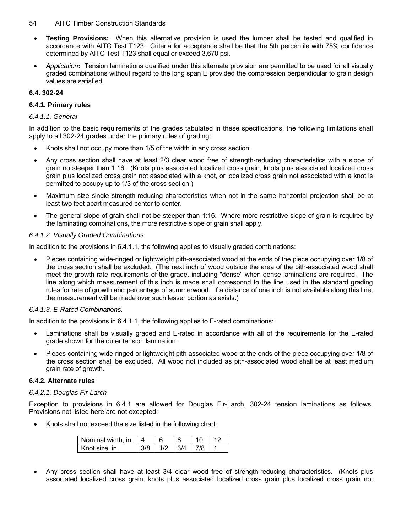- **Testing Provisions:** When this alternative provision is used the lumber shall be tested and qualified in accordance with AITC Test T123. Criteria for acceptance shall be that the 5th percentile with 75% confidence determined by AITC Test T123 shall equal or exceed 3,670 psi.
- *Application***:** Tension laminations qualified under this alternate provision are permitted to be used for all visually graded combinations without regard to the long span E provided the compression perpendicular to grain design values are satisfied.

#### **6.4. 302-24**

#### **6.4.1. Primary rules**

#### *6.4.1.1. General*

In addition to the basic requirements of the grades tabulated in these specifications, the following limitations shall apply to all 302-24 grades under the primary rules of grading:

- Knots shall not occupy more than 1/5 of the width in any cross section.
- Any cross section shall have at least 2/3 clear wood free of strength-reducing characteristics with a slope of grain no steeper than 1:16. (Knots plus associated localized cross grain, knots plus associated localized cross grain plus localized cross grain not associated with a knot, or localized cross grain not associated with a knot is permitted to occupy up to 1/3 of the cross section.)
- Maximum size single strength-reducing characteristics when not in the same horizontal projection shall be at least two feet apart measured center to center.
- The general slope of grain shall not be steeper than 1:16. Where more restrictive slope of grain is required by the laminating combinations, the more restrictive slope of grain shall apply.

#### *6.4.1.2. Visually Graded Combinations.*

In addition to the provisions in 6.4.1.1, the following applies to visually graded combinations:

• Pieces containing wide-ringed or lightweight pith-associated wood at the ends of the piece occupying over 1/8 of the cross section shall be excluded. (The next inch of wood outside the area of the pith-associated wood shall meet the growth rate requirements of the grade, including "dense" when dense laminations are required. The line along which measurement of this inch is made shall correspond to the line used in the standard grading rules for rate of growth and percentage of summerwood. If a distance of one inch is not available along this line, the measurement will be made over such lesser portion as exists.)

#### *6.4.1.3. E-Rated Combinations.*

In addition to the provisions in 6.4.1.1, the following applies to E-rated combinations:

- Laminations shall be visually graded and E-rated in accordance with all of the requirements for the E-rated grade shown for the outer tension lamination.
- Pieces containing wide-ringed or lightweight pith associated wood at the ends of the piece occupying over 1/8 of the cross section shall be excluded. All wood not included as pith-associated wood shall be at least medium grain rate of growth.

#### **6.4.2. Alternate rules**

#### *6.4.2.1. Douglas Fir-Larch*

Exception to provisions in 6.4.1 are allowed for Douglas Fir-Larch, 302-24 tension laminations as follows. Provisions not listed here are not excepted:

• Knots shall not exceed the size listed in the following chart:

| Nominal width, in. |  |     |  |
|--------------------|--|-----|--|
| Knot size, in.     |  | 3/4 |  |

• Any cross section shall have at least 3/4 clear wood free of strength-reducing characteristics. (Knots plus associated localized cross grain, knots plus associated localized cross grain plus localized cross grain not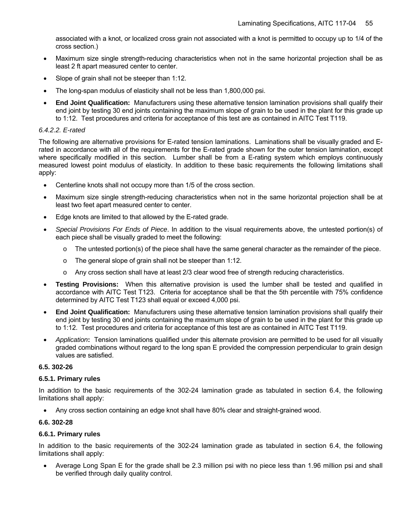associated with a knot, or localized cross grain not associated with a knot is permitted to occupy up to 1/4 of the cross section.)

- Maximum size single strength-reducing characteristics when not in the same horizontal projection shall be as least 2 ft apart measured center to center.
- Slope of grain shall not be steeper than 1:12.
- The long-span modulus of elasticity shall not be less than 1,800,000 psi.
- **End Joint Qualification:** Manufacturers using these alternative tension lamination provisions shall qualify their end joint by testing 30 end joints containing the maximum slope of grain to be used in the plant for this grade up to 1:12. Test procedures and criteria for acceptance of this test are as contained in AITC Test T119.

#### *6.4.2.2. E-rated*

The following are alternative provisions for E-rated tension laminations. Laminations shall be visually graded and Erated in accordance with all of the requirements for the E-rated grade shown for the outer tension lamination, except where specifically modified in this section.Lumber shall be from a E-rating system which employs continuously measured lowest point modulus of elasticity. In addition to these basic requirements the following limitations shall apply:

- Centerline knots shall not occupy more than 1/5 of the cross section.
- Maximum size single strength-reducing characteristics when not in the same horizontal projection shall be at least two feet apart measured center to center.
- Edge knots are limited to that allowed by the E-rated grade.
- *Special Provisions For Ends of Piece*. In addition to the visual requirements above, the untested portion(s) of each piece shall be visually graded to meet the following:
	- $\circ$  The untested portion(s) of the piece shall have the same general character as the remainder of the piece.
	- o The general slope of grain shall not be steeper than 1:12.
	- o Any cross section shall have at least 2/3 clear wood free of strength reducing characteristics.
- **Testing Provisions:** When this alternative provision is used the lumber shall be tested and qualified in accordance with AITC Test T123. Criteria for acceptance shall be that the 5th percentile with 75% confidence determined by AITC Test T123 shall equal or exceed 4,000 psi.
- **End Joint Qualification:** Manufacturers using these alternative tension lamination provisions shall qualify their end joint by testing 30 end joints containing the maximum slope of grain to be used in the plant for this grade up to 1:12. Test procedures and criteria for acceptance of this test are as contained in AITC Test T119.
- *Application***:** Tension laminations qualified under this alternate provision are permitted to be used for all visually graded combinations without regard to the long span E provided the compression perpendicular to grain design values are satisfied.

#### **6.5. 302-26**

#### **6.5.1. Primary rules**

In addition to the basic requirements of the 302-24 lamination grade as tabulated in section 6.4, the following limitations shall apply:

• Any cross section containing an edge knot shall have 80% clear and straight-grained wood.

#### **6.6. 302-28**

#### **6.6.1. Primary rules**

In addition to the basic requirements of the 302-24 lamination grade as tabulated in section 6.4, the following limitations shall apply:

• Average Long Span E for the grade shall be 2.3 million psi with no piece less than 1.96 million psi and shall be verified through daily quality control.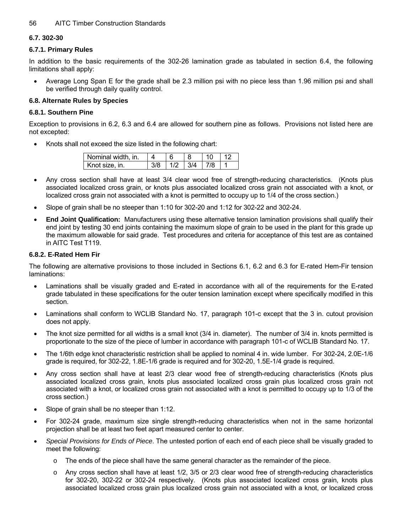#### **6.7. 302-30**

#### **6.7.1. Primary Rules**

In addition to the basic requirements of the 302-26 lamination grade as tabulated in section 6.4, the following limitations shall apply:

• Average Long Span E for the grade shall be 2.3 million psi with no piece less than 1.96 million psi and shall be verified through daily quality control.

#### **6.8. Alternate Rules by Species**

#### **6.8.1. Southern Pine**

Exception to provisions in 6.2, 6.3 and 6.4 are allowed for southern pine as follows. Provisions not listed here are not excepted:

Knots shall not exceed the size listed in the following chart:

| Nominal width, in. |  |     |  |
|--------------------|--|-----|--|
| Knot size, in.     |  | 3/4 |  |

- Any cross section shall have at least 3/4 clear wood free of strength-reducing characteristics. (Knots plus associated localized cross grain, or knots plus associated localized cross grain not associated with a knot, or localized cross grain not associated with a knot is permitted to occupy up to 1/4 of the cross section.)
- Slope of grain shall be no steeper than 1:10 for 302-20 and 1:12 for 302-22 and 302-24.
- **End Joint Qualification:** Manufacturers using these alternative tension lamination provisions shall qualify their end joint by testing 30 end joints containing the maximum slope of grain to be used in the plant for this grade up the maximum allowable for said grade. Test procedures and criteria for acceptance of this test are as contained in AITC Test T119.

#### **6.8.2. E-Rated Hem Fir**

The following are alternative provisions to those included in Sections 6.1, 6.2 and 6.3 for E-rated Hem-Fir tension laminations:

- Laminations shall be visually graded and E-rated in accordance with all of the requirements for the E-rated grade tabulated in these specifications for the outer tension lamination except where specifically modified in this section.
- Laminations shall conform to WCLIB Standard No. 17, paragraph 101-c except that the 3 in. cutout provision does not apply.
- The knot size permitted for all widths is a small knot (3/4 in. diameter). The number of 3/4 in. knots permitted is proportionate to the size of the piece of lumber in accordance with paragraph 101-c of WCLIB Standard No. 17.
- The 1/6th edge knot characteristic restriction shall be applied to nominal 4 in. wide lumber. For 302-24, 2.0E-1/6 grade is required, for 302-22, 1.8E-1/6 grade is required and for 302-20, 1.5E-1/4 grade is required.
- Any cross section shall have at least 2/3 clear wood free of strength-reducing characteristics (Knots plus associated localized cross grain, knots plus associated localized cross grain plus localized cross grain not associated with a knot, or localized cross grain not associated with a knot is permitted to occupy up to 1/3 of the cross section.)
- Slope of grain shall be no steeper than 1:12.
- For 302-24 grade, maximum size single strength-reducing characteristics when not in the same horizontal projection shall be at least two feet apart measured center to center.
- *Special Provisions for Ends of Piece*. The untested portion of each end of each piece shall be visually graded to meet the following:
	- $\circ$  The ends of the piece shall have the same general character as the remainder of the piece.
	- o Any cross section shall have at least 1/2, 3/5 or 2/3 clear wood free of strength-reducing characteristics for 302-20, 302-22 or 302-24 respectively. (Knots plus associated localized cross grain, knots plus associated localized cross grain plus localized cross grain not associated with a knot, or localized cross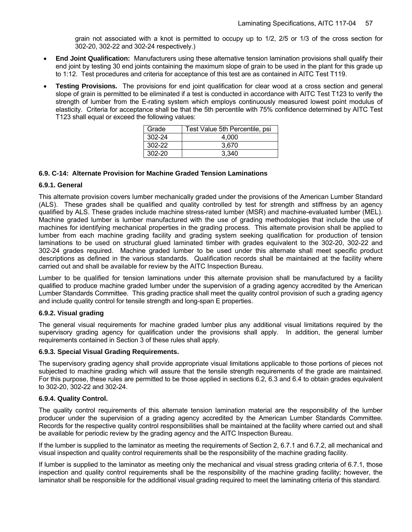grain not associated with a knot is permitted to occupy up to 1/2, 2/5 or 1/3 of the cross section for 302-20, 302-22 and 302-24 respectively.)

- **End Joint Qualification:** Manufacturers using these alternative tension lamination provisions shall qualify their end joint by testing 30 end joints containing the maximum slope of grain to be used in the plant for this grade up to 1:12. Test procedures and criteria for acceptance of this test are as contained in AITC Test T119.
- **Testing Provisions.** The provisions for end joint qualification for clear wood at a cross section and general slope of grain is permitted to be eliminated if a test is conducted in accordance with AITC Test T123 to verify the strength of lumber from the E-rating system which employs continuously measured lowest point modulus of elasticity. Criteria for acceptance shall be that the 5th percentile with 75% confidence determined by AITC Test T123 shall equal or exceed the following values:

| Grade  | Test Value 5th Percentile, psi |
|--------|--------------------------------|
| 302-24 | 4.000                          |
| 302-22 | 3.670                          |
| 302-20 | 3.340                          |

#### **6.9. C-14: Alternate Provision for Machine Graded Tension Laminations**

#### **6.9.1. General**

This alternate provision covers lumber mechanically graded under the provisions of the American Lumber Standard (ALS). These grades shall be qualified and quality controlled by test for strength and stiffness by an agency qualified by ALS. These grades include machine stress-rated lumber (MSR) and machine-evaluated lumber (MEL). Machine graded lumber is lumber manufactured with the use of grading methodologies that include the use of machines for identifying mechanical properties in the grading process. This alternate provision shall be applied to lumber from each machine grading facility and grading system seeking qualification for production of tension laminations to be used on structural glued laminated timber with grades equivalent to the 302-20, 302-22 and 302-24 grades required. Machine graded lumber to be used under this alternate shall meet specific product descriptions as defined in the various standards. Qualification records shall be maintained at the facility where carried out and shall be available for review by the AITC Inspection Bureau.

Lumber to be qualified for tension laminations under this alternate provision shall be manufactured by a facility qualified to produce machine graded lumber under the supervision of a grading agency accredited by the American Lumber Standards Committee. This grading practice shall meet the quality control provision of such a grading agency and include quality control for tensile strength and long-span E properties.

#### **6.9.2. Visual grading**

The general visual requirements for machine graded lumber plus any additional visual limitations required by the supervisory grading agency for qualification under the provisions shall apply. In addition, the general lumber requirements contained in Section 3 of these rules shall apply.

#### **6.9.3. Special Visual Grading Requirements.**

The supervisory grading agency shall provide appropriate visual limitations applicable to those portions of pieces not subjected to machine grading which will assure that the tensile strength requirements of the grade are maintained. For this purpose, these rules are permitted to be those applied in sections 6.2, 6.3 and 6.4 to obtain grades equivalent to 302-20, 302-22 and 302-24.

#### **6.9.4. Quality Control.**

The quality control requirements of this alternate tension lamination material are the responsibility of the lumber producer under the supervision of a grading agency accredited by the American Lumber Standards Committee. Records for the respective quality control responsibilities shall be maintained at the facility where carried out and shall be available for periodic review by the grading agency and the AITC Inspection Bureau.

If the lumber is supplied to the laminator as meeting the requirements of Section 2, 6.7.1 and 6.7.2, all mechanical and visual inspection and quality control requirements shall be the responsibility of the machine grading facility.

If lumber is supplied to the laminator as meeting only the mechanical and visual stress grading criteria of 6.7.1, those inspection and quality control requirements shall be the responsibility of the machine grading facility; however, the laminator shall be responsible for the additional visual grading required to meet the laminating criteria of this standard.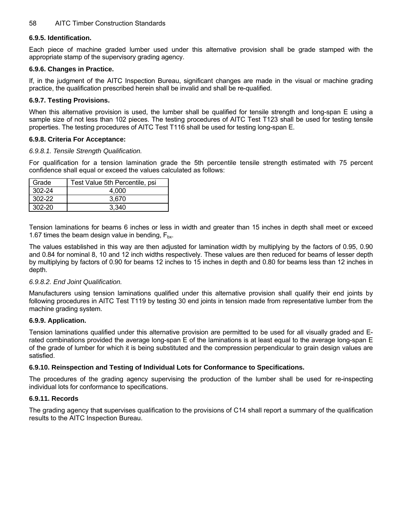#### **6.9.5. Identification.**

Each piece of machine graded lumber used under this alternative provision shall be grade stamped with the appropriate stamp of the supervisory grading agency.

#### **6.9.6. Changes in Practice.**

If, in the judgment of the AITC Inspection Bureau, significant changes are made in the visual or machine grading practice, the qualification prescribed herein shall be invalid and shall be re-qualified.

#### **6.9.7. Testing Provisions.**

When this alternative provision is used, the lumber shall be qualified for tensile strength and long-span E using a sample size of not less than 102 pieces. The testing procedures of AITC Test T123 shall be used for testing tensile properties. The testing procedures of AITC Test T116 shall be used for testing long-span E.

#### **6.9.8. Criteria For Acceptance:**

#### *6.9.8.1. Tensile Strength Qualification.*

For qualification for a tension lamination grade the 5th percentile tensile strength estimated with 75 percent confidence shall equal or exceed the values calculated as follows:

| Grade      | Test Value 5th Percentile, psi |
|------------|--------------------------------|
| $302 - 24$ | 4.000                          |
| 302-22     | 3.670                          |
| $302 - 20$ | 3.340                          |

Tension laminations for beams 6 inches or less in width and greater than 15 inches in depth shall meet or exceed 1.67 times the beam design value in bending,  $F_{bx}$ .

The values established in this way are then adjusted for lamination width by multiplying by the factors of 0.95, 0.90 and 0.84 for nominal 8, 10 and 12 inch widths respectively. These values are then reduced for beams of lesser depth by multiplying by factors of 0.90 for beams 12 inches to 15 inches in depth and 0.80 for beams less than 12 inches in depth.

#### *6.9.8.2. End Joint Qualification.*

Manufacturers using tension laminations qualified under this alternative provision shall qualify their end joints by following procedures in AITC Test T119 by testing 30 end joints in tension made from representative lumber from the machine grading system.

#### **6.9.9. Application.**

Tension laminations qualified under this alternative provision are permitted to be used for all visually graded and Erated combinations provided the average long-span E of the laminations is at least equal to the average long-span E of the grade of lumber for which it is being substituted and the compression perpendicular to grain design values are satisfied.

#### **6.9.10. Reinspection and Testing of Individual Lots for Conformance to Specifications.**

The procedures of the grading agency supervising the production of the lumber shall be used for re-inspecting individual lots for conformance to specifications.

#### **6.9.11. Records**

The grading agency tha**t** supervises qualification to the provisions of C14 shall report a summary of the qualification results to the AITC Inspection Bureau.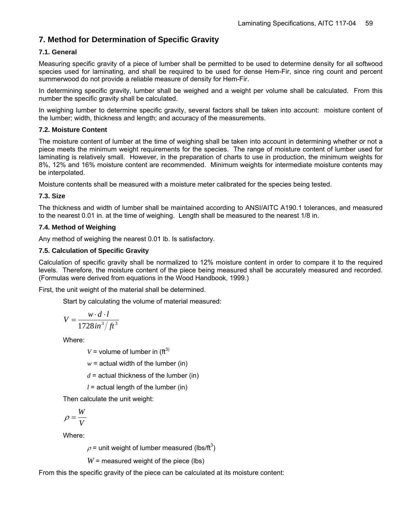## **7. Method for Determination of Specific Gravity**

#### **7.1. General**

Measuring specific gravity of a piece of lumber shall be permitted to be used to determine density for all softwood species used for laminating, and shall be required to be used for dense Hem-Fir, since ring count and percent summerwood do not provide a reliable measure of density for Hem-Fir.

In determining specific gravity, lumber shall be weighed and a weight per volume shall be calculated. From this number the specific gravity shall be calculated.

In weighing lumber to determine specific gravity, several factors shall be taken into account: moisture content of the lumber; width, thickness and length; and accuracy of the measurements.

#### **7.2. Moisture Content**

The moisture content of lumber at the time of weighing shall be taken into account in determining whether or not a piece meets the minimum weight requirements for the species. The range of moisture content of lumber used for laminating is relatively small. However, in the preparation of charts to use in production, the minimum weights for 8%, 12% and 16% moisture content are recommended. Minimum weights for intermediate moisture contents may be interpolated.

Moisture contents shall be measured with a moisture meter calibrated for the species being tested.

#### **7.3. Size**

The thickness and width of lumber shall be maintained according to ANSI/AITC A190.1 tolerances, and measured to the nearest 0.01 in. at the time of weighing. Length shall be measured to the nearest 1/8 in.

#### **7.4. Method of Weighing**

Any method of weighing the nearest 0.01 lb. Is satisfactory.

#### **7.5. Calculation of Specific Gravity**

Calculation of specific gravity shall be normalized to 12% moisture content in order to compare it to the required levels. Therefore, the moisture content of the piece being measured shall be accurately measured and recorded. (Formulas were derived from equations in the Wood Handbook, 1999.)

First, the unit weight of the material shall be determined.

Start by calculating the volume of material measured:

$$
V = \frac{w \cdot d \cdot l}{1728 \, \text{in}^3 / \text{ft}^3}
$$

Where:

 $V =$  volume of lumber in (ft<sup>3)</sup>

 $w =$  actual width of the lumber (in)

 $d =$  actual thickness of the lumber (in)

 $l =$  actual length of the lumber (in)

Then calculate the unit weight:

$$
\rho = \frac{W}{V}
$$

Where:

 $\rho$  = unit weight of lumber measured (lbs/ft<sup>3</sup>)

 $W$  = measured weight of the piece (lbs)

From this the specific gravity of the piece can be calculated at its moisture content: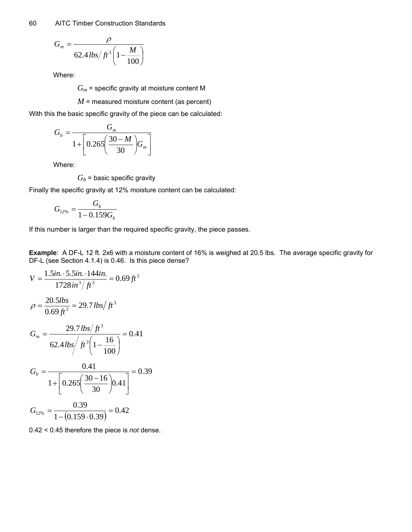$$
G_m = \frac{\rho}{62.4 \, \text{lbs}/\text{ft}^3 \left(1 - \frac{M}{100}\right)}
$$

Where:

*Gm* = specific gravity at moisture content M

*M* = measured moisture content (as percent)

With this the basic specific gravity of the piece can be calculated:

$$
G_b = \frac{G_m}{1 + \left[0.265 \left(\frac{30 - M}{30}\right) G_m\right]}
$$

Where:

 $G_b$  = basic specific gravity

Finally the specific gravity at 12% moisture content can be calculated:

$$
G_{12\%} = \frac{G_b}{1 - 0.159G_b}
$$

If this number is larger than the required specific gravity, the piece passes.

**Example**: A DF-L 12 ft. 2x6 with a moisture content of 16% is weighed at 20.5 lbs. The average specific gravity for DF-L (see Section 4.1.4) is 0.46. Is this piece dense?

$$
V = \frac{1.5in. \cdot 5.5in. \cdot 144in.}{1728in^3/f^3} = 0.69ft^3
$$
  
\n
$$
\rho = \frac{20.5lbs}{0.69ft^3} = 29.7 \, \text{lbs/ft}^3
$$
  
\n
$$
G_m = \frac{29.7 \, \text{lbs/ft}^3}{62.4 \, \text{lbs/ft}^3 \left(1 - \frac{16}{100}\right)} = 0.41
$$
  
\n
$$
G_b = \frac{0.41}{1 + \left[0.265\left(\frac{30 - 16}{30}\right)0.41\right]} = 0.39
$$
  
\n
$$
G_{12\%} = \frac{0.39}{1 - (0.159 \cdot 0.39)} = 0.42
$$

0.42 < 0.45 therefore the piece is *not* dense.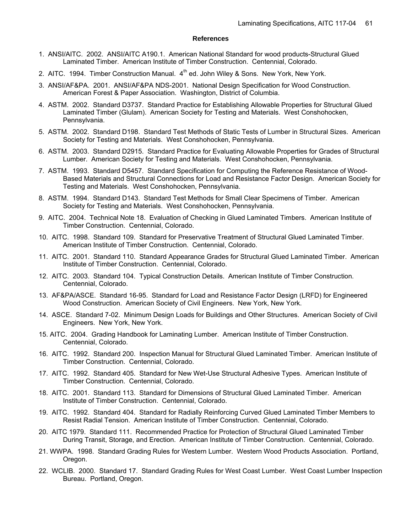#### **References**

- 1. ANSI/AITC. 2002. ANSI/AITC A190.1. American National Standard for wood products-Structural Glued Laminated Timber. American Institute of Timber Construction. Centennial, Colorado.
- 2. AITC. 1994. Timber Construction Manual.  $4<sup>th</sup>$  ed. John Wiley & Sons. New York, New York.
- 3. ANSI/AF&PA. 2001. ANSI/AF&PA NDS-2001. National Design Specification for Wood Construction. American Forest & Paper Association. Washington, District of Columbia.
- 4. ASTM. 2002. Standard D3737. Standard Practice for Establishing Allowable Properties for Structural Glued Laminated Timber (Glulam). American Society for Testing and Materials. West Conshohocken, Pennsylvania.
- 5. ASTM. 2002. Standard D198. Standard Test Methods of Static Tests of Lumber in Structural Sizes. American Society for Testing and Materials. West Conshohocken, Pennsylvania.
- 6. ASTM. 2003. Standard D2915. Standard Practice for Evaluating Allowable Properties for Grades of Structural Lumber. American Society for Testing and Materials. West Conshohocken, Pennsylvania.
- 7. ASTM. 1993. Standard D5457. Standard Specification for Computing the Reference Resistance of Wood-Based Materials and Structural Connections for Load and Resistance Factor Design. American Society for Testing and Materials. West Conshohocken, Pennsylvania.
- 8. ASTM. 1994. Standard D143. Standard Test Methods for Small Clear Specimens of Timber. American Society for Testing and Materials. West Conshohocken, Pennsylvania.
- 9. AITC. 2004. Technical Note 18. Evaluation of Checking in Glued Laminated Timbers. American Institute of Timber Construction. Centennial, Colorado.
- 10. AITC. 1998. Standard 109. Standard for Preservative Treatment of Structural Glued Laminated Timber. American Institute of Timber Construction. Centennial, Colorado.
- 11. AITC. 2001. Standard 110. Standard Appearance Grades for Structural Glued Laminated Timber. American Institute of Timber Construction. Centennial, Colorado.
- 12. AITC. 2003. Standard 104. Typical Construction Details. American Institute of Timber Construction. Centennial, Colorado.
- 13. AF&PA/ASCE. Standard 16-95. Standard for Load and Resistance Factor Design (LRFD) for Engineered Wood Construction. American Society of Civil Engineers. New York, New York.
- 14. ASCE. Standard 7-02. Minimum Design Loads for Buildings and Other Structures. American Society of Civil Engineers. New York, New York.
- 15. AITC. 2004. Grading Handbook for Laminating Lumber. American Institute of Timber Construction. Centennial, Colorado.
- 16. AITC. 1992. Standard 200. Inspection Manual for Structural Glued Laminated Timber. American Institute of Timber Construction. Centennial, Colorado.
- 17. AITC. 1992. Standard 405. Standard for New Wet-Use Structural Adhesive Types. American Institute of Timber Construction. Centennial, Colorado.
- 18. AITC. 2001. Standard 113. Standard for Dimensions of Structural Glued Laminated Timber. American Institute of Timber Construction. Centennial, Colorado.
- 19. AITC. 1992. Standard 404. Standard for Radially Reinforcing Curved Glued Laminated Timber Members to Resist Radial Tension. American Institute of Timber Construction. Centennial, Colorado.
- 20. AITC 1979. Standard 111. Recommended Practice for Protection of Structural Glued Laminated Timber During Transit, Storage, and Erection. American Institute of Timber Construction. Centennial, Colorado.
- 21. WWPA. 1998. Standard Grading Rules for Western Lumber. Western Wood Products Association. Portland, Oregon.
- 22. WCLIB. 2000. Standard 17. Standard Grading Rules for West Coast Lumber. West Coast Lumber Inspection Bureau. Portland, Oregon.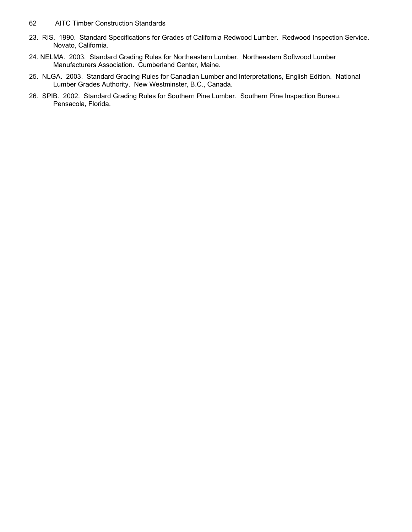- 62 AITC Timber Construction Standards
- 23. RIS. 1990. Standard Specifications for Grades of California Redwood Lumber. Redwood Inspection Service. Novato, California.
- 24. NELMA. 2003. Standard Grading Rules for Northeastern Lumber. Northeastern Softwood Lumber Manufacturers Association. Cumberland Center, Maine.
- 25. NLGA. 2003. Standard Grading Rules for Canadian Lumber and Interpretations, English Edition. National Lumber Grades Authority. New Westminster, B.C., Canada.
- 26. SPIB. 2002. Standard Grading Rules for Southern Pine Lumber. Southern Pine Inspection Bureau. Pensacola, Florida.